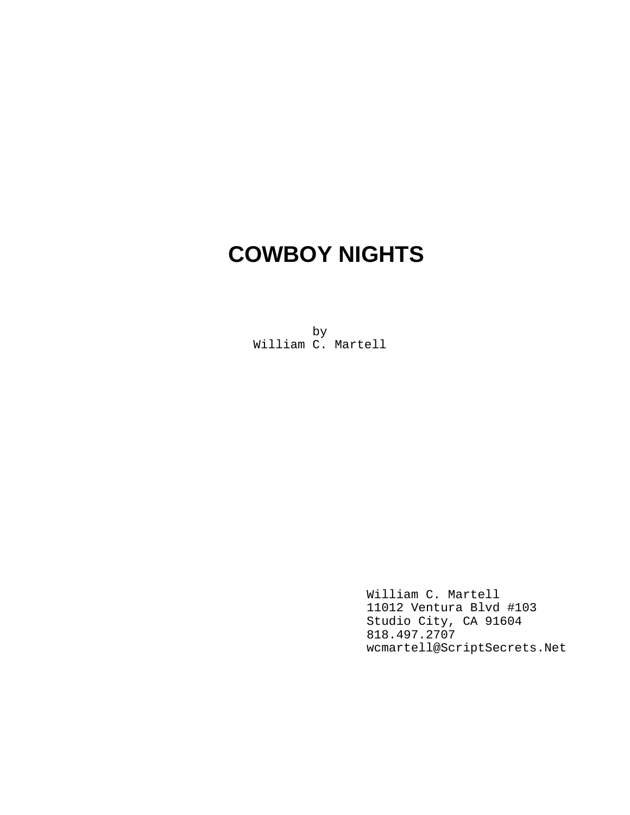# **COWBOY NIGHTS**

by William C. Martell

> William C. Martell 11012 Ventura Blvd #103 Studio City, CA 91604 818.497.2707 wcmartell@ScriptSecrets.Net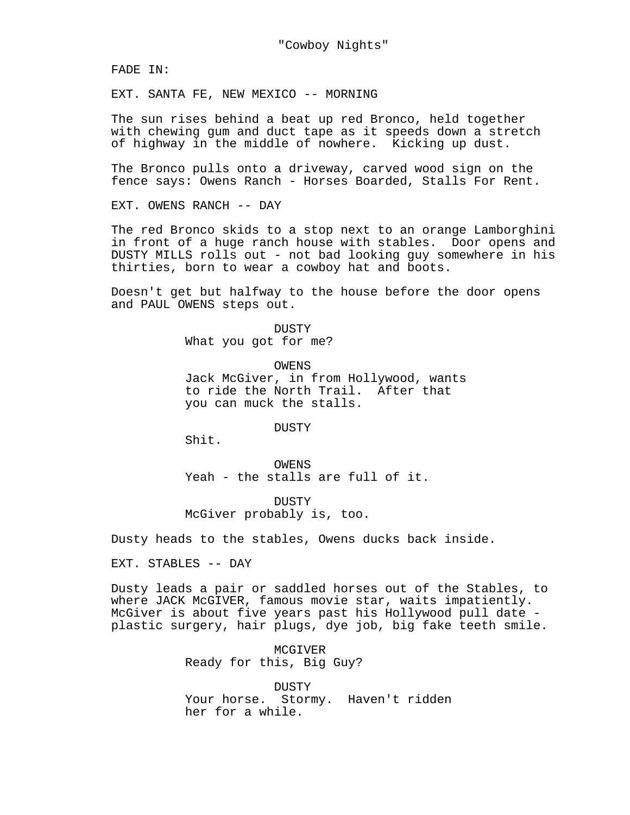FADE IN:

EXT. SANTA FE, NEW MEXICO -- MORNING

The sun rises behind a beat up red Bronco, held together with chewing gum and duct tape as it speeds down a stretch of highway in the middle of nowhere. Kicking up dust.

The Bronco pulls onto a driveway, carved wood sign on the fence says: Owens Ranch - Horses Boarded, Stalls For Rent.

EXT. OWENS RANCH -- DAY

The red Bronco skids to a stop next to an orange Lamborghini in front of a huge ranch house with stables. Door opens and DUSTY MILLS rolls out - not bad looking guy somewhere in his thirties, born to wear a cowboy hat and boots.

Doesn't get but halfway to the house before the door opens and PAUL OWENS steps out.

> DUSTY What you got for me?

OWENS Jack McGiver, in from Hollywood, wants to ride the North Trail. After that you can muck the stalls.

DUSTY

Shit.

OWENS Yeah - the stalls are full of it.

DUSTY McGiver probably is, too.

Dusty heads to the stables, Owens ducks back inside.

EXT. STABLES -- DAY

Dusty leads a pair or saddled horses out of the Stables, to where JACK McGIVER, famous movie star, waits impatiently. McGiver is about five years past his Hollywood pull date plastic surgery, hair plugs, dye job, big fake teeth smile.

> MCGIVER Ready for this, Big Guy?

DUSTY Your horse. Stormy. Haven't ridden her for a while.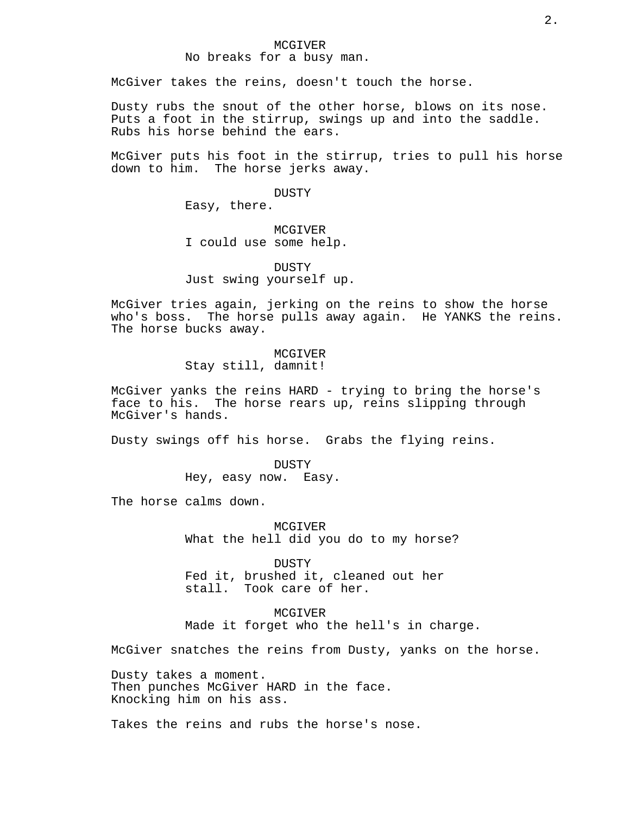#### MCGIVER No breaks for a busy man.

McGiver takes the reins, doesn't touch the horse.

Dusty rubs the snout of the other horse, blows on its nose. Puts a foot in the stirrup, swings up and into the saddle. Rubs his horse behind the ears.

McGiver puts his foot in the stirrup, tries to pull his horse down to him. The horse jerks away.

DUSTY

Easy, there.

MCGIVER I could use some help.

DUSTY Just swing yourself up.

McGiver tries again, jerking on the reins to show the horse who's boss. The horse pulls away again. He YANKS the reins. The horse bucks away.

> MCGIVER Stay still, damnit!

McGiver yanks the reins HARD - trying to bring the horse's face to his. The horse rears up, reins slipping through McGiver's hands.

Dusty swings off his horse. Grabs the flying reins.

DUSTY Hey, easy now. Easy.

The horse calms down.

MCGIVER What the hell did you do to my horse?

DUSTY Fed it, brushed it, cleaned out her<br>stall. Took care of her. Took care of her.

MCGIVER Made it forget who the hell's in charge.

McGiver snatches the reins from Dusty, yanks on the horse.

Dusty takes a moment. Then punches McGiver HARD in the face. Knocking him on his ass.

Takes the reins and rubs the horse's nose.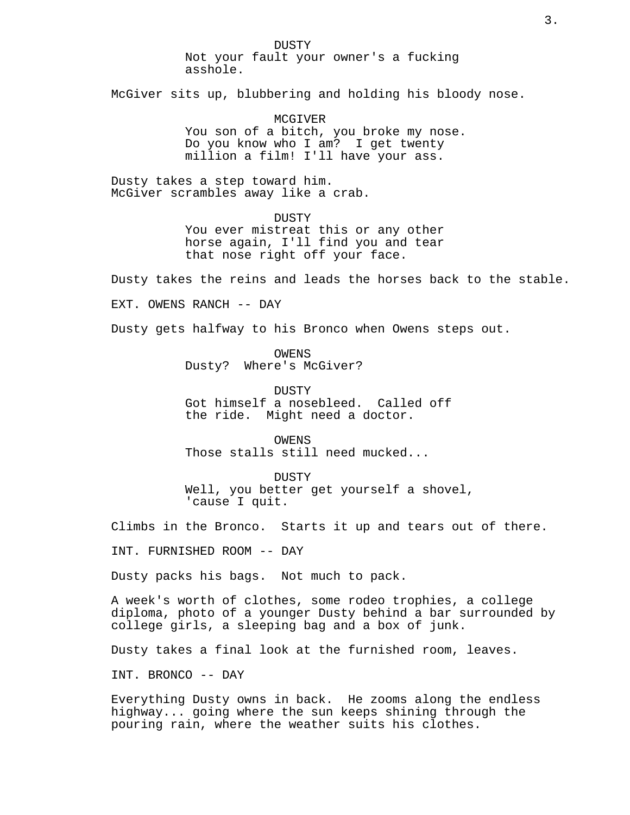DUSTY Not your fault your owner's a fucking asshole.

McGiver sits up, blubbering and holding his bloody nose.

MCGIVER

You son of a bitch, you broke my nose. Do you know who I am? I get twenty million a film! I'll have your ass.

Dusty takes a step toward him. McGiver scrambles away like a crab.

DUSTY

You ever mistreat this or any other horse again, I'll find you and tear that nose right off your face.

Dusty takes the reins and leads the horses back to the stable.

EXT. OWENS RANCH -- DAY

Dusty gets halfway to his Bronco when Owens steps out.

**OWENS** Dusty? Where's McGiver?

DUSTY Got himself a nosebleed. Called off the ride. Might need a doctor.

OWENS Those stalls still need mucked...

DUSTY Well, you better get yourself a shovel, 'cause I quit.

Climbs in the Bronco. Starts it up and tears out of there.

INT. FURNISHED ROOM -- DAY

Dusty packs his bags. Not much to pack.

A week's worth of clothes, some rodeo trophies, a college diploma, photo of a younger Dusty behind a bar surrounded by college girls, a sleeping bag and a box of junk.

Dusty takes a final look at the furnished room, leaves.

INT. BRONCO -- DAY

Everything Dusty owns in back. He zooms along the endless highway... going where the sun keeps shining through the pouring rain, where the weather suits his clothes.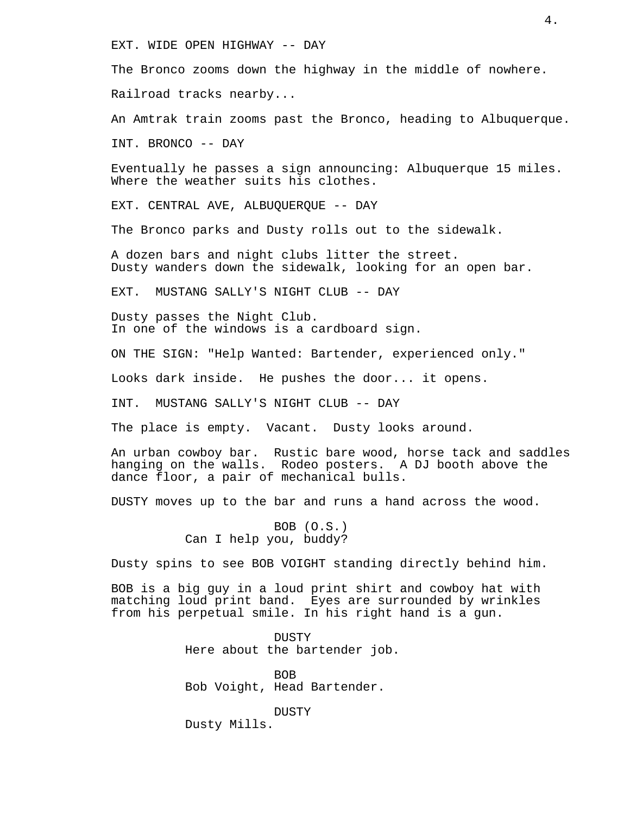EXT. WIDE OPEN HIGHWAY -- DAY

The Bronco zooms down the highway in the middle of nowhere.

Railroad tracks nearby...

An Amtrak train zooms past the Bronco, heading to Albuquerque.

INT. BRONCO -- DAY

Eventually he passes a sign announcing: Albuquerque 15 miles. Where the weather suits his clothes.

EXT. CENTRAL AVE, ALBUQUERQUE -- DAY

The Bronco parks and Dusty rolls out to the sidewalk.

A dozen bars and night clubs litter the street. Dusty wanders down the sidewalk, looking for an open bar.

EXT. MUSTANG SALLY'S NIGHT CLUB -- DAY

Dusty passes the Night Club. In one of the windows is a cardboard sign.

ON THE SIGN: "Help Wanted: Bartender, experienced only."

Looks dark inside. He pushes the door... it opens.

INT. MUSTANG SALLY'S NIGHT CLUB -- DAY

The place is empty. Vacant. Dusty looks around.

An urban cowboy bar. Rustic bare wood, horse tack and saddles hanging on the walls. Rodeo posters. A DJ booth above the dance floor, a pair of mechanical bulls.

DUSTY moves up to the bar and runs a hand across the wood.

BOB (O.S.) Can I help you, buddy?

Dusty spins to see BOB VOIGHT standing directly behind him.

BOB is a big guy in a loud print shirt and cowboy hat with matching loud print band. Eyes are surrounded by wrinkles from his perpetual smile. In his right hand is a gun.

> DUSTY Here about the bartender job.

BOB Bob Voight, Head Bartender.

DUSTY Dusty Mills.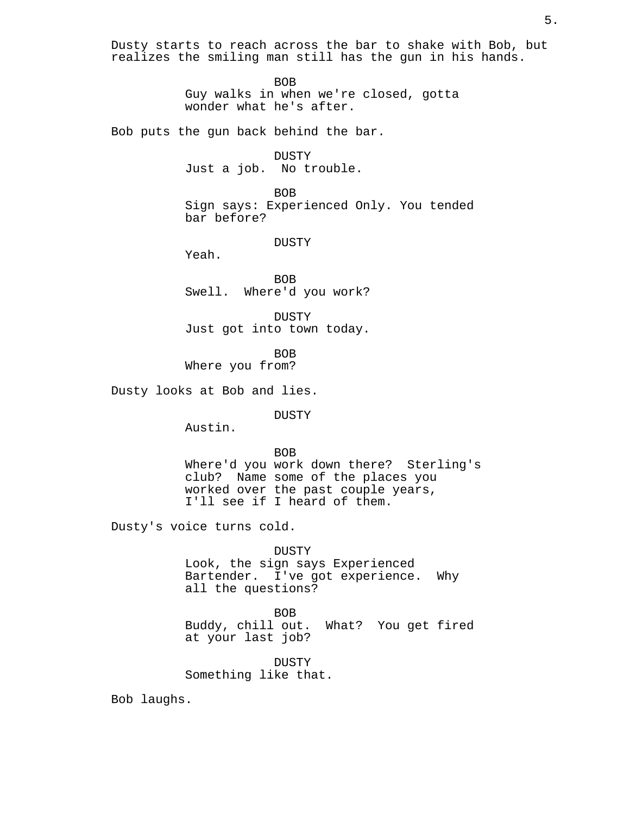Dusty starts to reach across the bar to shake with Bob, but realizes the smiling man still has the gun in his hands.

BOB

Guy walks in when we're closed, gotta wonder what he's after.

Bob puts the gun back behind the bar.

DUSTY Just a job. No trouble.

BOB Sign says: Experienced Only. You tended bar before?

DUSTY

Yeah.

BOB Swell. Where'd you work?

DUSTY Just got into town today.

BOB Where you from?

Dusty looks at Bob and lies.

DUSTY

Austin.

BOB

Where'd you work down there? Sterling's club? Name some of the places you worked over the past couple years, I'll see if I heard of them.

Dusty's voice turns cold.

DUSTY

Look, the sign says Experienced Bartender. I've got experience. Why all the questions?

BOB Buddy, chill out. What? You get fired at your last job?

DUSTY Something like that.

Bob laughs.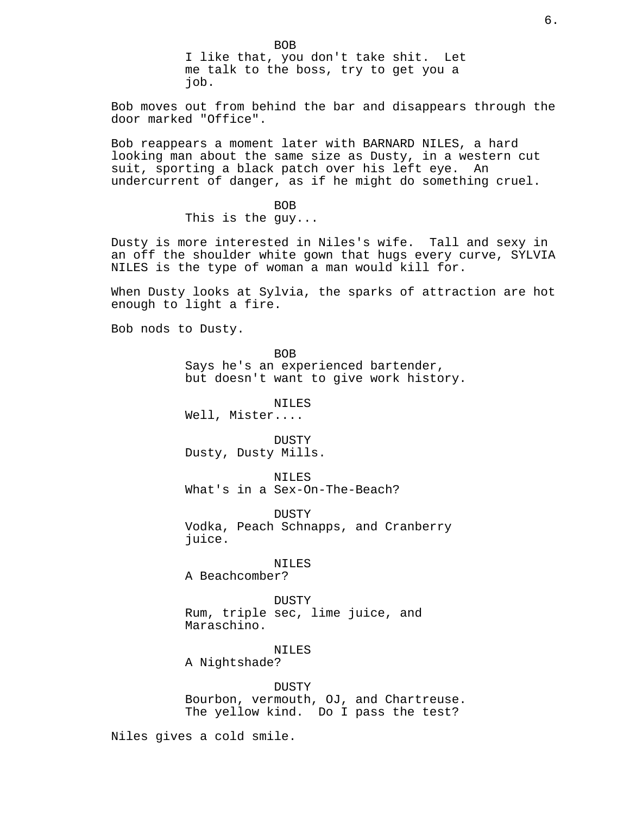BOB I like that, you don't take shit. Let me talk to the boss, try to get you a job.

Bob moves out from behind the bar and disappears through the door marked "Office".

Bob reappears a moment later with BARNARD NILES, a hard looking man about the same size as Dusty, in a western cut suit, sporting a black patch over his left eye. An undercurrent of danger, as if he might do something cruel.

> BOB This is the guy...

Dusty is more interested in Niles's wife. Tall and sexy in an off the shoulder white gown that hugs every curve, SYLVIA NILES is the type of woman a man would kill for.

When Dusty looks at Sylvia, the sparks of attraction are hot enough to light a fire.

Bob nods to Dusty.

BOB Says he's an experienced bartender, but doesn't want to give work history.

NILES

Well, Mister....

DUSTY Dusty, Dusty Mills.

NILES What's in a Sex-On-The-Beach?

DUSTY Vodka, Peach Schnapps, and Cranberry juice.

#### NILES

A Beachcomber?

DUSTY Rum, triple sec, lime juice, and Maraschino.

#### NILES

A Nightshade?

DUSTY Bourbon, vermouth, OJ, and Chartreuse. The yellow kind. Do I pass the test?

Niles gives a cold smile.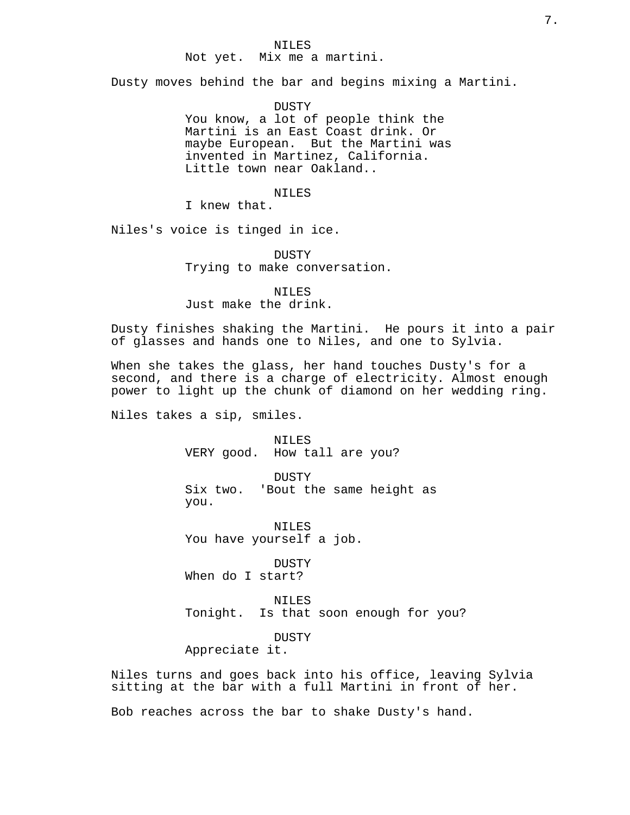#### NILES

# Not yet. Mix me a martini.

Dusty moves behind the bar and begins mixing a Martini.

DUSTY You know, a lot of people think the Martini is an East Coast drink. Or maybe European. But the Martini was invented in Martinez, California. Little town near Oakland..

# NILES

I knew that.

Niles's voice is tinged in ice.

DUSTY Trying to make conversation.

NILES Just make the drink.

Dusty finishes shaking the Martini. He pours it into a pair of glasses and hands one to Niles, and one to Sylvia.

When she takes the glass, her hand touches Dusty's for a second, and there is a charge of electricity. Almost enough power to light up the chunk of diamond on her wedding ring.

Niles takes a sip, smiles.

NILES VERY good. How tall are you?

DUSTY Six two. 'Bout the same height as you.

NILES You have yourself a job.

**DUSTY** When do I start?

NILES Tonight. Is that soon enough for you?

DUSTY

Appreciate it.

Niles turns and goes back into his office, leaving Sylvia sitting at the bar with a full Martini in front of her.

Bob reaches across the bar to shake Dusty's hand.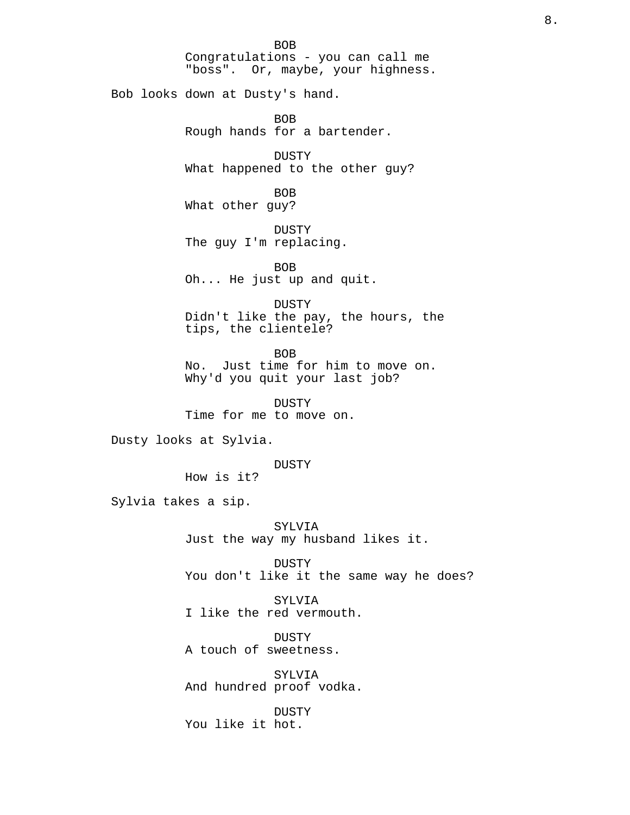BOB Congratulations - you can call me "boss". Or, maybe, your highness. Bob looks down at Dusty's hand. BOB Rough hands for a bartender. DUSTY What happened to the other guy? BOB What other guy? DUSTY The guy I'm replacing. BOB Oh... He just up and quit. DUSTY Didn't like the pay, the hours, the tips, the clientele? BOB No. Just time for him to move on. Why'd you quit your last job? DUSTY Time for me to move on.

Dusty looks at Sylvia.

DUSTY

How is it?

Sylvia takes a sip.

SYLVIA Just the way my husband likes it.

DUSTY You don't like it the same way he does?

SYLVIA I like the red vermouth.

DUSTY A touch of sweetness.

SYLVIA And hundred proof vodka.

DUSTY You like it hot.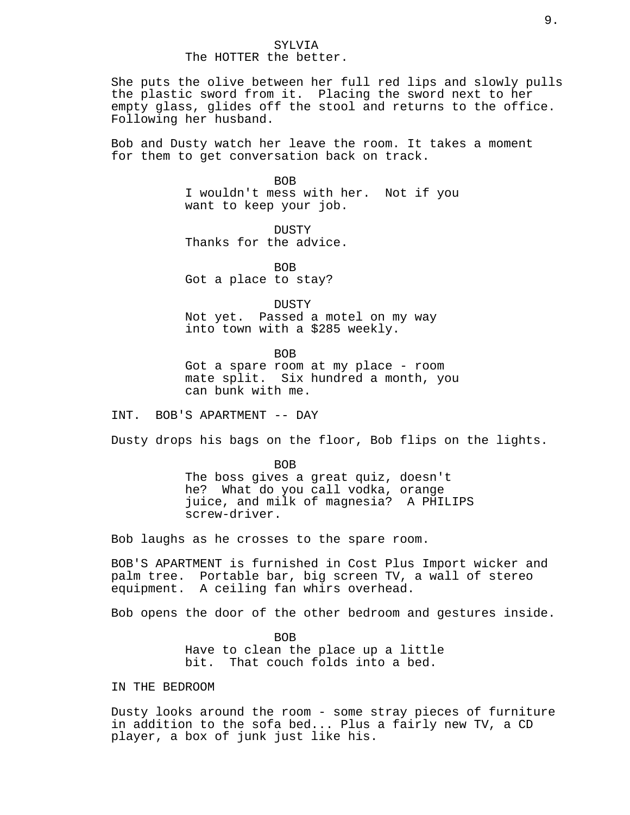# SYLVIA The HOTTER the better.

She puts the olive between her full red lips and slowly pulls the plastic sword from it. Placing the sword next to her empty glass, glides off the stool and returns to the office. Following her husband.

Bob and Dusty watch her leave the room. It takes a moment for them to get conversation back on track.

**BOB** 

I wouldn't mess with her. Not if you want to keep your job.

DUSTY Thanks for the advice.

BOB Got a place to stay?

DUSTY Not yet. Passed a motel on my way into town with a \$285 weekly.

BOB

Got a spare room at my place - room mate split. Six hundred a month, you can bunk with me.

INT. BOB'S APARTMENT -- DAY

Dusty drops his bags on the floor, Bob flips on the lights.

BOB The boss gives a great quiz, doesn't he? What do you call vodka, orange juice, and milk of magnesia? A PHILIPS screw-driver.

Bob laughs as he crosses to the spare room.

BOB'S APARTMENT is furnished in Cost Plus Import wicker and palm tree. Portable bar, big screen TV, a wall of stereo equipment. A ceiling fan whirs overhead.

Bob opens the door of the other bedroom and gestures inside.

BOB Have to clean the place up a little bit. That couch folds into a bed.

IN THE BEDROOM

Dusty looks around the room - some stray pieces of furniture in addition to the sofa bed... Plus a fairly new TV, a CD player, a box of junk just like his.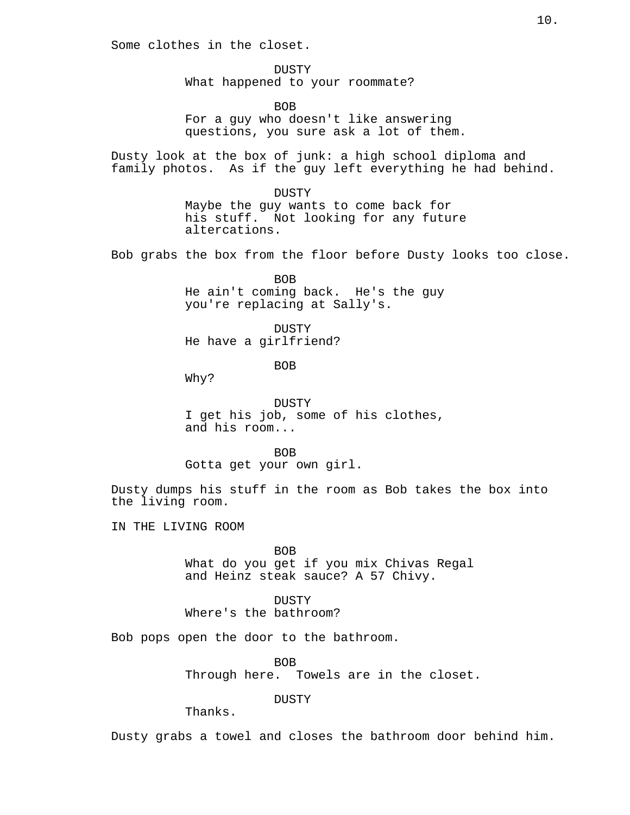Some clothes in the closet.

DUSTY What happened to your roommate?

BOB For a guy who doesn't like answering questions, you sure ask a lot of them.

Dusty look at the box of junk: a high school diploma and family photos. As if the guy left everything he had behind.

> DUSTY Maybe the guy wants to come back for his stuff. Not looking for any future altercations.

Bob grabs the box from the floor before Dusty looks too close.

BOB He ain't coming back. He's the guy you're replacing at Sally's.

DUSTY He have a girlfriend?

BOB

Why?

DUSTY I get his job, some of his clothes, and his room...

BOB

Gotta get your own girl.

Dusty dumps his stuff in the room as Bob takes the box into the living room.

IN THE LIVING ROOM

BOB What do you get if you mix Chivas Regal and Heinz steak sauce? A 57 Chivy.

**DUSTY** Where's the bathroom?

Bob pops open the door to the bathroom.

BOB

Through here. Towels are in the closet.

DUSTY

Thanks.

Dusty grabs a towel and closes the bathroom door behind him.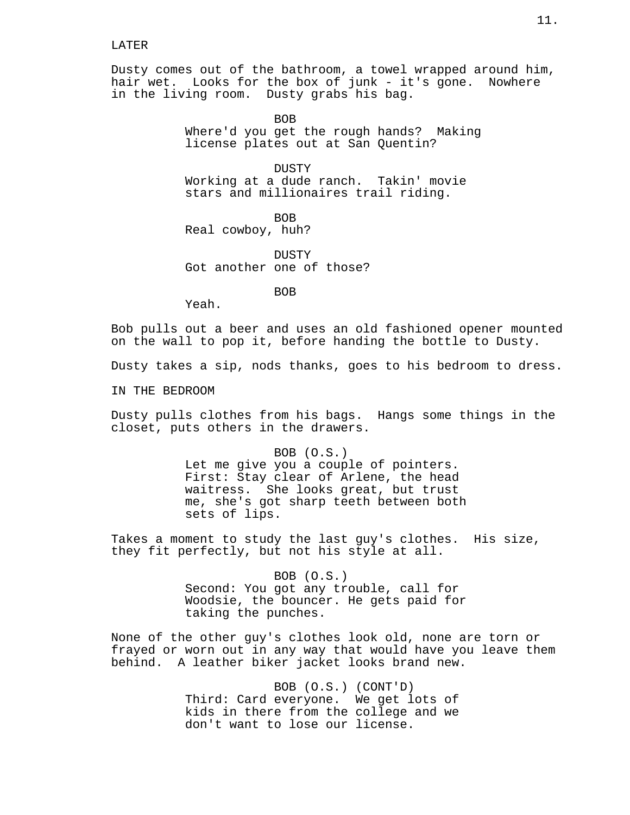#### LATER

Dusty comes out of the bathroom, a towel wrapped around him, hair wet. Looks for the box of junk - it's gone. Nowhere in the living room. Dusty grabs his bag.

> BOB Where'd you get the rough hands? Making license plates out at San Quentin?

DUSTY Working at a dude ranch. Takin' movie stars and millionaires trail riding.

**BOB** Real cowboy, huh?

DUSTY Got another one of those?

BOB

Yeah.

Bob pulls out a beer and uses an old fashioned opener mounted on the wall to pop it, before handing the bottle to Dusty.

Dusty takes a sip, nods thanks, goes to his bedroom to dress.

IN THE BEDROOM

Dusty pulls clothes from his bags. Hangs some things in the closet, puts others in the drawers.

> BOB (O.S.) Let me give you a couple of pointers. First: Stay clear of Arlene, the head waitress. She looks great, but trust me, she's got sharp teeth between both sets of lips.

Takes a moment to study the last guy's clothes. His size, they fit perfectly, but not his style at all.

> BOB (O.S.) Second: You got any trouble, call for Woodsie, the bouncer. He gets paid for taking the punches.

None of the other guy's clothes look old, none are torn or frayed or worn out in any way that would have you leave them behind. A leather biker jacket looks brand new.

> BOB (O.S.) (CONT'D) Third: Card everyone. We get lots of kids in there from the college and we don't want to lose our license.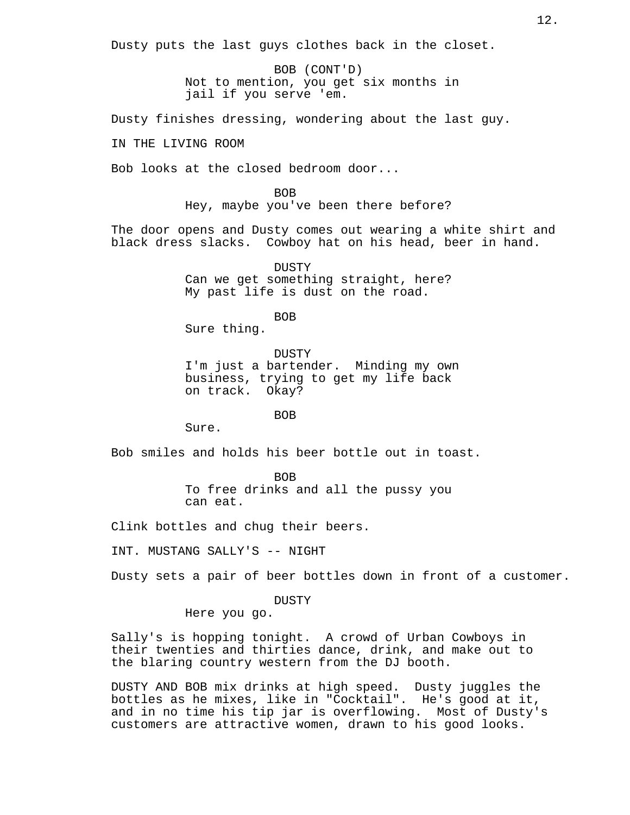Dusty puts the last guys clothes back in the closet.

BOB (CONT'D) Not to mention, you get six months in jail if you serve 'em.

Dusty finishes dressing, wondering about the last guy.

IN THE LIVING ROOM

Bob looks at the closed bedroom door...

BOB Hey, maybe you've been there before?

The door opens and Dusty comes out wearing a white shirt and black dress slacks. Cowboy hat on his head, beer in hand.

> DUSTY Can we get something straight, here? My past life is dust on the road.

> > BOB

Sure thing.

**DUSTY** I'm just a bartender. Minding my own business, trying to get my life back on track. Okay?

BOB

Sure.

Bob smiles and holds his beer bottle out in toast.

BOB To free drinks and all the pussy you can eat.

Clink bottles and chug their beers.

INT. MUSTANG SALLY'S -- NIGHT

Dusty sets a pair of beer bottles down in front of a customer.

DUSTY

Here you go.

Sally's is hopping tonight. A crowd of Urban Cowboys in their twenties and thirties dance, drink, and make out to the blaring country western from the DJ booth.

DUSTY AND BOB mix drinks at high speed. Dusty juggles the bottles as he mixes, like in "Cocktail". He's good at it, and in no time his tip jar is overflowing. Most of Dusty's customers are attractive women, drawn to his good looks.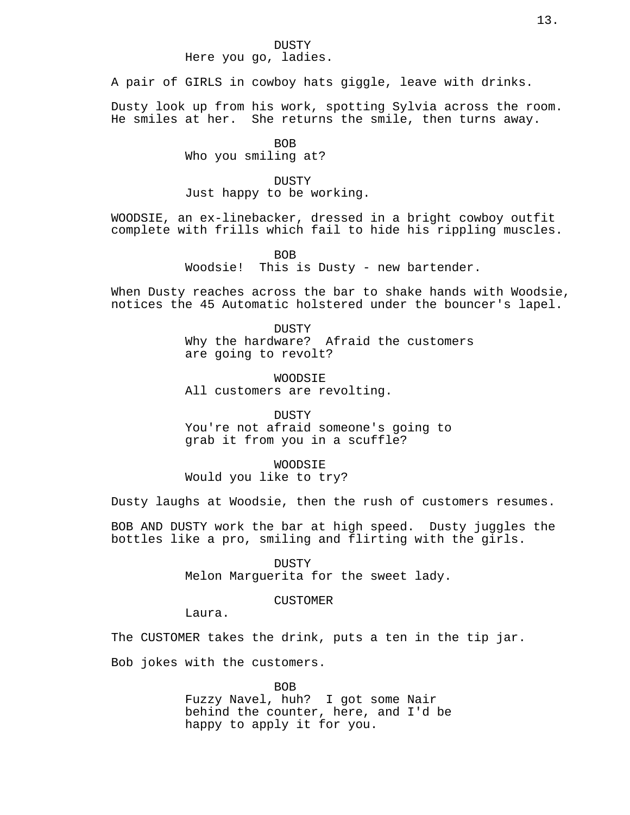A pair of GIRLS in cowboy hats giggle, leave with drinks.

Dusty look up from his work, spotting Sylvia across the room. He smiles at her. She returns the smile, then turns away.

BOB

Who you smiling at?

# DUSTY

Just happy to be working.

WOODSIE, an ex-linebacker, dressed in a bright cowboy outfit complete with frills which fail to hide his rippling muscles.

BOB

Woodsie! This is Dusty - new bartender.

When Dusty reaches across the bar to shake hands with Woodsie, notices the 45 Automatic holstered under the bouncer's lapel.

> DUSTY Why the hardware? Afraid the customers are going to revolt?

WOODSIE All customers are revolting.

**DUSTY** You're not afraid someone's going to grab it from you in a scuffle?

WOODSIE Would you like to try?

Dusty laughs at Woodsie, then the rush of customers resumes.

BOB AND DUSTY work the bar at high speed. Dusty juggles the bottles like a pro, smiling and flirting with the girls.

> DUSTY Melon Marguerita for the sweet lady.

> > CUSTOMER

Laura.

The CUSTOMER takes the drink, puts a ten in the tip jar.

Bob jokes with the customers.

BOB Fuzzy Navel, huh? I got some Nair behind the counter, here, and I'd be happy to apply it for you.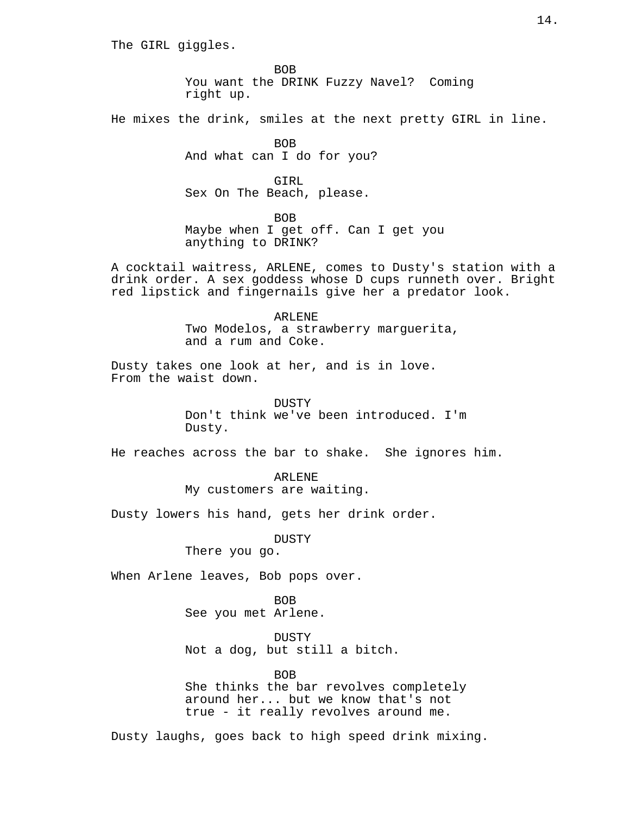The GIRL giggles.

BOB You want the DRINK Fuzzy Navel? Coming right up.

He mixes the drink, smiles at the next pretty GIRL in line.

BOB And what can I do for you?

GIRL Sex On The Beach, please.

BOB

Maybe when I get off. Can I get you anything to DRINK?

A cocktail waitress, ARLENE, comes to Dusty's station with a drink order. A sex goddess whose D cups runneth over. Bright red lipstick and fingernails give her a predator look.

> ARLENE Two Modelos, a strawberry marguerita, and a rum and Coke.

Dusty takes one look at her, and is in love. From the waist down.

> DUSTY Don't think we've been introduced. I'm Dusty.

He reaches across the bar to shake. She ignores him.

ARLENE My customers are waiting.

Dusty lowers his hand, gets her drink order.

DUSTY

There you go.

When Arlene leaves, Bob pops over.

BOB See you met Arlene.

DUSTY Not a dog, but still a bitch.

BOB

She thinks the bar revolves completely around her... but we know that's not true - it really revolves around me.

Dusty laughs, goes back to high speed drink mixing.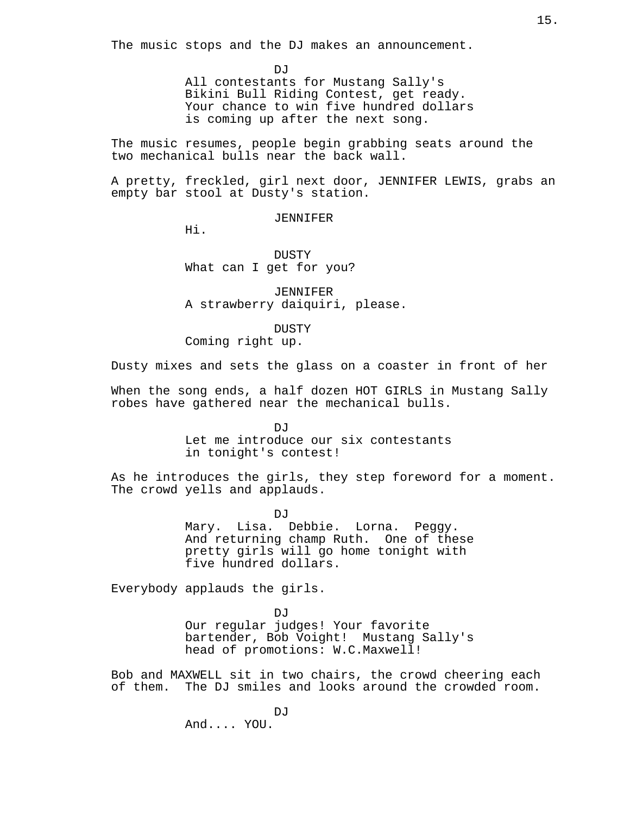The music stops and the DJ makes an announcement.

DJ<sub>J</sub>

All contestants for Mustang Sally's Bikini Bull Riding Contest, get ready. Your chance to win five hundred dollars is coming up after the next song.

The music resumes, people begin grabbing seats around the two mechanical bulls near the back wall.

A pretty, freckled, girl next door, JENNIFER LEWIS, grabs an empty bar stool at Dusty's station.

#### JENNIFER

Hi.

DUSTY What can I get for you?

JENNIFER A strawberry daiquiri, please.

DUSTY

Coming right up.

Dusty mixes and sets the glass on a coaster in front of her

When the song ends, a half dozen HOT GIRLS in Mustang Sally robes have gathered near the mechanical bulls.

> $D_{1}T$ Let me introduce our six contestants in tonight's contest!

As he introduces the girls, they step foreword for a moment. The crowd yells and applauds.

> DJ<sub>J</sub> Mary. Lisa. Debbie. Lorna. Peggy. And returning champ Ruth. One of these pretty girls will go home tonight with five hundred dollars.

Everybody applauds the girls.

DJ<sub>J</sub> Our regular judges! Your favorite bartender, Bob Voight! Mustang Sally's head of promotions: W.C.Maxwell!

Bob and MAXWELL sit in two chairs, the crowd cheering each of them. The DJ smiles and looks around the crowded room.

> DJ. And.... YOU.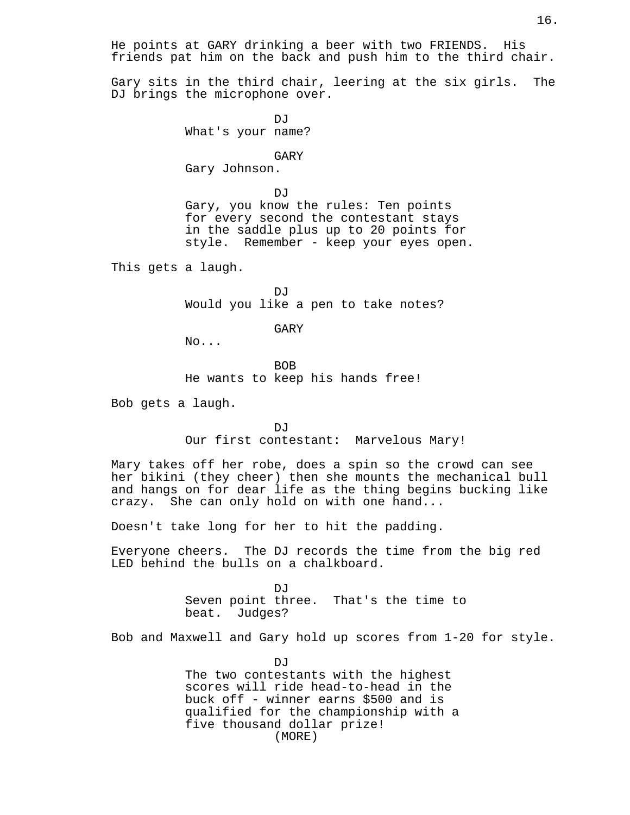He points at GARY drinking a beer with two FRIENDS. His friends pat him on the back and push him to the third chair.

Gary sits in the third chair, leering at the six girls. The DJ brings the microphone over.

> DJ<sub>J</sub> What's your name?

#### GARY

Gary Johnson.

DJ<sub>J</sub> Gary, you know the rules: Ten points for every second the contestant stays in the saddle plus up to 20 points for style. Remember - keep your eyes open.

This gets a laugh.

 $\overline{D}$ Would you like a pen to take notes?

# GARY

No...

BOB He wants to keep his hands free!

Bob gets a laugh.

DJ. Our first contestant: Marvelous Mary!

Mary takes off her robe, does a spin so the crowd can see her bikini (they cheer) then she mounts the mechanical bull and hangs on for dear life as the thing begins bucking like crazy. She can only hold on with one hand...

Doesn't take long for her to hit the padding.

Everyone cheers. The DJ records the time from the big red LED behind the bulls on a chalkboard.

> DJ<sub>J</sub> Seven point three. That's the time to beat. Judges?

Bob and Maxwell and Gary hold up scores from 1-20 for style.

DJ The two contestants with the highest scores will ride head-to-head in the buck off - winner earns \$500 and is qualified for the championship with a five thousand dollar prize! (MORE)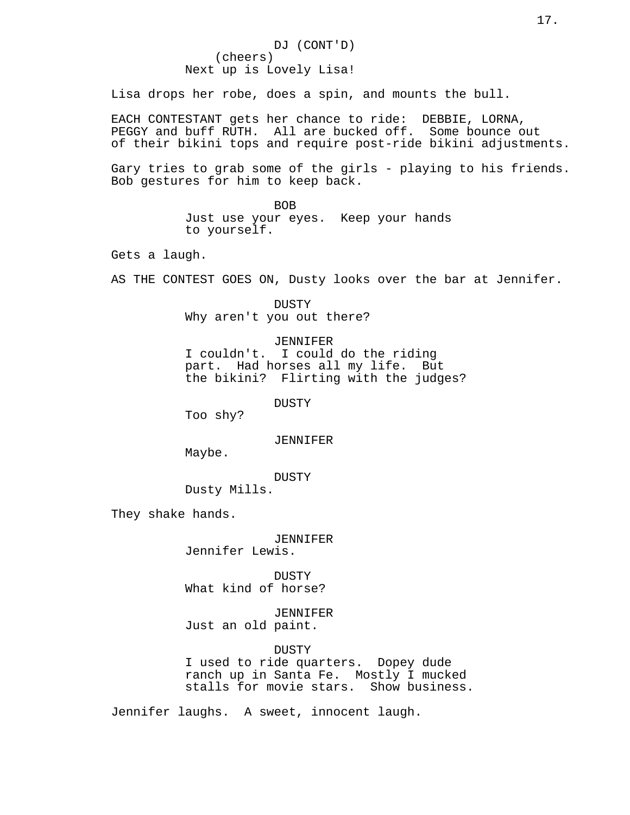Lisa drops her robe, does a spin, and mounts the bull.

EACH CONTESTANT gets her chance to ride: DEBBIE, LORNA, PEGGY and buff RUTH. All are bucked off. Some bounce out of their bikini tops and require post-ride bikini adjustments.

Gary tries to grab some of the girls - playing to his friends. Bob gestures for him to keep back.

> BOB Just use your eyes. Keep your hands to yourself.

Gets a laugh.

AS THE CONTEST GOES ON, Dusty looks over the bar at Jennifer.

DUSTY Why aren't you out there?

JENNIFER I couldn't. I could do the riding part. Had horses all my life. But the bikini? Flirting with the judges?

DUSTY

Too shy?

JENNIFER

Maybe.

DUSTY

Dusty Mills.

They shake hands.

JENNIFER Jennifer Lewis.

DUSTY What kind of horse?

JENNIFER Just an old paint.

DUSTY I used to ride quarters. Dopey dude ranch up in Santa Fe. Mostly I mucked stalls for movie stars. Show business.

Jennifer laughs. A sweet, innocent laugh.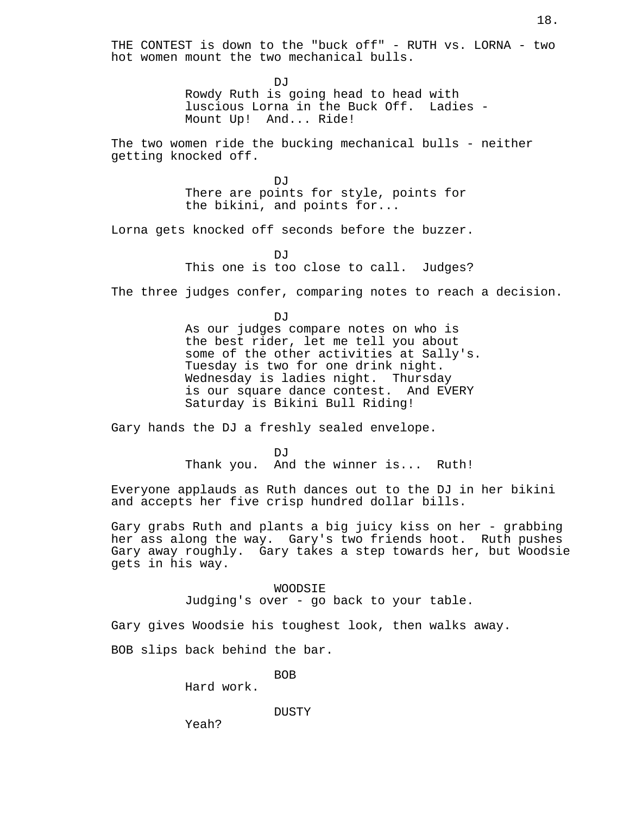THE CONTEST is down to the "buck off" - RUTH vs. LORNA - two hot women mount the two mechanical bulls.

> $D_{1}T$ Rowdy Ruth is going head to head with luscious Lorna in the Buck Off. Ladies - Mount Up! And... Ride!

The two women ride the bucking mechanical bulls - neither getting knocked off.

> **DJ** There are points for style, points for the bikini, and points for...

Lorna gets knocked off seconds before the buzzer.

DJ<sub>J</sub> This one is too close to call. Judges?

The three judges confer, comparing notes to reach a decision.

**DJ** As our judges compare notes on who is the best rider, let me tell you about some of the other activities at Sally's. Tuesday is two for one drink night. Wednesday is ladies night. Thursday is our square dance contest. And EVERY Saturday is Bikini Bull Riding!

Gary hands the DJ a freshly sealed envelope.

DJ<sub>1</sub> Thank you. And the winner is... Ruth!

Everyone applauds as Ruth dances out to the DJ in her bikini and accepts her five crisp hundred dollar bills.

Gary grabs Ruth and plants a big juicy kiss on her - grabbing her ass along the way. Gary's two friends hoot. Ruth pushes Gary away roughly. Gary takes a step towards her, but Woodsie gets in his way.

> WOODSIE Judging's over - go back to your table.

Gary gives Woodsie his toughest look, then walks away.

BOB slips back behind the bar.

BOB

Hard work.

DUSTY

Yeah?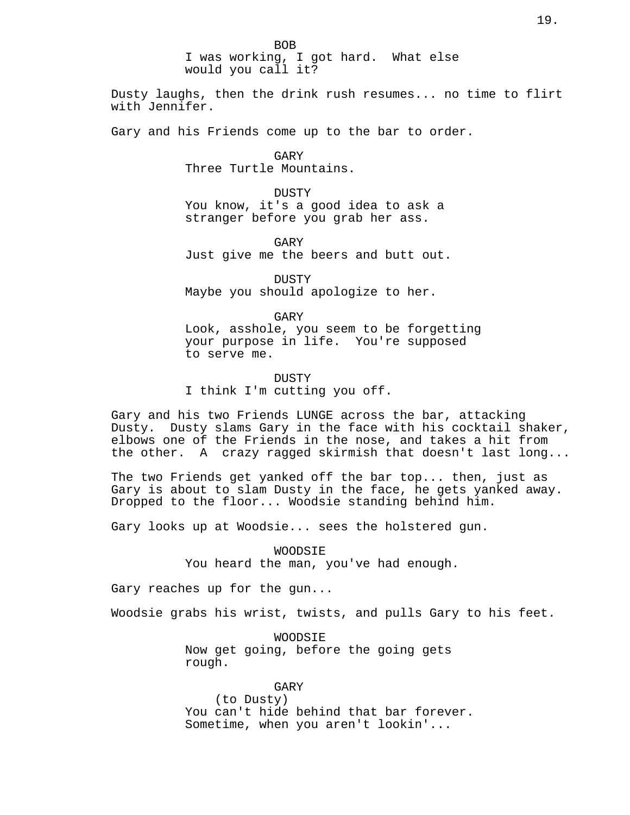I was working, I got hard. What else would you call it?

Dusty laughs, then the drink rush resumes... no time to flirt with Jennifer.

Gary and his Friends come up to the bar to order.

GARY Three Turtle Mountains.

DUSTY You know, it's a good idea to ask a stranger before you grab her ass.

GARY Just give me the beers and butt out.

DUSTY Maybe you should apologize to her.

GARY Look, asshole, you seem to be forgetting your purpose in life. You're supposed to serve me.

DUSTY I think I'm cutting you off.

Gary and his two Friends LUNGE across the bar, attacking Dusty. Dusty slams Gary in the face with his cocktail shaker, elbows one of the Friends in the nose, and takes a hit from the other. A crazy ragged skirmish that doesn't last long...

The two Friends get yanked off the bar top... then, just as Gary is about to slam Dusty in the face, he gets yanked away. Dropped to the floor... Woodsie standing behind him.

Gary looks up at Woodsie... sees the holstered gun.

WOODSIE You heard the man, you've had enough.

Gary reaches up for the gun...

Woodsie grabs his wrist, twists, and pulls Gary to his feet.

WOODSIE Now get going, before the going gets rough.

GARY (to Dusty) You can't hide behind that bar forever. Sometime, when you aren't lookin'...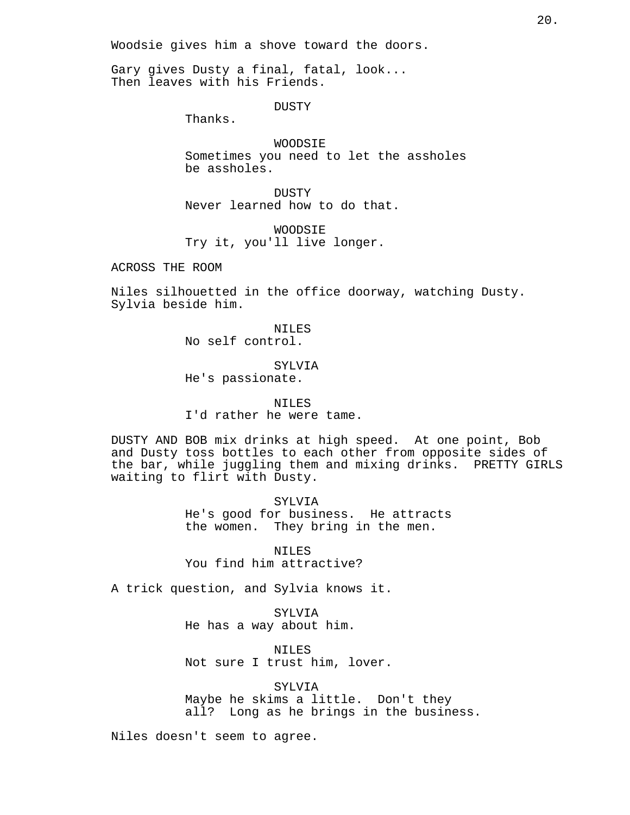Woodsie gives him a shove toward the doors.

Gary gives Dusty a final, fatal, look... Then leaves with his Friends.

DUSTY

Thanks.

WOODSIE Sometimes you need to let the assholes be assholes.

DUSTY Never learned how to do that.

WOODSIE Try it, you'll live longer.

ACROSS THE ROOM

Niles silhouetted in the office doorway, watching Dusty. Sylvia beside him.

> NILES No self control.

SYLVIA He's passionate.

NILES I'd rather he were tame.

DUSTY AND BOB mix drinks at high speed. At one point, Bob and Dusty toss bottles to each other from opposite sides of the bar, while juggling them and mixing drinks. PRETTY GIRLS waiting to flirt with Dusty.

> SYLVIA He's good for business. He attracts the women. They bring in the men.

NILES You find him attractive?

A trick question, and Sylvia knows it.

SYLVIA He has a way about him.

NILES Not sure I trust him, lover.

SYLVIA Maybe he skims a little. Don't they all? Long as he brings in the business.

Niles doesn't seem to agree.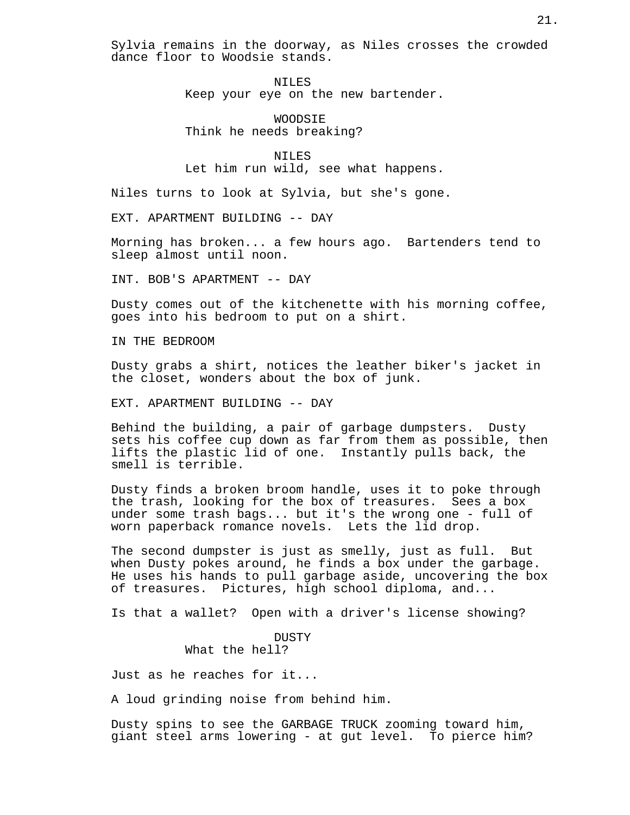Sylvia remains in the doorway, as Niles crosses the crowded dance floor to Woodsie stands.

> NILES Keep your eye on the new bartender.

WOODSIE Think he needs breaking?

NILES Let him run wild, see what happens.

Niles turns to look at Sylvia, but she's gone.

EXT. APARTMENT BUILDING -- DAY

Morning has broken... a few hours ago. Bartenders tend to sleep almost until noon.

INT. BOB'S APARTMENT -- DAY

Dusty comes out of the kitchenette with his morning coffee, goes into his bedroom to put on a shirt.

IN THE BEDROOM

Dusty grabs a shirt, notices the leather biker's jacket in the closet, wonders about the box of junk.

EXT. APARTMENT BUILDING -- DAY

Behind the building, a pair of garbage dumpsters. Dusty sets his coffee cup down as far from them as possible, then lifts the plastic lid of one. Instantly pulls back, the smell is terrible.

Dusty finds a broken broom handle, uses it to poke through the trash, looking for the box of treasures. Sees a box under some trash bags... but it's the wrong one - full of worn paperback romance novels. Lets the lid drop.

The second dumpster is just as smelly, just as full. But when Dusty pokes around, he finds a box under the garbage. He uses his hands to pull garbage aside, uncovering the box of treasures. Pictures, high school diploma, and...

Is that a wallet? Open with a driver's license showing?

# DUSTY What the hell?

Just as he reaches for it...

A loud grinding noise from behind him.

Dusty spins to see the GARBAGE TRUCK zooming toward him, giant steel arms lowering - at gut level. To pierce him?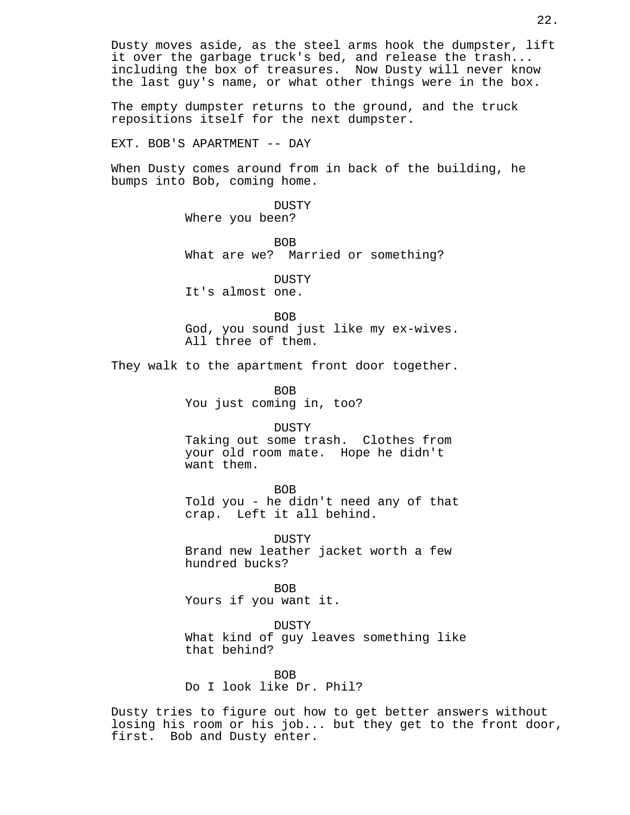Dusty moves aside, as the steel arms hook the dumpster, lift it over the garbage truck's bed, and release the trash... including the box of treasures. Now Dusty will never know the last guy's name, or what other things were in the box.

The empty dumpster returns to the ground, and the truck repositions itself for the next dumpster.

EXT. BOB'S APARTMENT -- DAY

When Dusty comes around from in back of the building, he bumps into Bob, coming home.

> DUSTY Where you been?

BOB What are we? Married or something?

DUSTY It's almost one.

BOB

God, you sound just like my ex-wives. All three of them.

They walk to the apartment front door together.

BOB You just coming in, too?

DUSTY

Taking out some trash. Clothes from your old room mate. Hope he didn't want them.

BOB

Told you - he didn't need any of that crap. Left it all behind.

DUSTY Brand new leather jacket worth a few hundred bucks?

BOB Yours if you want it.

DUSTY What kind of guy leaves something like that behind?

BOB Do I look like Dr. Phil?

Dusty tries to figure out how to get better answers without losing his room or his job... but they get to the front door, first. Bob and Dusty enter.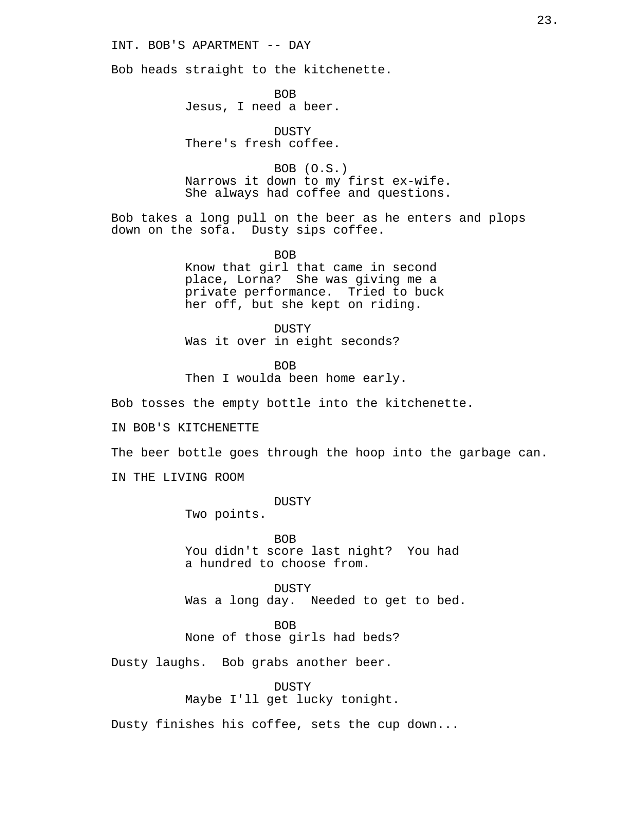# INT. BOB'S APARTMENT -- DAY

Bob heads straight to the kitchenette.

BOB Jesus, I need a beer.

DUSTY There's fresh coffee.

BOB (O.S.) Narrows it down to my first ex-wife. She always had coffee and questions.

Bob takes a long pull on the beer as he enters and plops down on the sofa. Dusty sips coffee.

> BOB Know that girl that came in second place, Lorna? She was giving me a private performance. Tried to buck her off, but she kept on riding.

DUSTY Was it over in eight seconds?

BOB Then I woulda been home early.

Bob tosses the empty bottle into the kitchenette.

IN BOB'S KITCHENETTE

The beer bottle goes through the hoop into the garbage can.

IN THE LIVING ROOM

DUSTY

Two points.

BOB You didn't score last night? You had a hundred to choose from.

DUSTY Was a long day. Needed to get to bed.

BOB None of those girls had beds?

Dusty laughs. Bob grabs another beer.

DUSTY Maybe I'll get lucky tonight.

Dusty finishes his coffee, sets the cup down...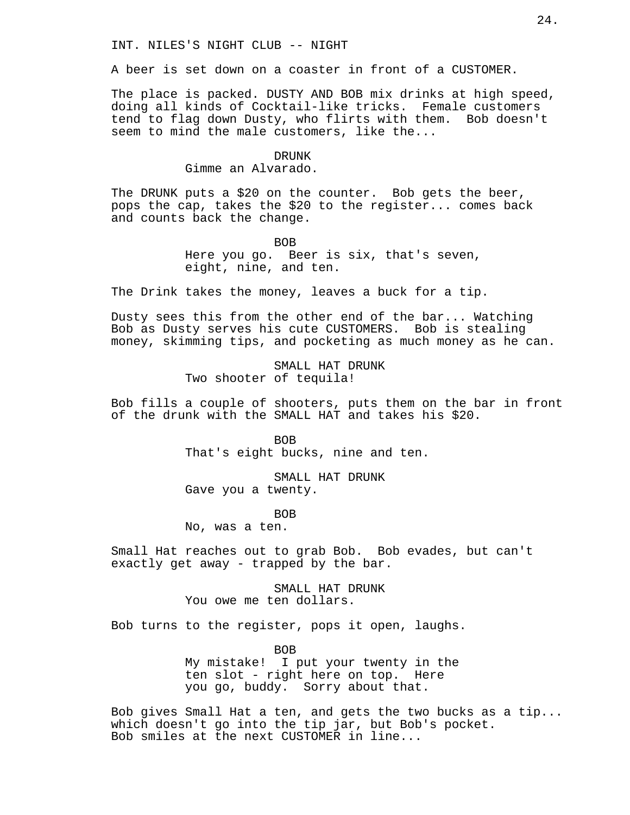A beer is set down on a coaster in front of a CUSTOMER.

The place is packed. DUSTY AND BOB mix drinks at high speed, doing all kinds of Cocktail-like tricks. Female customers tend to flag down Dusty, who flirts with them. Bob doesn't seem to mind the male customers, like the...

#### DRUNK

#### Gimme an Alvarado.

The DRUNK puts a \$20 on the counter. Bob gets the beer, pops the cap, takes the \$20 to the register... comes back and counts back the change.

> BOB Here you go. Beer is six, that's seven, eight, nine, and ten.

The Drink takes the money, leaves a buck for a tip.

Dusty sees this from the other end of the bar... Watching Bob as Dusty serves his cute CUSTOMERS. Bob is stealing money, skimming tips, and pocketing as much money as he can.

> SMALL HAT DRUNK Two shooter of tequila!

Bob fills a couple of shooters, puts them on the bar in front of the drunk with the SMALL HAT and takes his \$20.

> BOB That's eight bucks, nine and ten.

SMALL HAT DRUNK Gave you a twenty.

BOB

No, was a ten.

Small Hat reaches out to grab Bob. Bob evades, but can't exactly get away - trapped by the bar.

> SMALL HAT DRUNK You owe me ten dollars.

Bob turns to the register, pops it open, laughs.

BOB My mistake! I put your twenty in the ten slot - right here on top. Here you go, buddy. Sorry about that.

Bob gives Small Hat a ten, and gets the two bucks as a tip... which doesn't go into the tip jar, but Bob's pocket. Bob smiles at the next CUSTOMER in line...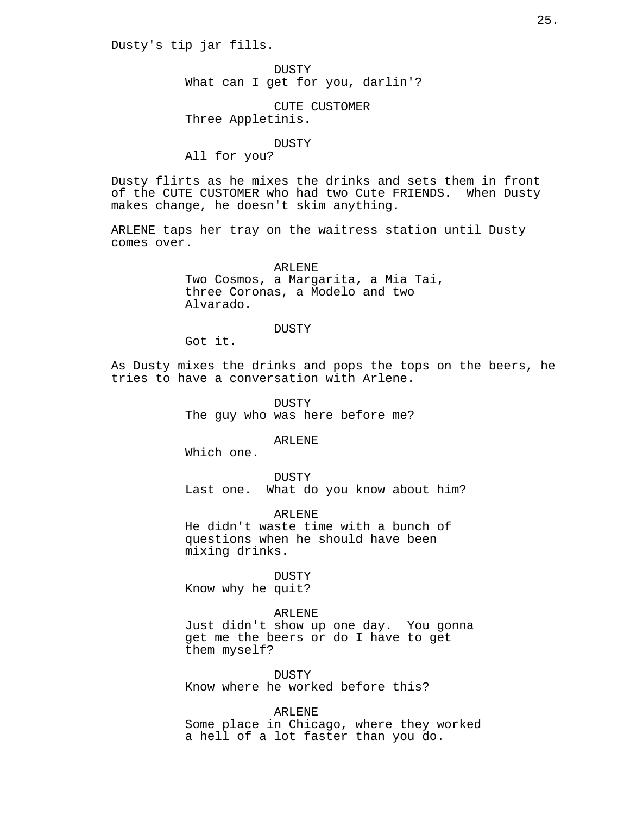Dusty's tip jar fills.

DUSTY What can I get for you, darlin'?

CUTE CUSTOMER Three Appletinis.

#### DUSTY

All for you?

Dusty flirts as he mixes the drinks and sets them in front of the CUTE CUSTOMER who had two Cute FRIENDS. When Dusty makes change, he doesn't skim anything.

ARLENE taps her tray on the waitress station until Dusty comes over.

> ARLENE Two Cosmos, a Margarita, a Mia Tai, three Coronas, a Modelo and two Alvarado.

### DUSTY

Got it.

As Dusty mixes the drinks and pops the tops on the beers, he tries to have a conversation with Arlene.

> DUSTY The guy who was here before me?

> > ARLENE

Which one.

DUSTY Last one. What do you know about him?

ARLENE He didn't waste time with a bunch of

questions when he should have been mixing drinks.

DUSTY Know why he quit?

# ARLENE

Just didn't show up one day. You gonna get me the beers or do I have to get them myself?

DUSTY

Know where he worked before this?

ARLENE

Some place in Chicago, where they worked a hell of a lot faster than you do.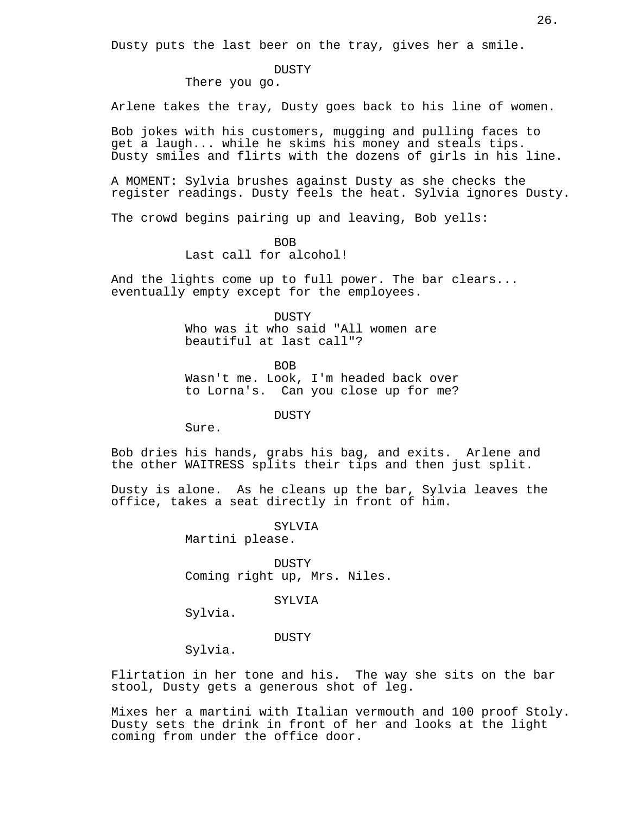Dusty puts the last beer on the tray, gives her a smile.

#### DUSTY

There you go.

Arlene takes the tray, Dusty goes back to his line of women.

Bob jokes with his customers, mugging and pulling faces to get a laugh... while he skims his money and steals tips. Dusty smiles and flirts with the dozens of girls in his line.

A MOMENT: Sylvia brushes against Dusty as she checks the register readings. Dusty feels the heat. Sylvia ignores Dusty.

The crowd begins pairing up and leaving, Bob yells:

BOB

Last call for alcohol!

And the lights come up to full power. The bar clears... eventually empty except for the employees.

> DUSTY Who was it who said "All women are beautiful at last call"?

**BOB** Wasn't me. Look, I'm headed back over to Lorna's. Can you close up for me?

DUSTY

Sure.

Bob dries his hands, grabs his bag, and exits. Arlene and the other WAITRESS splits their tips and then just split.

Dusty is alone. As he cleans up the bar, Sylvia leaves the office, takes a seat directly in front of him.

> SYLVIA Martini please.

DUSTY Coming right up, Mrs. Niles.

SYLVIA

Sylvia.

DUSTY

Sylvia.

Flirtation in her tone and his. The way she sits on the bar stool, Dusty gets a generous shot of leg.

Mixes her a martini with Italian vermouth and 100 proof Stoly. Dusty sets the drink in front of her and looks at the light coming from under the office door.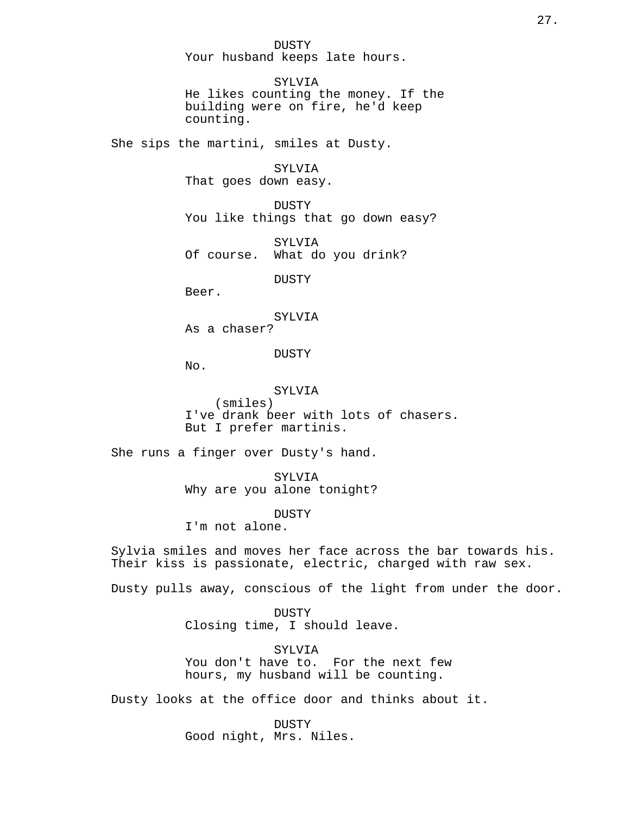DUSTY Your husband keeps late hours.

SYLVIA He likes counting the money. If the building were on fire, he'd keep counting.

She sips the martini, smiles at Dusty.

SYLVIA

That goes down easy.

DUSTY You like things that go down easy?

SYLVIA Of course. What do you drink?

DUSTY

Beer.

SYLVIA

As a chaser?

DUSTY

No.

SYLVIA

(smiles) I've drank beer with lots of chasers. But I prefer martinis.

She runs a finger over Dusty's hand.

SYLVIA Why are you alone tonight?

DUSTY

I'm not alone.

Sylvia smiles and moves her face across the bar towards his. Their kiss is passionate, electric, charged with raw sex.

Dusty pulls away, conscious of the light from under the door.

DUSTY Closing time, I should leave.

SYLVIA You don't have to. For the next few hours, my husband will be counting.

Dusty looks at the office door and thinks about it.

DUSTY Good night, Mrs. Niles.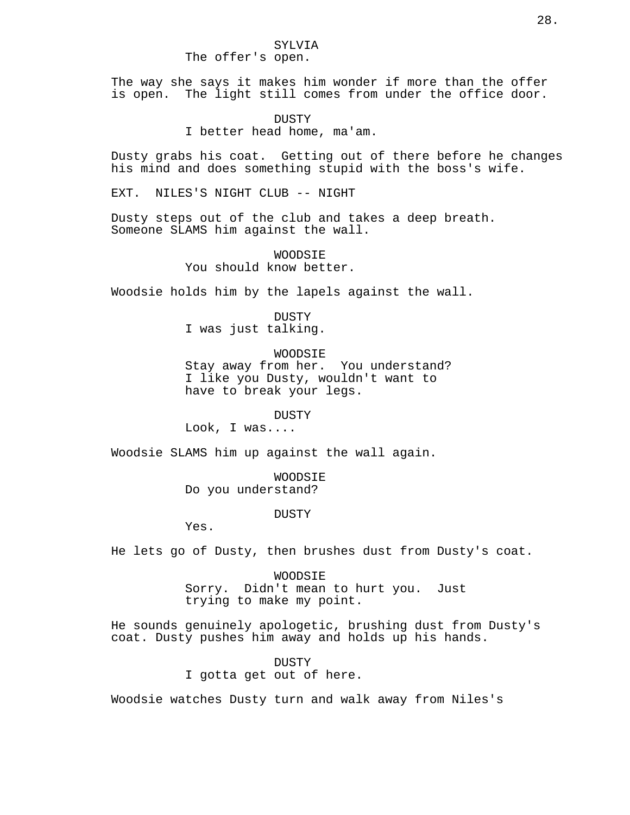#### SYLVIA The offer's open.

The way she says it makes him wonder if more than the offer is open. The light still comes from under the office door.

DUSTY

I better head home, ma'am.

Dusty grabs his coat. Getting out of there before he changes his mind and does something stupid with the boss's wife.

EXT. NILES'S NIGHT CLUB -- NIGHT

Dusty steps out of the club and takes a deep breath. Someone SLAMS him against the wall.

> WOODSIE You should know better.

Woodsie holds him by the lapels against the wall.

DUSTY I was just talking.

WOODSIE

Stay away from her. You understand? I like you Dusty, wouldn't want to have to break your legs.

**DUSTY** 

Look, I was....

Woodsie SLAMS him up against the wall again.

WOODSIE Do you understand?

DUSTY

Yes.

He lets go of Dusty, then brushes dust from Dusty's coat.

WOODSIE Sorry. Didn't mean to hurt you. Just trying to make my point.

He sounds genuinely apologetic, brushing dust from Dusty's coat. Dusty pushes him away and holds up his hands.

DUSTY

I gotta get out of here.

Woodsie watches Dusty turn and walk away from Niles's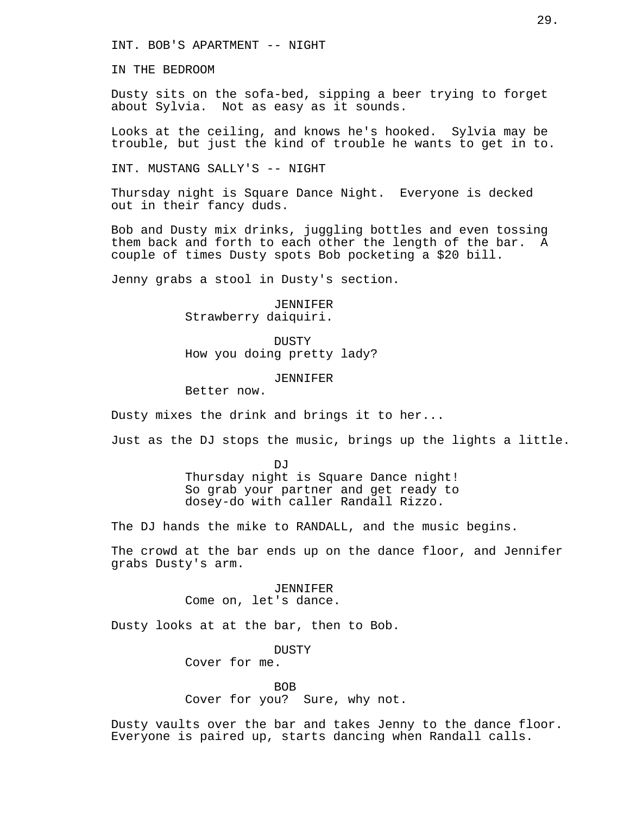INT. BOB'S APARTMENT -- NIGHT

IN THE BEDROOM

Dusty sits on the sofa-bed, sipping a beer trying to forget about Sylvia. Not as easy as it sounds.

Looks at the ceiling, and knows he's hooked. Sylvia may be trouble, but just the kind of trouble he wants to get in to.

INT. MUSTANG SALLY'S -- NIGHT

Thursday night is Square Dance Night. Everyone is decked out in their fancy duds.

Bob and Dusty mix drinks, juggling bottles and even tossing them back and forth to each other the length of the bar. A couple of times Dusty spots Bob pocketing a \$20 bill.

Jenny grabs a stool in Dusty's section.

JENNIFER Strawberry daiquiri.

DUSTY How you doing pretty lady?

# JENNIFER

Better now.

Dusty mixes the drink and brings it to her...

Just as the DJ stops the music, brings up the lights a little.

DJ<sub>J</sub> Thursday night is Square Dance night! So grab your partner and get ready to dosey-do with caller Randall Rizzo.

The DJ hands the mike to RANDALL, and the music begins.

The crowd at the bar ends up on the dance floor, and Jennifer grabs Dusty's arm.

> JENNIFER Come on, let's dance.

Dusty looks at at the bar, then to Bob.

DUSTY

Cover for me.

BOB

Cover for you? Sure, why not.

Dusty vaults over the bar and takes Jenny to the dance floor. Everyone is paired up, starts dancing when Randall calls.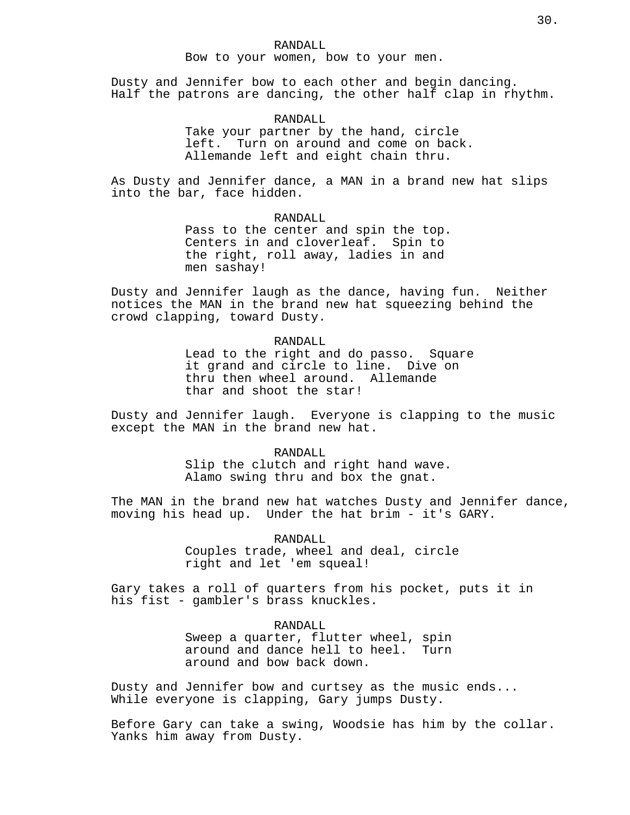#### RANDALL

Bow to your women, bow to your men.

Dusty and Jennifer bow to each other and begin dancing. Half the patrons are dancing, the other half clap in rhythm.

# RANDALL

Take your partner by the hand, circle left. Turn on around and come on back. Allemande left and eight chain thru.

As Dusty and Jennifer dance, a MAN in a brand new hat slips into the bar, face hidden.

# RANDALL

Pass to the center and spin the top. Centers in and cloverleaf. Spin to the right, roll away, ladies in and men sashay!

Dusty and Jennifer laugh as the dance, having fun. Neither notices the MAN in the brand new hat squeezing behind the crowd clapping, toward Dusty.

#### RANDALL

Lead to the right and do passo. Square it grand and circle to line. Dive on thru then wheel around. Allemande thar and shoot the star!

Dusty and Jennifer laugh. Everyone is clapping to the music except the MAN in the brand new hat.

#### RANDALL

Slip the clutch and right hand wave. Alamo swing thru and box the gnat.

The MAN in the brand new hat watches Dusty and Jennifer dance, moving his head up. Under the hat brim - it's GARY.

> RANDALL Couples trade, wheel and deal, circle right and let 'em squeal!

Gary takes a roll of quarters from his pocket, puts it in his fist - gambler's brass knuckles.

#### RANDALL

Sweep a quarter, flutter wheel, spin around and dance hell to heel. Turn around and bow back down.

Dusty and Jennifer bow and curtsey as the music ends... While everyone is clapping, Gary jumps Dusty.

Before Gary can take a swing, Woodsie has him by the collar. Yanks him away from Dusty.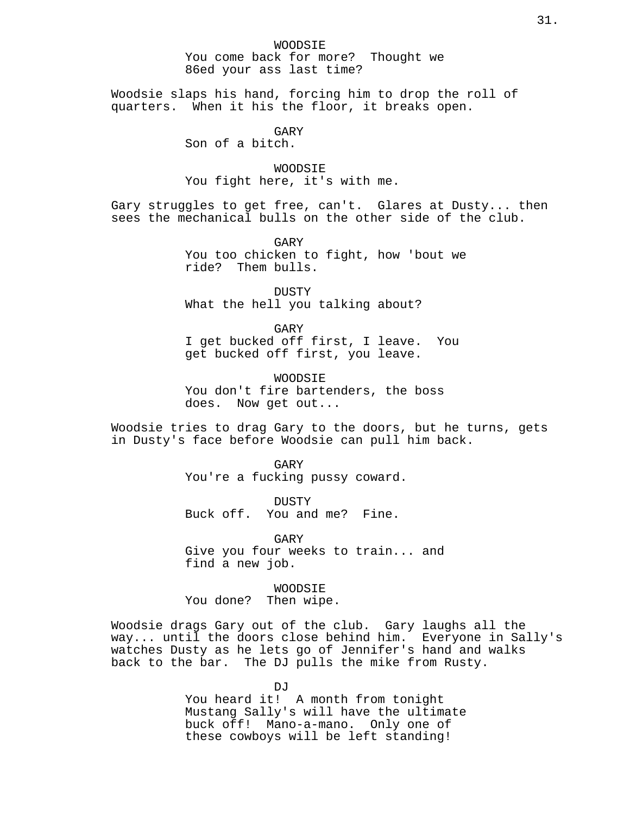Woodsie slaps his hand, forcing him to drop the roll of quarters. When it his the floor, it breaks open.

GARY

Son of a bitch.

WOODSIE You fight here, it's with me.

Gary struggles to get free, can't. Glares at Dusty... then sees the mechanical bulls on the other side of the club.

> GARY You too chicken to fight, how 'bout we ride? Them bulls.

**DUSTY** What the hell you talking about?

GARY I get bucked off first, I leave. You get bucked off first, you leave.

WOODSIE You don't fire bartenders, the boss does. Now get out...

Woodsie tries to drag Gary to the doors, but he turns, gets in Dusty's face before Woodsie can pull him back.

> GARY You're a fucking pussy coward.

DUSTY Buck off. You and me? Fine.

GARY Give you four weeks to train... and find a new job.

WOODSIE You done? Then wipe.

Woodsie drags Gary out of the club. Gary laughs all the way... until the doors close behind him. Everyone in Sally's watches Dusty as he lets go of Jennifer's hand and walks back to the bar. The DJ pulls the mike from Rusty.

> DJ<sub>J</sub> You heard it! A month from tonight Mustang Sally's will have the ultimate buck off! Mano-a-mano. Only one of these cowboys will be left standing!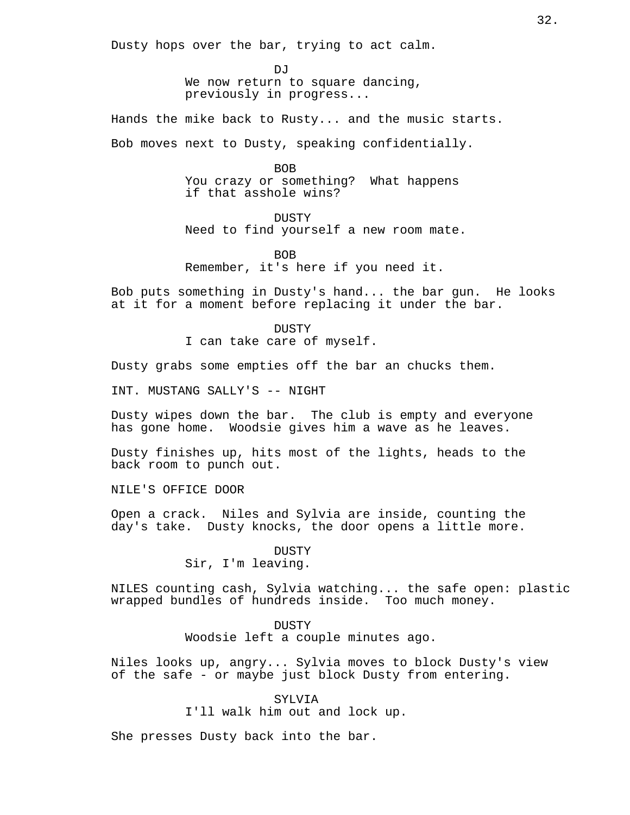Dusty hops over the bar, trying to act calm.

DJ<sub>J</sub> We now return to square dancing, previously in progress...

Hands the mike back to Rusty... and the music starts.

Bob moves next to Dusty, speaking confidentially.

BOB

You crazy or something? What happens if that asshole wins?

**DUSTY** 

Need to find yourself a new room mate.

BOB

Remember, it's here if you need it.

Bob puts something in Dusty's hand... the bar gun. He looks at it for a moment before replacing it under the bar.

DUSTY

I can take care of myself.

Dusty grabs some empties off the bar an chucks them.

INT. MUSTANG SALLY'S -- NIGHT

Dusty wipes down the bar. The club is empty and everyone has gone home. Woodsie gives him a wave as he leaves.

Dusty finishes up, hits most of the lights, heads to the back room to punch out.

NILE'S OFFICE DOOR

Open a crack. Niles and Sylvia are inside, counting the day's take. Dusty knocks, the door opens a little more.

**DUSTY** 

Sir, I'm leaving.

NILES counting cash, Sylvia watching... the safe open: plastic wrapped bundles of hundreds inside. Too much money.

**DUSTY** 

Woodsie left a couple minutes ago.

Niles looks up, angry... Sylvia moves to block Dusty's view of the safe - or maybe just block Dusty from entering.

> SYLVIA I'll walk him out and lock up.

She presses Dusty back into the bar.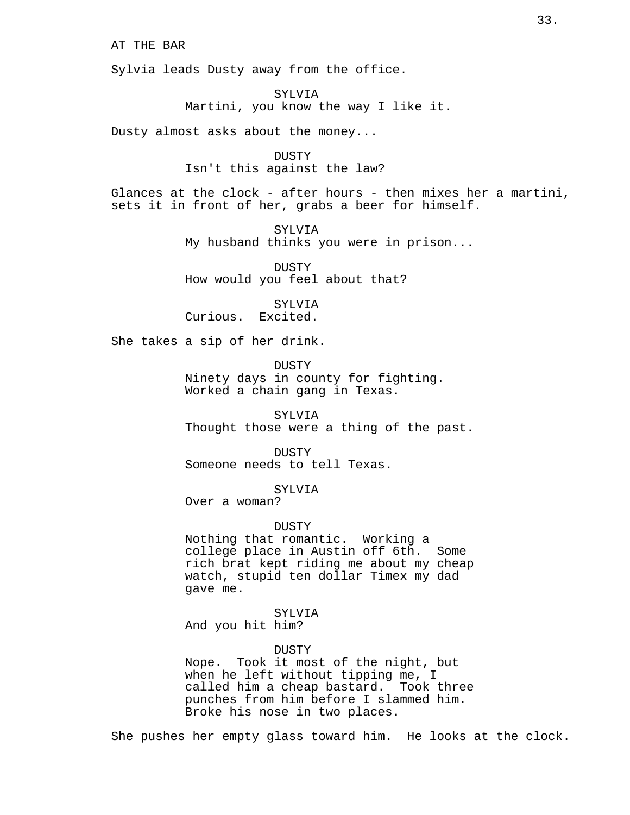AT THE BAR

Sylvia leads Dusty away from the office.

SYLVIA Martini, you know the way I like it.

Dusty almost asks about the money...

DUSTY Isn't this against the law?

Glances at the clock - after hours - then mixes her a martini, sets it in front of her, grabs a beer for himself.

> SYLVIA My husband thinks you were in prison...

DUSTY How would you feel about that?

SYLVIA Curious. Excited.

She takes a sip of her drink.

DUSTY Ninety days in county for fighting. Worked a chain gang in Texas.

SYLVIA Thought those were a thing of the past.

DUSTY Someone needs to tell Texas.

SYLVIA

Over a woman?

# DUSTY

Nothing that romantic. Working a college place in Austin off 6th. Some rich brat kept riding me about my cheap watch, stupid ten dollar Timex my dad gave me.

# SYLVIA

And you hit him?

#### DUSTY

Nope. Took it most of the night, but when he left without tipping me, I called him a cheap bastard. Took three punches from him before I slammed him. Broke his nose in two places.

She pushes her empty glass toward him. He looks at the clock.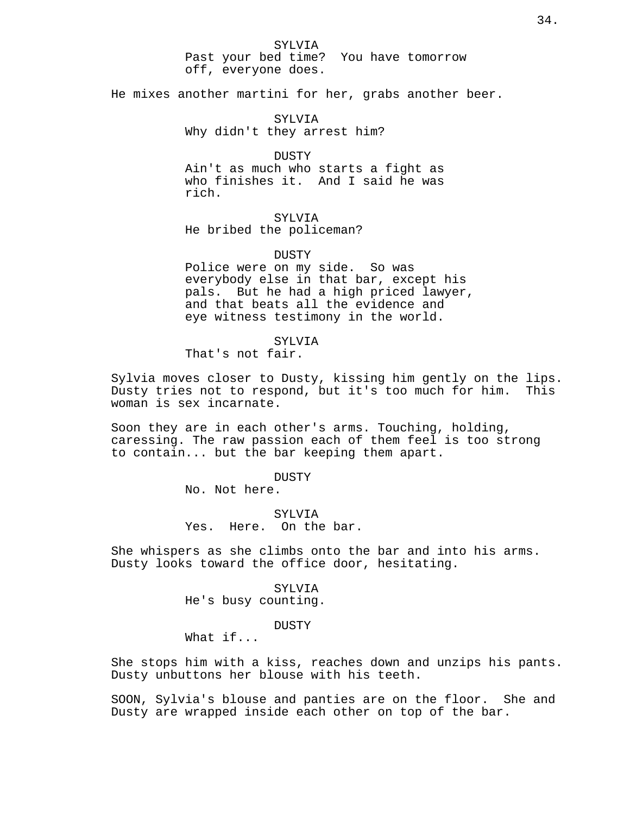SYLVIA

Past your bed time? You have tomorrow off, everyone does.

He mixes another martini for her, grabs another beer.

SYLVIA Why didn't they arrest him?

DUSTY Ain't as much who starts a fight as who finishes it. And I said he was rich.

# SYLVIA

He bribed the policeman?

#### DUSTY

Police were on my side. So was everybody else in that bar, except his pals. But he had a high priced lawyer, and that beats all the evidence and eye witness testimony in the world.

# SYLVIA

That's not fair.

Sylvia moves closer to Dusty, kissing him gently on the lips. Dusty tries not to respond, but it's too much for him. This woman is sex incarnate.

Soon they are in each other's arms. Touching, holding, caressing. The raw passion each of them feel is too strong to contain... but the bar keeping them apart.

# DUSTY

No. Not here.

SYLVIA Yes. Here. On the bar.

She whispers as she climbs onto the bar and into his arms. Dusty looks toward the office door, hesitating.

> SYLVIA He's busy counting.

#### **DUSTY**

What if...

She stops him with a kiss, reaches down and unzips his pants. Dusty unbuttons her blouse with his teeth.

SOON, Sylvia's blouse and panties are on the floor. She and Dusty are wrapped inside each other on top of the bar.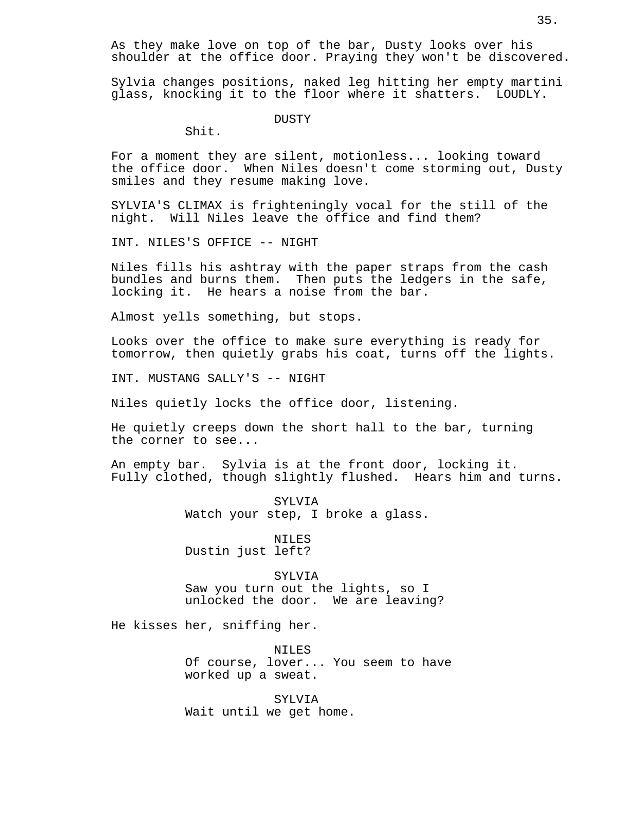As they make love on top of the bar, Dusty looks over his shoulder at the office door. Praying they won't be discovered.

Sylvia changes positions, naked leg hitting her empty martini glass, knocking it to the floor where it shatters. LOUDLY.

DUSTY

Shit.

For a moment they are silent, motionless... looking toward the office door. When Niles doesn't come storming out, Dusty smiles and they resume making love.

SYLVIA'S CLIMAX is frighteningly vocal for the still of the night. Will Niles leave the office and find them?

INT. NILES'S OFFICE -- NIGHT

Niles fills his ashtray with the paper straps from the cash bundles and burns them. Then puts the ledgers in the safe, locking it. He hears a noise from the bar.

Almost yells something, but stops.

Looks over the office to make sure everything is ready for tomorrow, then quietly grabs his coat, turns off the lights.

INT. MUSTANG SALLY'S -- NIGHT

Niles quietly locks the office door, listening.

He quietly creeps down the short hall to the bar, turning the corner to see...

An empty bar. Sylvia is at the front door, locking it. Fully clothed, though slightly flushed. Hears him and turns.

> SYLVIA Watch your step, I broke a glass.

NILES Dustin just left?

SYLVIA Saw you turn out the lights, so I unlocked the door. We are leaving?

He kisses her, sniffing her.

NILES Of course, lover... You seem to have worked up a sweat.

SYLVIA Wait until we get home.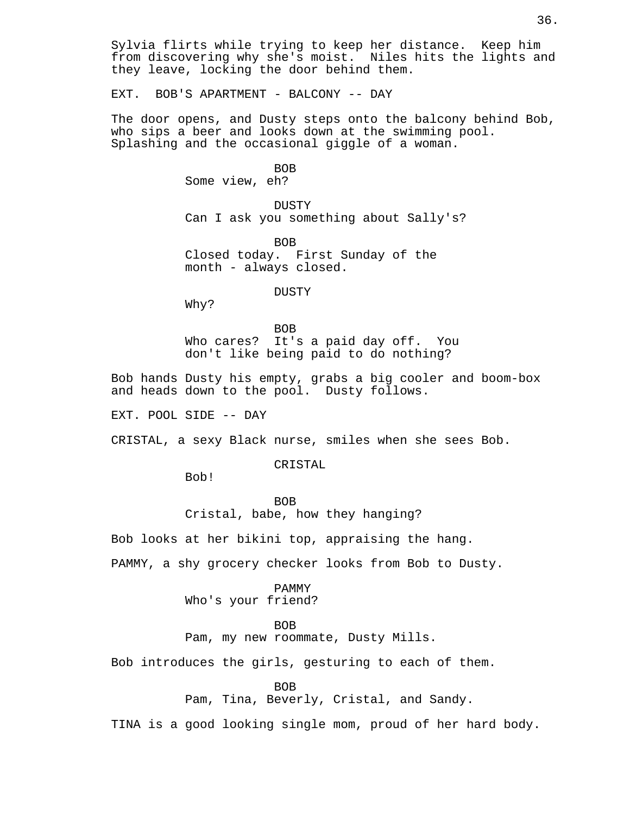Sylvia flirts while trying to keep her distance. Keep him from discovering why she's moist. Niles hits the lights and they leave, locking the door behind them.

EXT. BOB'S APARTMENT - BALCONY -- DAY

The door opens, and Dusty steps onto the balcony behind Bob, who sips a beer and looks down at the swimming pool. Splashing and the occasional giggle of a woman.

> BOB Some view, eh?

DUSTY Can I ask you something about Sally's?

BOB Closed today. First Sunday of the month - always closed.

DUSTY

Why?

BOB Who cares? It's a paid day off. You don't like being paid to do nothing?

Bob hands Dusty his empty, grabs a big cooler and boom-box and heads down to the pool. Dusty follows.

EXT. POOL SIDE -- DAY

CRISTAL, a sexy Black nurse, smiles when she sees Bob.

CRISTAL

Bob!

BOB Cristal, babe, how they hanging?

Bob looks at her bikini top, appraising the hang.

PAMMY, a shy grocery checker looks from Bob to Dusty.

PAMMY

Who's your friend?

BOB

Pam, my new roommate, Dusty Mills.

Bob introduces the girls, gesturing to each of them.

BOB

Pam, Tina, Beverly, Cristal, and Sandy.

TINA is a good looking single mom, proud of her hard body.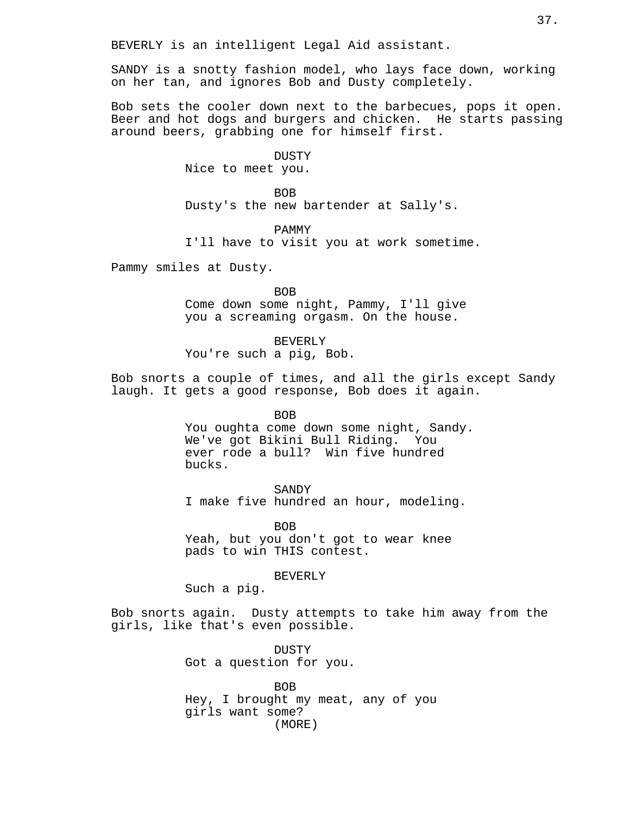BEVERLY is an intelligent Legal Aid assistant.

SANDY is a snotty fashion model, who lays face down, working on her tan, and ignores Bob and Dusty completely.

Bob sets the cooler down next to the barbecues, pops it open. Beer and hot dogs and burgers and chicken. He starts passing around beers, grabbing one for himself first.

> DUSTY Nice to meet you.

BOB Dusty's the new bartender at Sally's.

PAMMY

I'll have to visit you at work sometime.

Pammy smiles at Dusty.

**BOB** Come down some night, Pammy, I'll give you a screaming orgasm. On the house.

BEVERLY You're such a pig, Bob.

Bob snorts a couple of times, and all the girls except Sandy laugh. It gets a good response, Bob does it again.

> BOB You oughta come down some night, Sandy. We've got Bikini Bull Riding. You ever rode a bull? Win five hundred bucks.

SANDY I make five hundred an hour, modeling.

BOB

Yeah, but you don't got to wear knee pads to win THIS contest.

BEVERLY

Such a pig.

Bob snorts again. Dusty attempts to take him away from the girls, like that's even possible.

> DUSTY Got a question for you.

BOB Hey, I brought my meat, any of you girls want some? (MORE)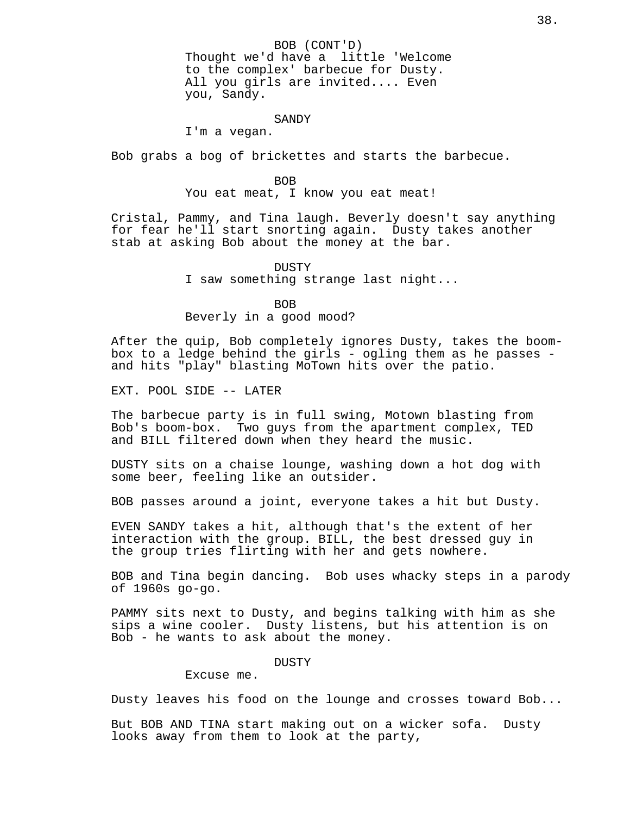BOB (CONT'D) Thought we'd have a little 'Welcome to the complex' barbecue for Dusty. All you girls are invited.... Even you, Sandy.

#### SANDY

I'm a vegan.

Bob grabs a bog of brickettes and starts the barbecue.

### BOB

You eat meat, I know you eat meat!

Cristal, Pammy, and Tina laugh. Beverly doesn't say anything for fear he'll start snorting again. Dusty takes another stab at asking Bob about the money at the bar.

### DUSTY

I saw something strange last night...

BOB

Beverly in a good mood?

After the quip, Bob completely ignores Dusty, takes the boombox to a ledge behind the girls - ogling them as he passes and hits "play" blasting MoTown hits over the patio.

EXT. POOL SIDE -- LATER

The barbecue party is in full swing, Motown blasting from Bob's boom-box. Two guys from the apartment complex, TED and BILL filtered down when they heard the music.

DUSTY sits on a chaise lounge, washing down a hot dog with some beer, feeling like an outsider.

BOB passes around a joint, everyone takes a hit but Dusty.

EVEN SANDY takes a hit, although that's the extent of her interaction with the group. BILL, the best dressed guy in the group tries flirting with her and gets nowhere.

BOB and Tina begin dancing. Bob uses whacky steps in a parody of 1960s go-go.

PAMMY sits next to Dusty, and begins talking with him as she sips a wine cooler. Dusty listens, but his attention is on Bob - he wants to ask about the money.

### DUSTY

Excuse me.

Dusty leaves his food on the lounge and crosses toward Bob...

But BOB AND TINA start making out on a wicker sofa. Dusty looks away from them to look at the party,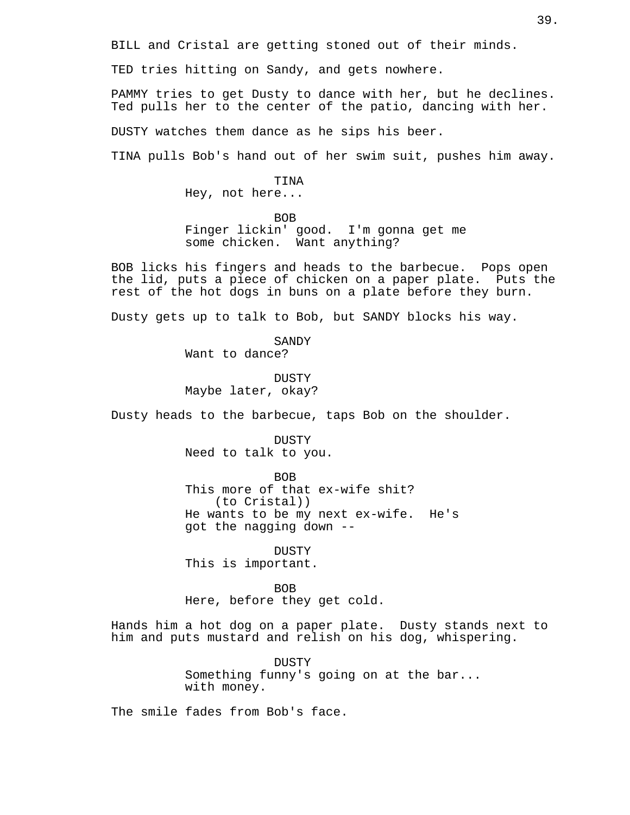BILL and Cristal are getting stoned out of their minds.

TED tries hitting on Sandy, and gets nowhere.

PAMMY tries to get Dusty to dance with her, but he declines. Ted pulls her to the center of the patio, dancing with her.

DUSTY watches them dance as he sips his beer.

TINA pulls Bob's hand out of her swim suit, pushes him away.

# TINA

Hey, not here...

BOB

Finger lickin' good. I'm gonna get me some chicken. Want anything?

BOB licks his fingers and heads to the barbecue. Pops open the lid, puts a piece of chicken on a paper plate. Puts the rest of the hot dogs in buns on a plate before they burn.

Dusty gets up to talk to Bob, but SANDY blocks his way.

SANDY Want to dance?

**DUSTY** Maybe later, okay?

Dusty heads to the barbecue, taps Bob on the shoulder.

DUSTY Need to talk to you.

BOB This more of that ex-wife shit? (to Cristal)) He wants to be my next ex-wife. He's got the nagging down --

DUSTY This is important.

BOB Here, before they get cold.

Hands him a hot dog on a paper plate. Dusty stands next to him and puts mustard and relish on his dog, whispering.

> DUSTY Something funny's going on at the bar... with money.

The smile fades from Bob's face.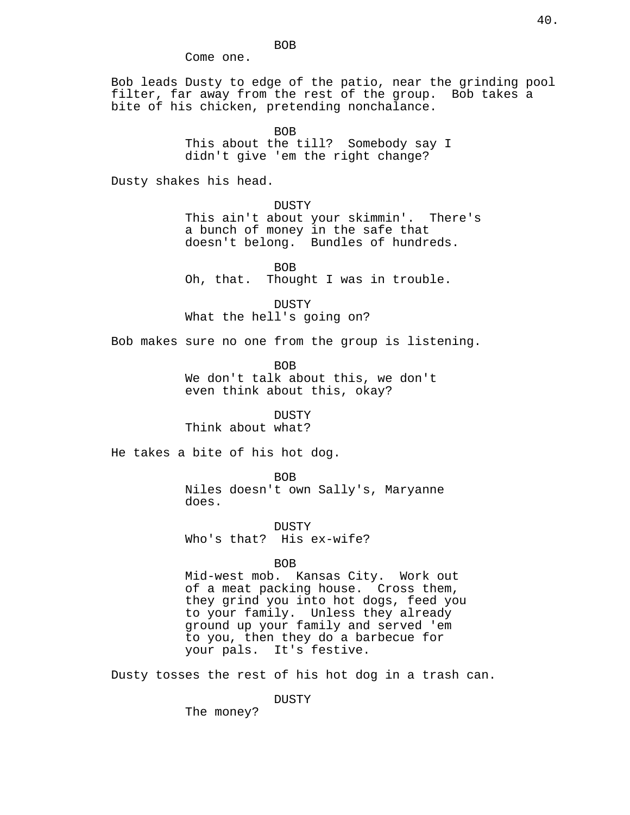BOB Come one.

Bob leads Dusty to edge of the patio, near the grinding pool filter, far away from the rest of the group. Bob takes a bite of his chicken, pretending nonchalance.

BOB

This about the till? Somebody say I didn't give 'em the right change?

Dusty shakes his head.

DUSTY This ain't about your skimmin'. There's a bunch of money in the safe that doesn't belong. Bundles of hundreds.

BOB Oh, that. Thought I was in trouble.

DUSTY What the hell's going on?

Bob makes sure no one from the group is listening.

BOB We don't talk about this, we don't even think about this, okay?

**DUSTY** 

Think about what?

He takes a bite of his hot dog.

BOB Niles doesn't own Sally's, Maryanne does.

DUSTY Who's that? His ex-wife?

BOB

Mid-west mob. Kansas City. Work out of a meat packing house. Cross them, they grind you into hot dogs, feed you to your family. Unless they already ground up your family and served 'em to you, then they do a barbecue for your pals. It's festive.

Dusty tosses the rest of his hot dog in a trash can.

DUSTY

The money?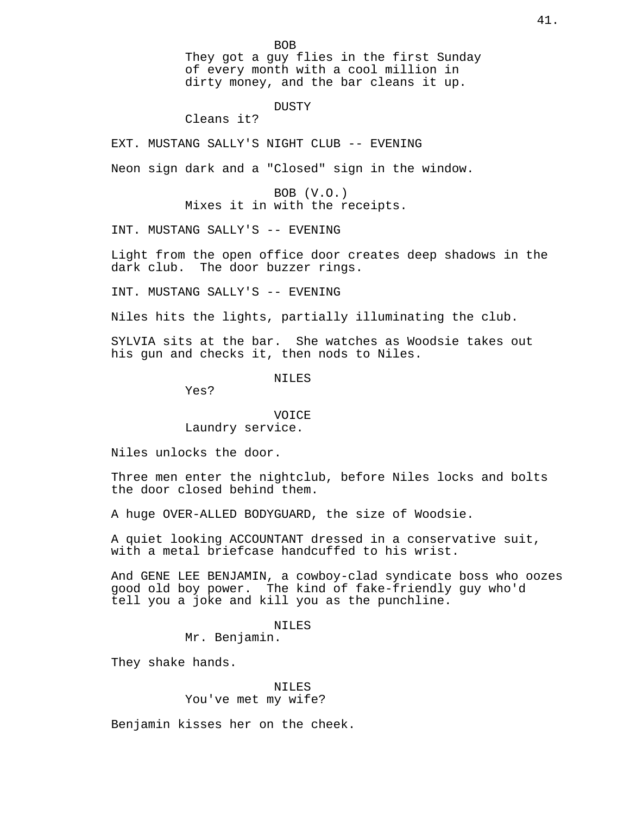BOB They got a guy flies in the first Sunday of every month with a cool million in dirty money, and the bar cleans it up.

# DUSTY

Cleans it?

EXT. MUSTANG SALLY'S NIGHT CLUB -- EVENING

Neon sign dark and a "Closed" sign in the window.

BOB (V.O.) Mixes it in with the receipts.

INT. MUSTANG SALLY'S -- EVENING

Light from the open office door creates deep shadows in the dark club. The door buzzer rings.

INT. MUSTANG SALLY'S -- EVENING

Niles hits the lights, partially illuminating the club.

SYLVIA sits at the bar. She watches as Woodsie takes out his gun and checks it, then nods to Niles.

NILES

Yes?

# VOICE Laundry service.

Niles unlocks the door.

Three men enter the nightclub, before Niles locks and bolts the door closed behind them.

A huge OVER-ALLED BODYGUARD, the size of Woodsie.

A quiet looking ACCOUNTANT dressed in a conservative suit, with a metal briefcase handcuffed to his wrist.

And GENE LEE BENJAMIN, a cowboy-clad syndicate boss who oozes good old boy power. The kind of fake-friendly guy who'd tell you a joke and kill you as the punchline.

NILES

Mr. Benjamin.

They shake hands.

# NILES You've met my wife?

Benjamin kisses her on the cheek.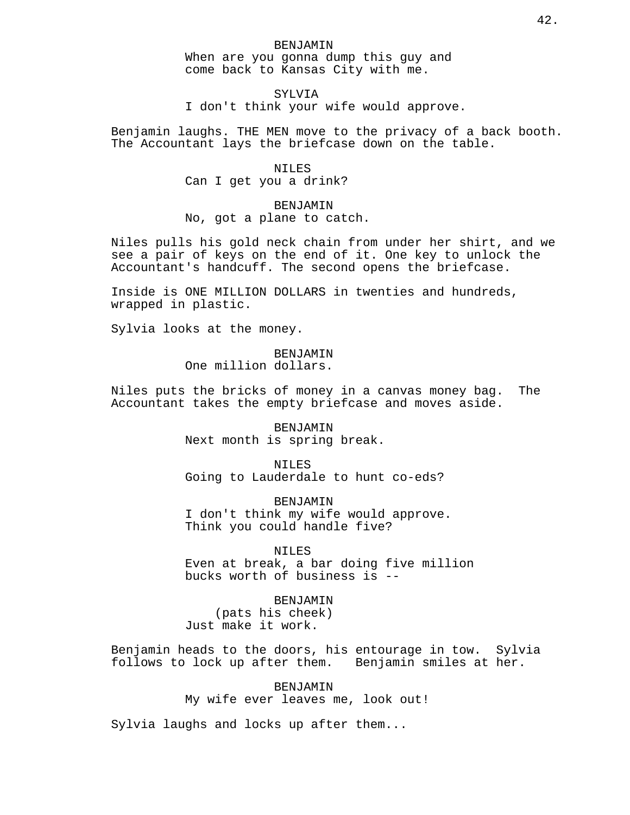SYLVIA I don't think your wife would approve.

Benjamin laughs. THE MEN move to the privacy of a back booth. The Accountant lays the briefcase down on the table.

> NILES Can I get you a drink?

BENJAMIN No, got a plane to catch.

Niles pulls his gold neck chain from under her shirt, and we see a pair of keys on the end of it. One key to unlock the Accountant's handcuff. The second opens the briefcase.

Inside is ONE MILLION DOLLARS in twenties and hundreds, wrapped in plastic.

Sylvia looks at the money.

BENJAMIN One million dollars.

Niles puts the bricks of money in a canvas money bag. The Accountant takes the empty briefcase and moves aside.

> BENJAMIN Next month is spring break.

NILES Going to Lauderdale to hunt co-eds?

BENJAMIN I don't think my wife would approve. Think you could handle five?

NILES

Even at break, a bar doing five million bucks worth of business is --

BENJAMIN

(pats his cheek) Just make it work.

Benjamin heads to the doors, his entourage in tow. Sylvia follows to lock up after them. Benjamin smiles at her.

BENJAMIN

My wife ever leaves me, look out!

Sylvia laughs and locks up after them...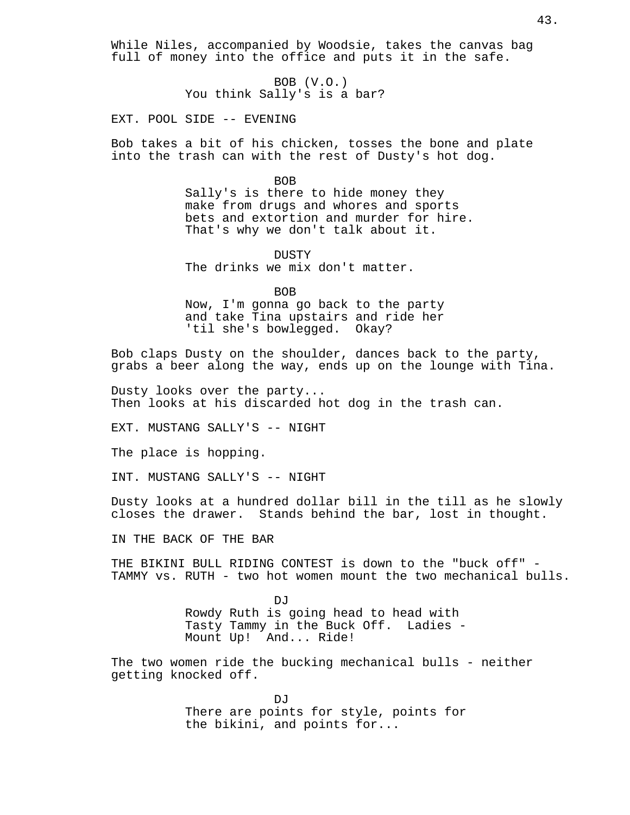While Niles, accompanied by Woodsie, takes the canvas bag full of money into the office and puts it in the safe.

> BOB (V.O.) You think Sally's is a bar?

EXT. POOL SIDE -- EVENING

Bob takes a bit of his chicken, tosses the bone and plate into the trash can with the rest of Dusty's hot dog.

BOB

Sally's is there to hide money they make from drugs and whores and sports bets and extortion and murder for hire. That's why we don't talk about it.

DUSTY The drinks we mix don't matter.

**BOB** Now, I'm gonna go back to the party and take Tina upstairs and ride her 'til she's bowlegged. Okay?

Bob claps Dusty on the shoulder, dances back to the party, grabs a beer along the way, ends up on the lounge with Tina.

Dusty looks over the party... Then looks at his discarded hot dog in the trash can.

EXT. MUSTANG SALLY'S -- NIGHT

The place is hopping.

INT. MUSTANG SALLY'S -- NIGHT

Dusty looks at a hundred dollar bill in the till as he slowly closes the drawer. Stands behind the bar, lost in thought.

IN THE BACK OF THE BAR

THE BIKINI BULL RIDING CONTEST is down to the "buck off" - TAMMY vs. RUTH - two hot women mount the two mechanical bulls.

> DJ<sub>J</sub> Rowdy Ruth is going head to head with Tasty Tammy in the Buck Off. Ladies - Mount Up! And... Ride!

The two women ride the bucking mechanical bulls - neither getting knocked off.

> DJ<sub>J</sub> There are points for style, points for the bikini, and points for...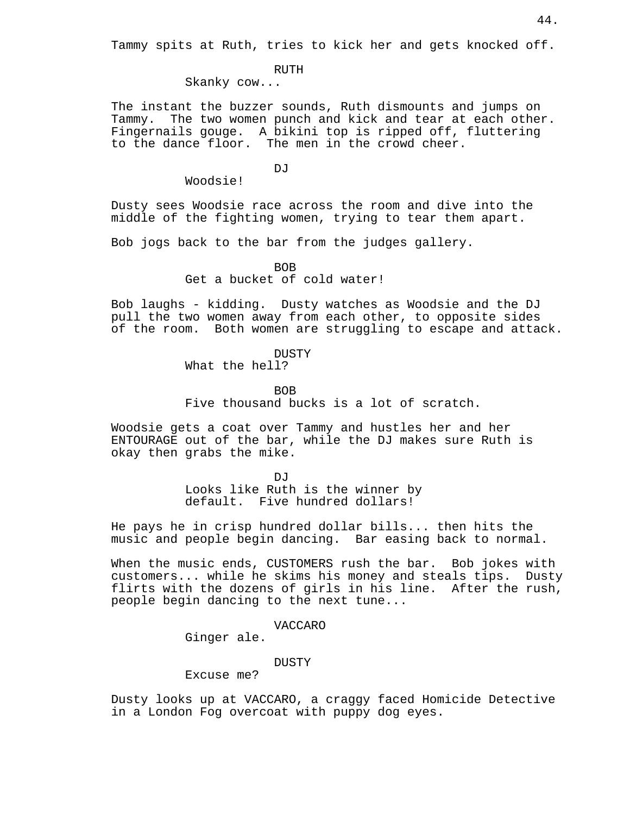Tammy spits at Ruth, tries to kick her and gets knocked off.

# RUTH

Skanky cow...

The instant the buzzer sounds, Ruth dismounts and jumps on Tammy. The two women punch and kick and tear at each other. Fingernails gouge. A bikini top is ripped off, fluttering to the dance floor. The men in the crowd cheer.

**DJ** 

Woodsie!

Dusty sees Woodsie race across the room and dive into the middle of the fighting women, trying to tear them apart.

Bob jogs back to the bar from the judges gallery.

BOB

Get a bucket of cold water!

Bob laughs - kidding. Dusty watches as Woodsie and the DJ pull the two women away from each other, to opposite sides of the room. Both women are struggling to escape and attack.

**DUSTY** 

What the hell?

BOB

Five thousand bucks is a lot of scratch.

Woodsie gets a coat over Tammy and hustles her and her ENTOURAGE out of the bar, while the DJ makes sure Ruth is okay then grabs the mike.

> $D_{1}T$ Looks like Ruth is the winner by default. Five hundred dollars!

He pays he in crisp hundred dollar bills... then hits the music and people begin dancing. Bar easing back to normal.

When the music ends, CUSTOMERS rush the bar. Bob jokes with customers... while he skims his money and steals tips. Dusty flirts with the dozens of girls in his line. After the rush, people begin dancing to the next tune...

VACCARO

Ginger ale.

DUSTY

Excuse me?

Dusty looks up at VACCARO, a craggy faced Homicide Detective in a London Fog overcoat with puppy dog eyes.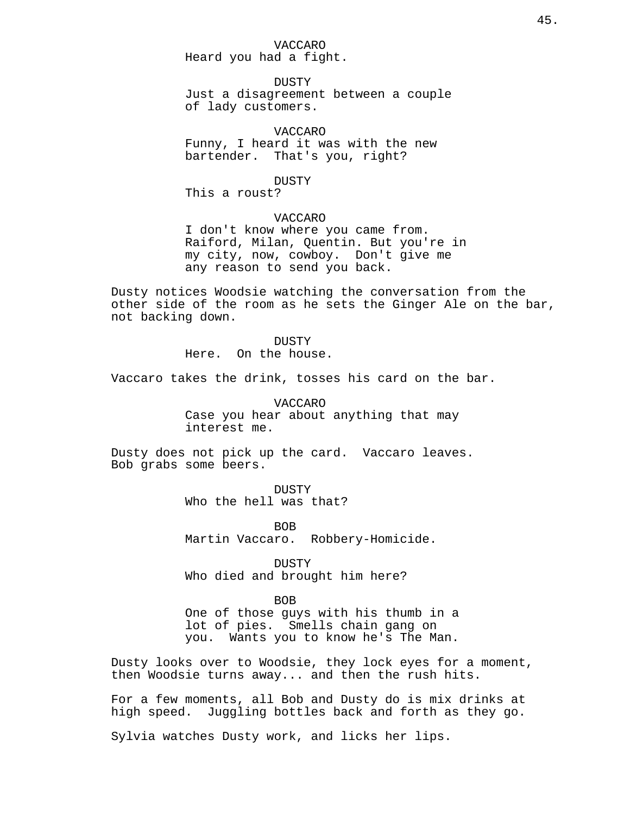VACCARO Heard you had a fight.

DUSTY Just a disagreement between a couple of lady customers.

VACCARO Funny, I heard it was with the new bartender. That's you, right?

DUSTY

This a roust?

# VACCARO

I don't know where you came from. Raiford, Milan, Quentin. But you're in my city, now, cowboy. Don't give me any reason to send you back.

Dusty notices Woodsie watching the conversation from the other side of the room as he sets the Ginger Ale on the bar, not backing down.

> DUSTY Here. On the house.

Vaccaro takes the drink, tosses his card on the bar.

VACCARO Case you hear about anything that may interest me.

Dusty does not pick up the card. Vaccaro leaves. Bob grabs some beers.

> **DUSTY** Who the hell was that?

BOB Martin Vaccaro. Robbery-Homicide.

DUSTY Who died and brought him here?

BOB One of those guys with his thumb in a lot of pies. Smells chain gang on you. Wants you to know he's The Man.

Dusty looks over to Woodsie, they lock eyes for a moment, then Woodsie turns away... and then the rush hits.

For a few moments, all Bob and Dusty do is mix drinks at high speed. Juggling bottles back and forth as they go.

Sylvia watches Dusty work, and licks her lips.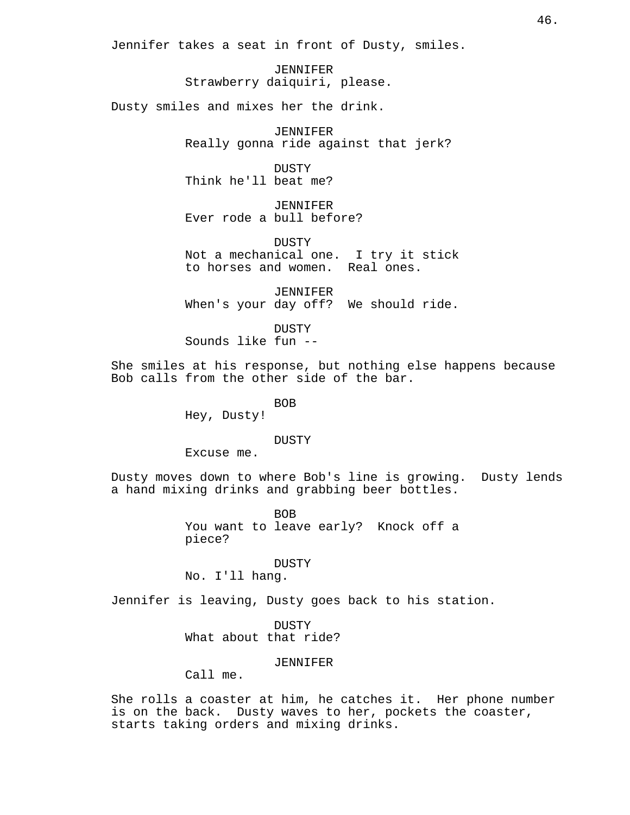Jennifer takes a seat in front of Dusty, smiles.

JENNIFER Strawberry daiquiri, please.

Dusty smiles and mixes her the drink.

JENNIFER Really gonna ride against that jerk?

DUSTY Think he'll beat me?

JENNIFER Ever rode a bull before?

DUSTY Not a mechanical one. I try it stick to horses and women. Real ones.

JENNIFER When's your day off? We should ride.

DUSTY Sounds like fun --

She smiles at his response, but nothing else happens because Bob calls from the other side of the bar.

BOB

Hey, Dusty!

DUSTY

Excuse me.

Dusty moves down to where Bob's line is growing. Dusty lends a hand mixing drinks and grabbing beer bottles.

> BOB You want to leave early? Knock off a piece?

> > DUSTY

No. I'll hang.

Jennifer is leaving, Dusty goes back to his station.

**DUSTY** What about that ride?

# JENNIFER

Call me.

She rolls a coaster at him, he catches it. Her phone number is on the back. Dusty waves to her, pockets the coaster, starts taking orders and mixing drinks.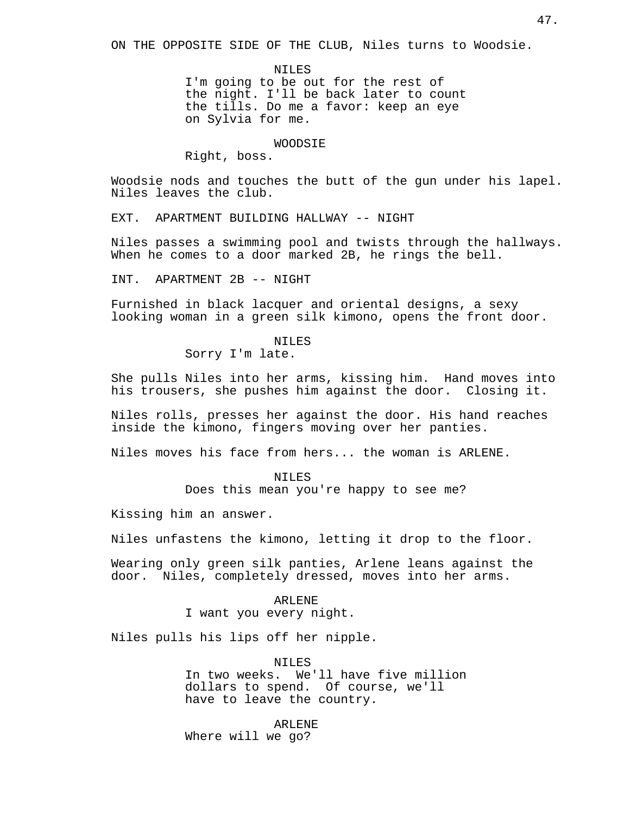ON THE OPPOSITE SIDE OF THE CLUB, Niles turns to Woodsie.

NILES

I'm going to be out for the rest of the night. I'll be back later to count the tills. Do me a favor: keep an eye on Sylvia for me.

#### WOODSIE

Right, boss.

Woodsie nods and touches the butt of the gun under his lapel. Niles leaves the club.

EXT. APARTMENT BUILDING HALLWAY -- NIGHT

Niles passes a swimming pool and twists through the hallways. When he comes to a door marked 2B, he rings the bell.

INT. APARTMENT 2B -- NIGHT

Furnished in black lacquer and oriental designs, a sexy looking woman in a green silk kimono, opens the front door.

> NILES Sorry I'm late.

She pulls Niles into her arms, kissing him. Hand moves into his trousers, she pushes him against the door. Closing it.

Niles rolls, presses her against the door. His hand reaches inside the kimono, fingers moving over her panties.

Niles moves his face from hers... the woman is ARLENE.

NILES Does this mean you're happy to see me?

Kissing him an answer.

Niles unfastens the kimono, letting it drop to the floor.

Wearing only green silk panties, Arlene leans against the door. Niles, completely dressed, moves into her arms.

> ARLENE I want you every night.

Niles pulls his lips off her nipple.

NILES In two weeks. We'll have five million dollars to spend. Of course, we'll have to leave the country.

ARLENE Where will we go?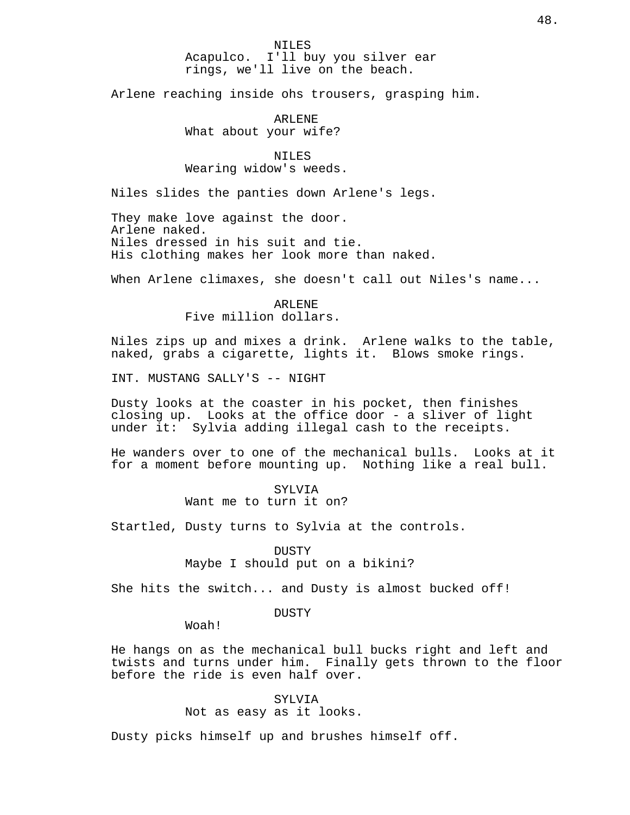NILES Acapulco. I'll buy you silver ear rings, we'll live on the beach.

Arlene reaching inside ohs trousers, grasping him.

ARLENE What about your wife?

NTLES Wearing widow's weeds.

Niles slides the panties down Arlene's legs.

They make love against the door. Arlene naked. Niles dressed in his suit and tie. His clothing makes her look more than naked.

When Arlene climaxes, she doesn't call out Niles's name...

ARLENE Five million dollars.

Niles zips up and mixes a drink. Arlene walks to the table, naked, grabs a cigarette, lights it. Blows smoke rings.

INT. MUSTANG SALLY'S -- NIGHT

Dusty looks at the coaster in his pocket, then finishes closing up. Looks at the office door - a sliver of light under it: Sylvia adding illegal cash to the receipts.

He wanders over to one of the mechanical bulls. Looks at it for a moment before mounting up. Nothing like a real bull.

### SYLV<sub>I</sub>A

Want me to turn it on?

Startled, Dusty turns to Sylvia at the controls.

**DUSTY** 

Maybe I should put on a bikini?

She hits the switch... and Dusty is almost bucked off!

DUSTY

Woah!

He hangs on as the mechanical bull bucks right and left and twists and turns under him. Finally gets thrown to the floor before the ride is even half over.

> SYLV<sub>I</sub>A Not as easy as it looks.

Dusty picks himself up and brushes himself off.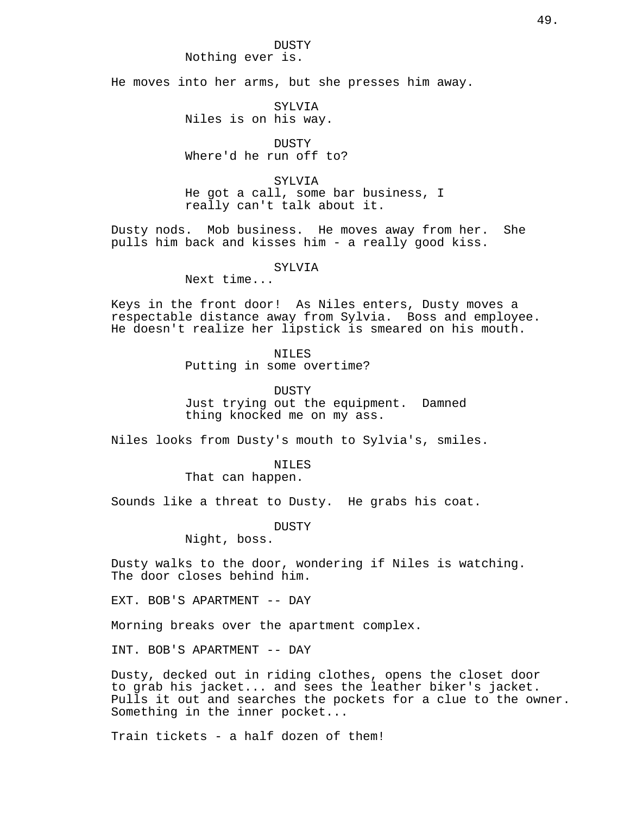DUSTY Nothing ever is.

He moves into her arms, but she presses him away.

SYLVIA Niles is on his way.

DUSTY Where'd he run off to?

SYLVIA He got a call, some bar business, I really can't talk about it.

Dusty nods. Mob business. He moves away from her. She pulls him back and kisses him - a really good kiss.

SYLVIA

Next time...

Keys in the front door! As Niles enters, Dusty moves a respectable distance away from Sylvia. Boss and employee. He doesn't realize her lipstick is smeared on his mouth.

NTLES

Putting in some overtime?

DUSTY

Just trying out the equipment. Damned thing knocked me on my ass.

Niles looks from Dusty's mouth to Sylvia's, smiles.

NILES

That can happen.

Sounds like a threat to Dusty. He grabs his coat.

DUSTY

Night, boss.

Dusty walks to the door, wondering if Niles is watching. The door closes behind him.

EXT. BOB'S APARTMENT -- DAY

Morning breaks over the apartment complex.

INT. BOB'S APARTMENT -- DAY

Dusty, decked out in riding clothes, opens the closet door to grab his jacket... and sees the leather biker's jacket. Pulls it out and searches the pockets for a clue to the owner. Something in the inner pocket...

Train tickets - a half dozen of them!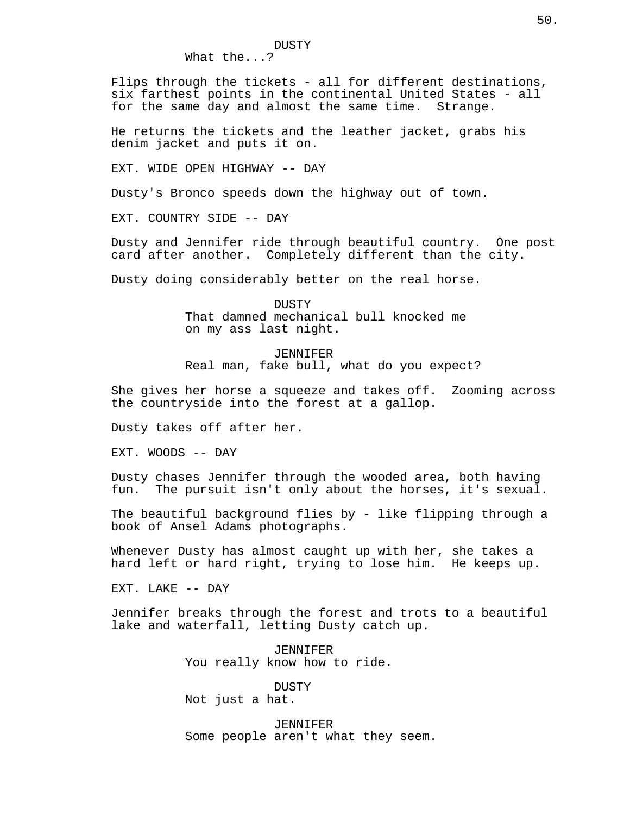Flips through the tickets - all for different destinations, six farthest points in the continental United States - all for the same day and almost the same time. Strange.

He returns the tickets and the leather jacket, grabs his denim jacket and puts it on.

EXT. WIDE OPEN HIGHWAY -- DAY

Dusty's Bronco speeds down the highway out of town.

EXT. COUNTRY SIDE -- DAY

Dusty and Jennifer ride through beautiful country. One post card after another. Completely different than the city.

Dusty doing considerably better on the real horse.

**DUSTY** That damned mechanical bull knocked me on my ass last night.

JENNIFER Real man, fake bull, what do you expect?

She gives her horse a squeeze and takes off. Zooming across the countryside into the forest at a gallop.

Dusty takes off after her.

EXT. WOODS -- DAY

Dusty chases Jennifer through the wooded area, both having fun. The pursuit isn't only about the horses, it's sexual.

The beautiful background flies by - like flipping through a book of Ansel Adams photographs.

Whenever Dusty has almost caught up with her, she takes a hard left or hard right, trying to lose him. He keeps up.

EXT. LAKE -- DAY

Jennifer breaks through the forest and trots to a beautiful lake and waterfall, letting Dusty catch up.

> JENNIFER You really know how to ride.

DUSTY Not just a hat.

JENNIFER Some people aren't what they seem.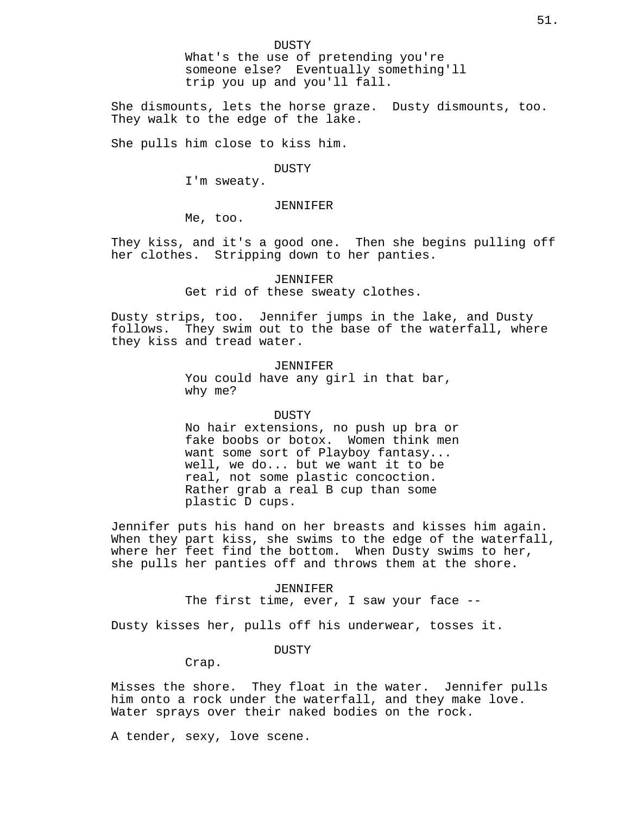What's the use of pretending you're someone else? Eventually something'll trip you up and you'll fall.

She dismounts, lets the horse graze. Dusty dismounts, too. They walk to the edge of the lake.

She pulls him close to kiss him.

DUSTY

I'm sweaty.

# JENNIFER

Me, too.

They kiss, and it's a good one. Then she begins pulling off her clothes. Stripping down to her panties.

> JENNIFER Get rid of these sweaty clothes.

Dusty strips, too. Jennifer jumps in the lake, and Dusty follows. They swim out to the base of the waterfall, where they kiss and tread water.

> JENNIFER You could have any girl in that bar, why me?

### DUSTY

No hair extensions, no push up bra or fake boobs or botox. Women think men want some sort of Playboy fantasy... well, we do... but we want it to be real, not some plastic concoction. Rather grab a real B cup than some plastic D cups.

Jennifer puts his hand on her breasts and kisses him again. When they part kiss, she swims to the edge of the waterfall, where her feet find the bottom. When Dusty swims to her, she pulls her panties off and throws them at the shore.

> JENNIFER The first time, ever, I saw your face --

Dusty kisses her, pulls off his underwear, tosses it.

DUSTY

Crap.

Misses the shore. They float in the water. Jennifer pulls him onto a rock under the waterfall, and they make love. Water sprays over their naked bodies on the rock.

A tender, sexy, love scene.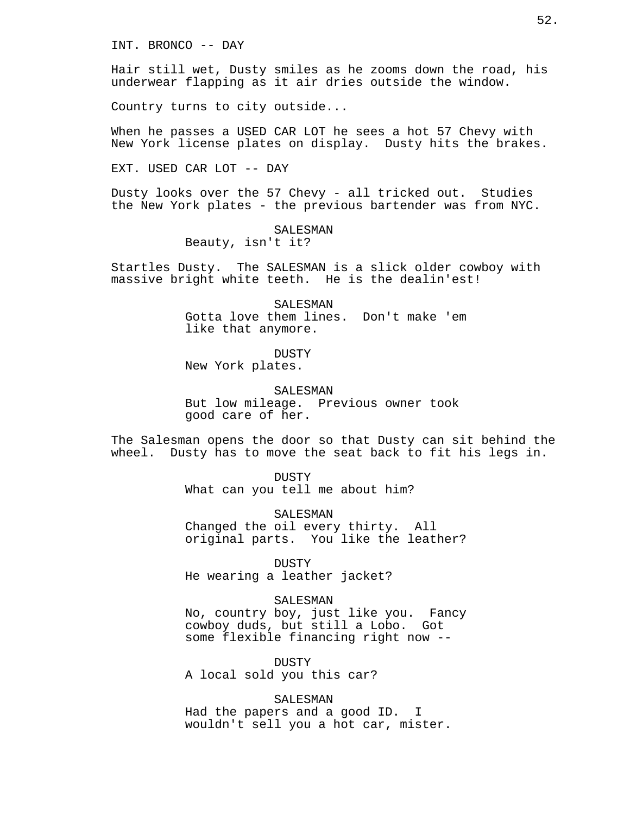INT. BRONCO -- DAY

Hair still wet, Dusty smiles as he zooms down the road, his underwear flapping as it air dries outside the window.

Country turns to city outside...

When he passes a USED CAR LOT he sees a hot 57 Chevy with New York license plates on display. Dusty hits the brakes.

EXT. USED CAR LOT -- DAY

Dusty looks over the 57 Chevy - all tricked out. Studies the New York plates - the previous bartender was from NYC.

> SALESMAN Beauty, isn't it?

Startles Dusty. The SALESMAN is a slick older cowboy with massive bright white teeth. He is the dealin'est!

> SALESMAN Gotta love them lines. Don't make 'em like that anymore.

> > **DUSTY**

New York plates.

SALESMAN

But low mileage. Previous owner took good care of her.

The Salesman opens the door so that Dusty can sit behind the wheel. Dusty has to move the seat back to fit his legs in.

> DUSTY What can you tell me about him?

SALESMAN Changed the oil every thirty. All original parts. You like the leather?

DUSTY He wearing a leather jacket?

SALESMAN No, country boy, just like you. Fancy cowboy duds, but still a Lobo. Got some flexible financing right now --

DUSTY A local sold you this car?

SALESMAN Had the papers and a good ID. I wouldn't sell you a hot car, mister.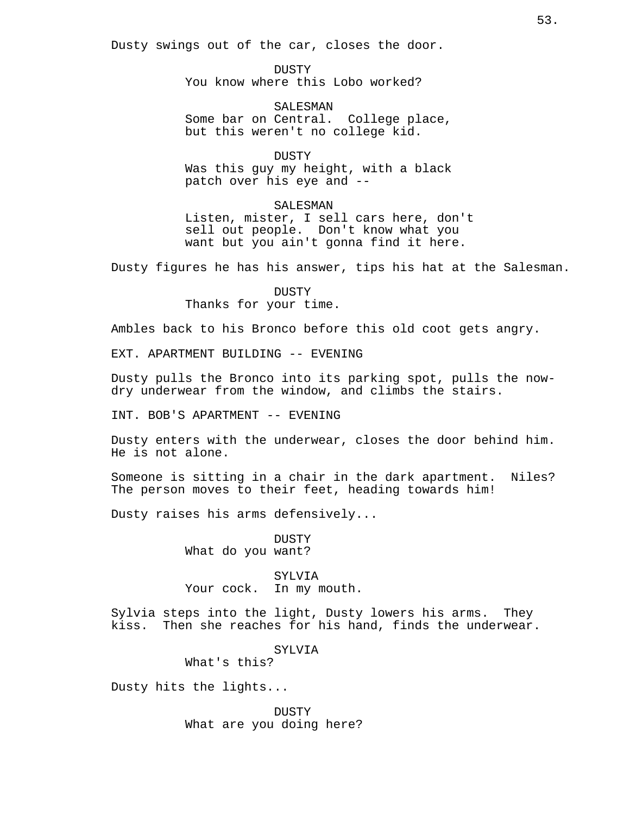Dusty swings out of the car, closes the door.

DUSTY You know where this Lobo worked?

SALESMAN Some bar on Central. College place, but this weren't no college kid.

DUSTY Was this guy my height, with a black patch over his eye and --

SALESMAN Listen, mister, I sell cars here, don't sell out people. Don't know what you want but you ain't gonna find it here.

Dusty figures he has his answer, tips his hat at the Salesman.

DUSTY Thanks for your time.

Ambles back to his Bronco before this old coot gets angry.

EXT. APARTMENT BUILDING -- EVENING

Dusty pulls the Bronco into its parking spot, pulls the nowdry underwear from the window, and climbs the stairs.

INT. BOB'S APARTMENT -- EVENING

Dusty enters with the underwear, closes the door behind him. He is not alone.

Someone is sitting in a chair in the dark apartment. Niles? The person moves to their feet, heading towards him!

Dusty raises his arms defensively...

DUSTY What do you want?

SYLVIA Your cock. In my mouth.

Sylvia steps into the light, Dusty lowers his arms. They kiss. Then she reaches for his hand, finds the underwear.

SYLVIA

What's this?

Dusty hits the lights...

DUSTY What are you doing here?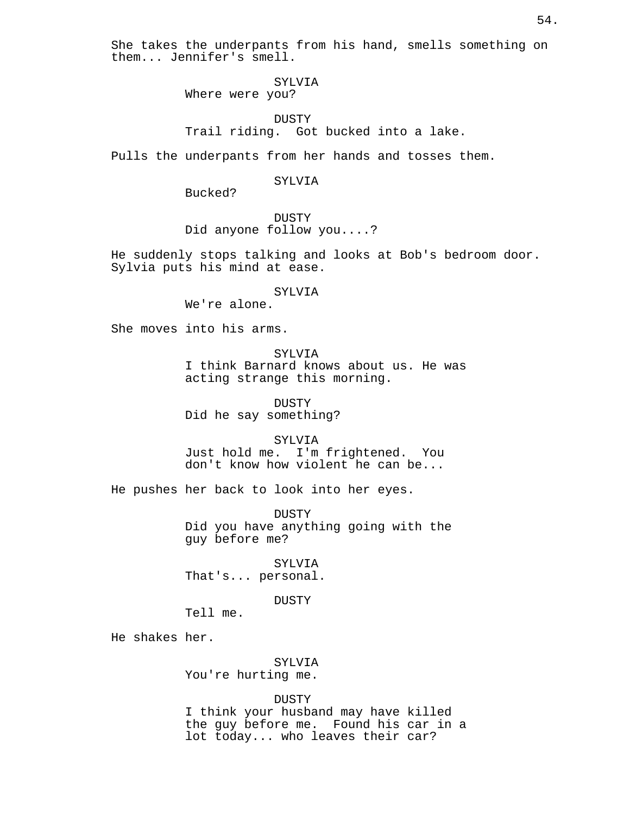She takes the underpants from his hand, smells something on them... Jennifer's smell.

# SYLVIA

Where were you?

# DUSTY Trail riding. Got bucked into a lake.

Pulls the underpants from her hands and tosses them.

# SYLVIA

Bucked?

DUSTY Did anyone follow you....?

He suddenly stops talking and looks at Bob's bedroom door. Sylvia puts his mind at ease.

### SYLVIA

We're alone.

She moves into his arms.

SYLVIA

I think Barnard knows about us. He was acting strange this morning.

DUSTY Did he say something?

SYLVIA

Just hold me. I'm frightened. You don't know how violent he can be...

He pushes her back to look into her eyes.

DUSTY Did you have anything going with the guy before me?

SYLVIA That's... personal.

# DUSTY

Tell me.

He shakes her.

SYLVIA You're hurting me.

DUSTY

I think your husband may have killed the guy before me. Found his car in a lot today... who leaves their car?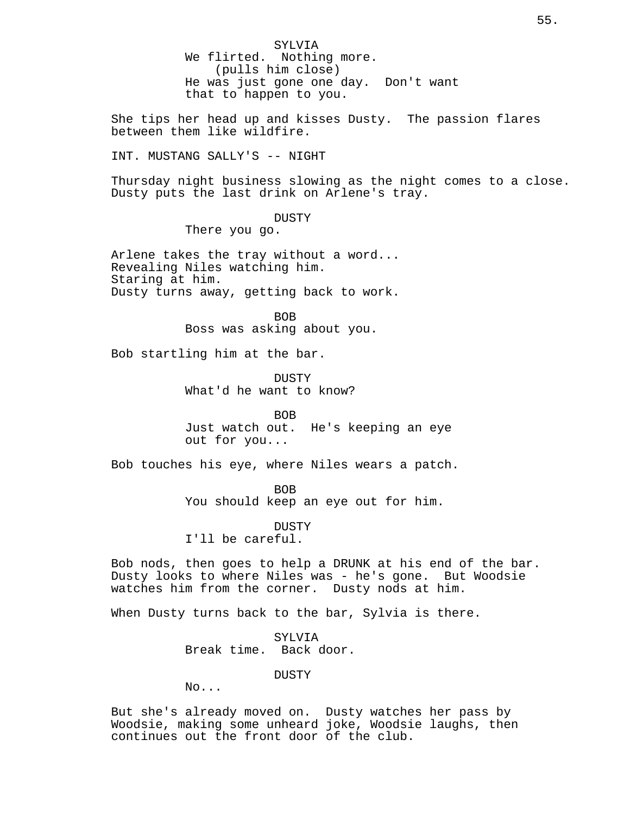SYLVIA We flirted. Nothing more. (pulls him close) He was just gone one day. Don't want that to happen to you.

She tips her head up and kisses Dusty. The passion flares between them like wildfire.

INT. MUSTANG SALLY'S -- NIGHT

Thursday night business slowing as the night comes to a close. Dusty puts the last drink on Arlene's tray.

**DUSTY** 

There you go.

Arlene takes the tray without a word... Revealing Niles watching him. Staring at him. Dusty turns away, getting back to work.

> BOB Boss was asking about you.

Bob startling him at the bar.

**DUSTY** What'd he want to know?

BOB Just watch out. He's keeping an eye out for you...

Bob touches his eye, where Niles wears a patch.

BOB

You should keep an eye out for him.

DUSTY I'll be careful.

Bob nods, then goes to help a DRUNK at his end of the bar. Dusty looks to where Niles was - he's gone. But Woodsie watches him from the corner. Dusty nods at him.

When Dusty turns back to the bar, Sylvia is there.

SYLVIA Break time. Back door.

DUSTY

No...

But she's already moved on. Dusty watches her pass by Woodsie, making some unheard joke, Woodsie laughs, then continues out the front door of the club.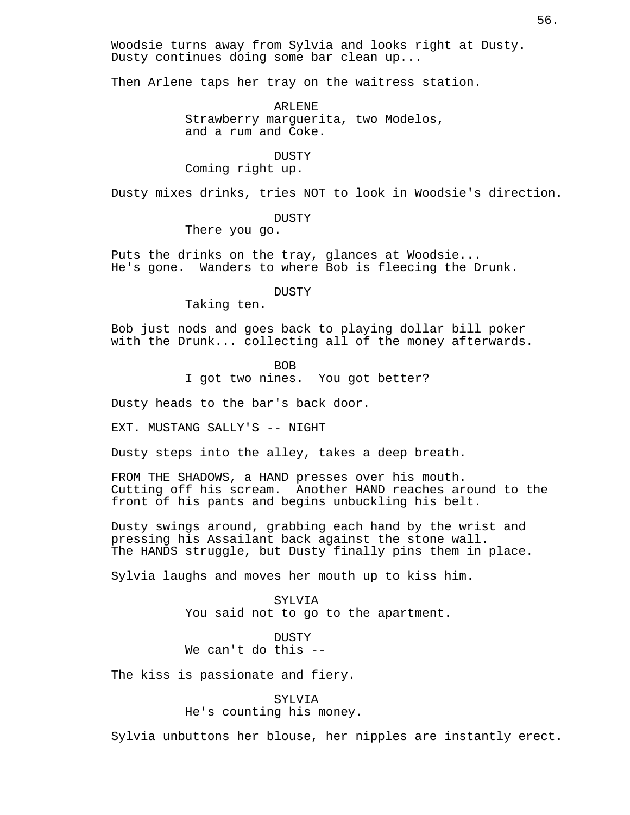Woodsie turns away from Sylvia and looks right at Dusty. Dusty continues doing some bar clean up...

Then Arlene taps her tray on the waitress station.

ARLENE Strawberry marguerita, two Modelos, and a rum and Coke.

#### DUSTY

Coming right up.

Dusty mixes drinks, tries NOT to look in Woodsie's direction.

**DUSTY** 

There you go.

Puts the drinks on the tray, glances at Woodsie... He's gone. Wanders to where Bob is fleecing the Drunk.

DUSTY

Taking ten.

Bob just nods and goes back to playing dollar bill poker with the Drunk... collecting all of the money afterwards.

BOB

I got two nines. You got better?

Dusty heads to the bar's back door.

EXT. MUSTANG SALLY'S -- NIGHT

Dusty steps into the alley, takes a deep breath.

FROM THE SHADOWS, a HAND presses over his mouth. Cutting off his scream. Another HAND reaches around to the front of his pants and begins unbuckling his belt.

Dusty swings around, grabbing each hand by the wrist and pressing his Assailant back against the stone wall. The HANDS struggle, but Dusty finally pins them in place.

Sylvia laughs and moves her mouth up to kiss him.

SYLVIA You said not to go to the apartment.

DUSTY We can't do this --

The kiss is passionate and fiery.

SYLVIA He's counting his money.

Sylvia unbuttons her blouse, her nipples are instantly erect.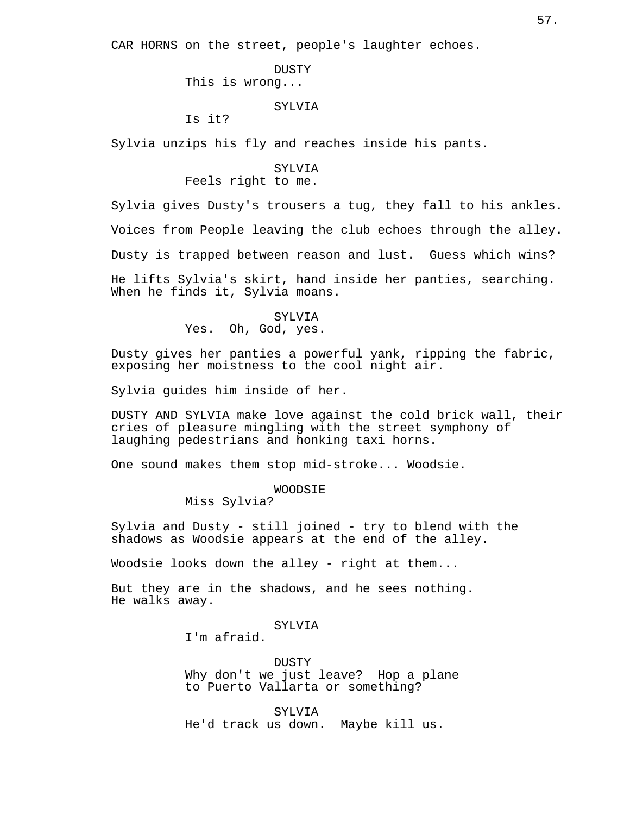CAR HORNS on the street, people's laughter echoes.

DUSTY This is wrong...

### SYLVIA

Is it?

Sylvia unzips his fly and reaches inside his pants.

# SYLVIA Feels right to me.

Sylvia gives Dusty's trousers a tug, they fall to his ankles. Voices from People leaving the club echoes through the alley. Dusty is trapped between reason and lust. Guess which wins?

He lifts Sylvia's skirt, hand inside her panties, searching. When he finds it, Sylvia moans.

# SYLVIA Yes. Oh, God, yes.

Dusty gives her panties a powerful yank, ripping the fabric, exposing her moistness to the cool night air.

Sylvia guides him inside of her.

DUSTY AND SYLVIA make love against the cold brick wall, their cries of pleasure mingling with the street symphony of laughing pedestrians and honking taxi horns.

One sound makes them stop mid-stroke... Woodsie.

### WOODSIE

Miss Sylvia?

Sylvia and Dusty - still joined - try to blend with the shadows as Woodsie appears at the end of the alley.

Woodsie looks down the alley - right at them...

But they are in the shadows, and he sees nothing. He walks away.

# SYLV<sub>I</sub>A

I'm afraid.

DUSTY Why don't we just leave? Hop a plane to Puerto Vallarta or something?

SYLVIA He'd track us down. Maybe kill us.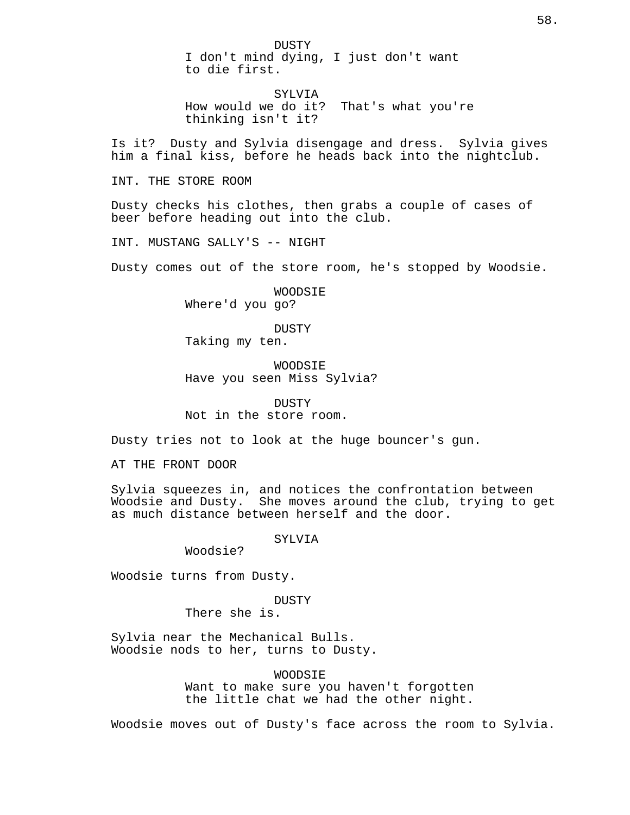DUSTY I don't mind dying, I just don't want to die first.

SYLVIA How would we do it? That's what you're thinking isn't it?

Is it? Dusty and Sylvia disengage and dress. Sylvia gives him a final kiss, before he heads back into the nightclub.

INT. THE STORE ROOM

Dusty checks his clothes, then grabs a couple of cases of beer before heading out into the club.

INT. MUSTANG SALLY'S -- NIGHT

Dusty comes out of the store room, he's stopped by Woodsie.

WOODSIE Where'd you go?

DUSTY Taking my ten.

WOODSIE Have you seen Miss Sylvia?

DUSTY Not in the store room.

Dusty tries not to look at the huge bouncer's gun.

AT THE FRONT DOOR

Sylvia squeezes in, and notices the confrontation between Woodsie and Dusty. She moves around the club, trying to get as much distance between herself and the door.

SYLVIA

Woodsie?

Woodsie turns from Dusty.

DUSTY

There she is.

Sylvia near the Mechanical Bulls. Woodsie nods to her, turns to Dusty.

WOODSIE

Want to make sure you haven't forgotten the little chat we had the other night.

Woodsie moves out of Dusty's face across the room to Sylvia.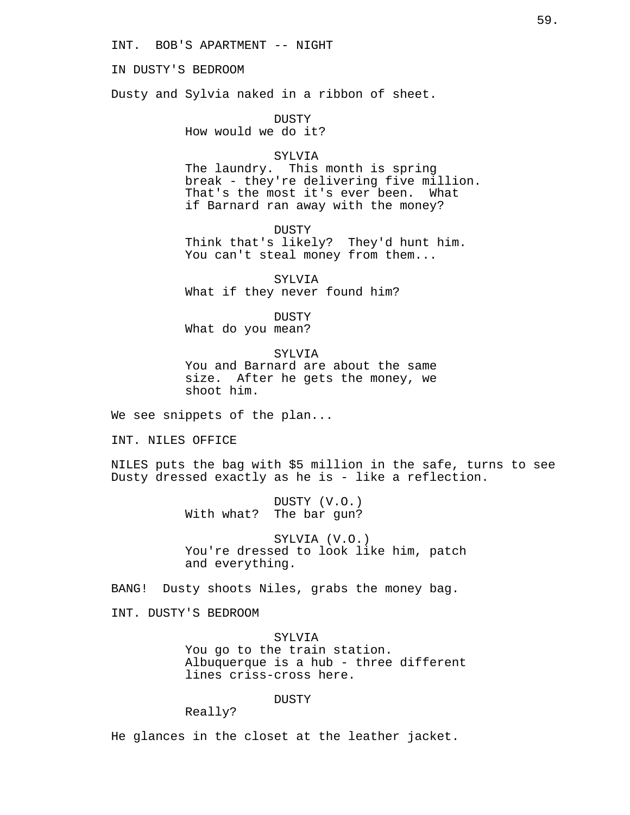INT. BOB'S APARTMENT -- NIGHT

IN DUSTY'S BEDROOM

Dusty and Sylvia naked in a ribbon of sheet.

DUSTY How would we do it?

### SYLVIA

The laundry. This month is spring break - they're delivering five million. That's the most it's ever been. What if Barnard ran away with the money?

DUSTY Think that's likely? They'd hunt him. You can't steal money from them...

SYLVIA What if they never found him?

DUSTY What do you mean?

SYLVIA You and Barnard are about the same size. After he gets the money, we shoot him.

We see snippets of the plan...

INT. NILES OFFICE

NILES puts the bag with \$5 million in the safe, turns to see Dusty dressed exactly as he is - like a reflection.

> DUSTY (V.O.) With what? The bar gun?

SYLVIA (V.O.) You're dressed to look like him, patch and everything.

BANG! Dusty shoots Niles, grabs the money bag.

INT. DUSTY'S BEDROOM

SYLVIA You go to the train station. Albuquerque is a hub - three different lines criss-cross here.

DUSTY

Really?

He glances in the closet at the leather jacket.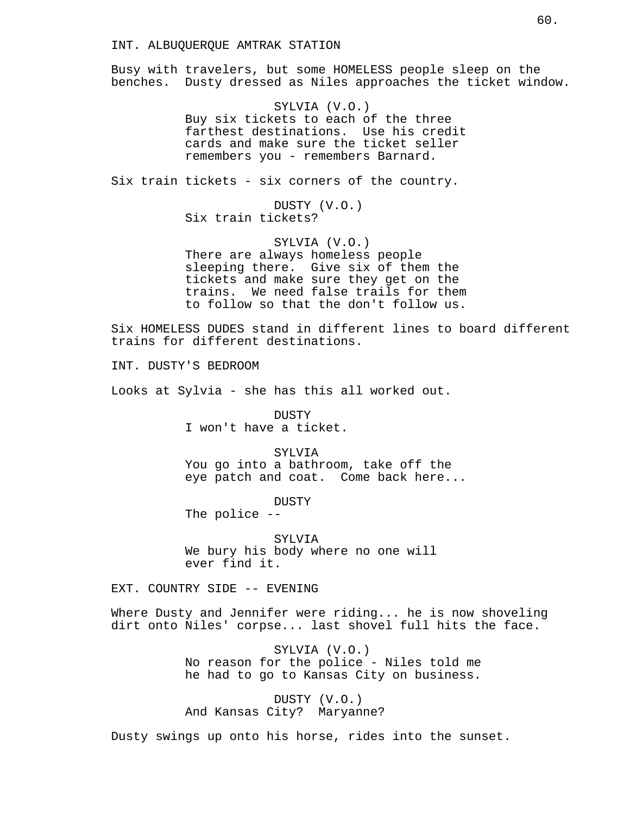Busy with travelers, but some HOMELESS people sleep on the benches. Dusty dressed as Niles approaches the ticket window.

> SYLVIA (V.O.) Buy six tickets to each of the three farthest destinations. Use his credit cards and make sure the ticket seller remembers you - remembers Barnard.

Six train tickets - six corners of the country.

DUSTY (V.O.) Six train tickets?

SYLVIA (V.O.) There are always homeless people sleeping there. Give six of them the tickets and make sure they get on the trains. We need false trails for them to follow so that the don't follow us.

Six HOMELESS DUDES stand in different lines to board different trains for different destinations.

INT. DUSTY'S BEDROOM

Looks at Sylvia - she has this all worked out.

**DUSTY** I won't have a ticket.

SYLVIA You go into a bathroom, take off the eye patch and coat. Come back here...

DUSTY

The police --

SYLVIA We bury his body where no one will ever find it.

EXT. COUNTRY SIDE -- EVENING

Where Dusty and Jennifer were riding... he is now shoveling dirt onto Niles' corpse... last shovel full hits the face.

> SYLVIA (V.O.) No reason for the police - Niles told me he had to go to Kansas City on business.

DUSTY (V.O.) And Kansas City? Maryanne?

Dusty swings up onto his horse, rides into the sunset.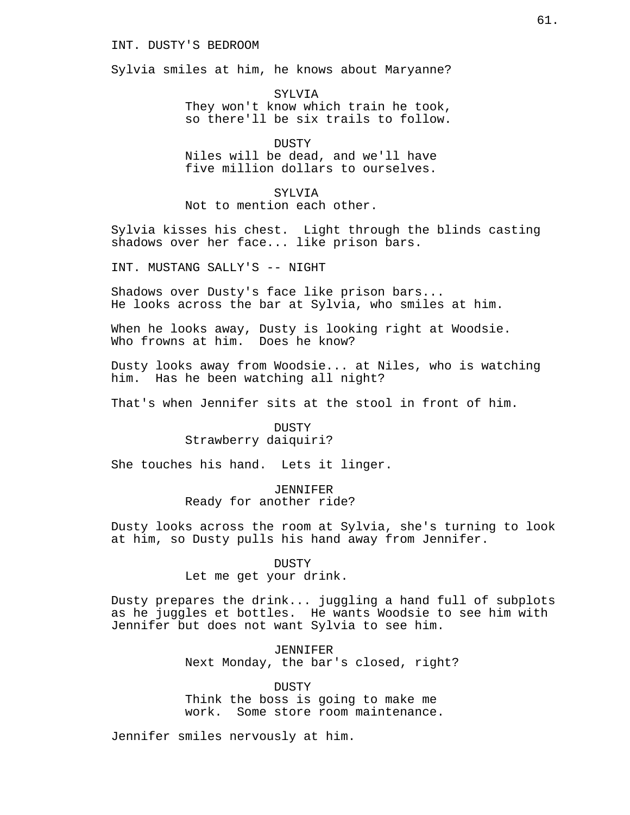# INT. DUSTY'S BEDROOM

Sylvia smiles at him, he knows about Maryanne?

SYLVIA They won't know which train he took, so there'll be six trails to follow.

**DUSTY** Niles will be dead, and we'll have five million dollars to ourselves.

SYLVIA

Not to mention each other.

Sylvia kisses his chest. Light through the blinds casting shadows over her face... like prison bars.

INT. MUSTANG SALLY'S -- NIGHT

Shadows over Dusty's face like prison bars... He looks across the bar at Sylvia, who smiles at him.

When he looks away, Dusty is looking right at Woodsie. Who frowns at him. Does he know?

Dusty looks away from Woodsie... at Niles, who is watching him. Has he been watching all night?

That's when Jennifer sits at the stool in front of him.

**DUSTY** Strawberry daiquiri?

She touches his hand. Lets it linger.

JENNIFER Ready for another ride?

Dusty looks across the room at Sylvia, she's turning to look at him, so Dusty pulls his hand away from Jennifer.

DUSTY

Let me get your drink.

Dusty prepares the drink... juggling a hand full of subplots as he juggles et bottles. He wants Woodsie to see him with Jennifer but does not want Sylvia to see him.

> JENNIFER Next Monday, the bar's closed, right?

DUSTY Think the boss is going to make me work. Some store room maintenance.

Jennifer smiles nervously at him.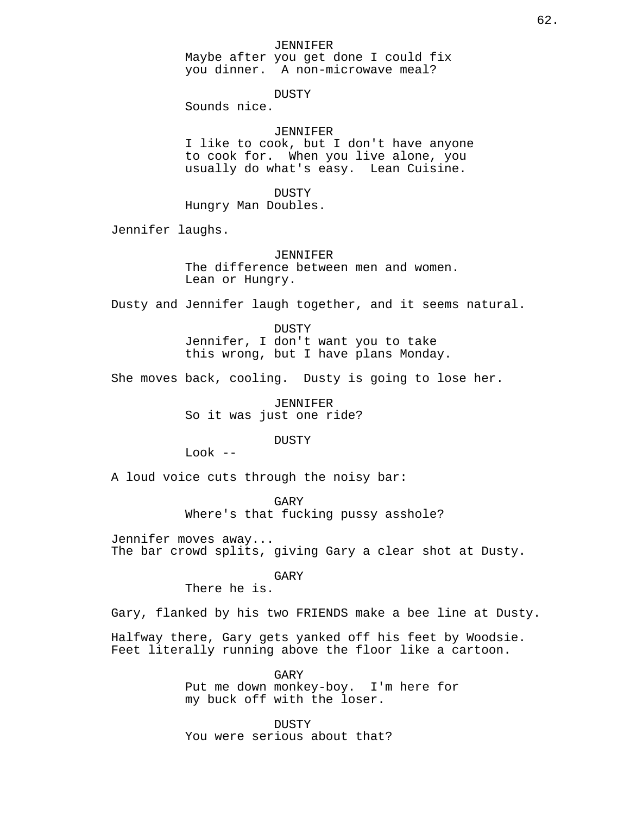### JENNIFER

Maybe after you get done I could fix you dinner. A non-microwave meal?

DUSTY

Sounds nice.

# JENNIFER

I like to cook, but I don't have anyone to cook for. When you live alone, you usually do what's easy. Lean Cuisine.

DUSTY

Hungry Man Doubles.

Jennifer laughs.

# JENNIFER

The difference between men and women. Lean or Hungry.

Dusty and Jennifer laugh together, and it seems natural.

DUSTY Jennifer, I don't want you to take this wrong, but I have plans Monday.

She moves back, cooling. Dusty is going to lose her.

JENNIFER So it was just one ride?

DUSTY

Look --

A loud voice cuts through the noisy bar:

GARY Where's that fucking pussy asshole?

Jennifer moves away... The bar crowd splits, giving Gary a clear shot at Dusty.

GARY

There he is.

Gary, flanked by his two FRIENDS make a bee line at Dusty.

Halfway there, Gary gets yanked off his feet by Woodsie. Feet literally running above the floor like a cartoon.

> GARY Put me down monkey-boy. I'm here for my buck off with the loser.

DUSTY You were serious about that?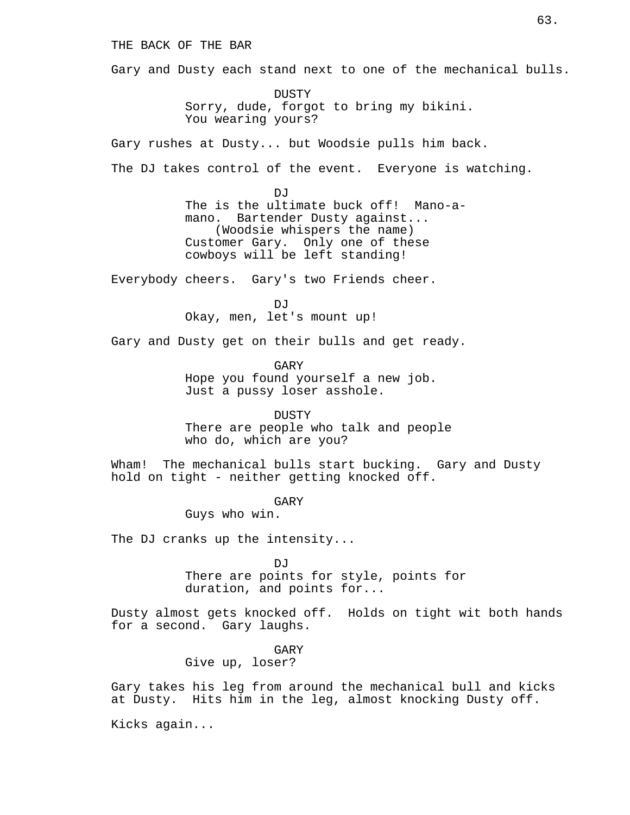# THE BACK OF THE BAR

Gary and Dusty each stand next to one of the mechanical bulls.

DUSTY Sorry, dude, forgot to bring my bikini. You wearing yours?

Gary rushes at Dusty... but Woodsie pulls him back.

The DJ takes control of the event. Everyone is watching.

DJ<sub>J</sub> The is the ultimate buck off! Mano-amano. Bartender Dusty against... (Woodsie whispers the name) Customer Gary. Only one of these cowboys will be left standing!

Everybody cheers. Gary's two Friends cheer.

DJ<sub>J</sub> Okay, men, let's mount up!

Gary and Dusty get on their bulls and get ready.

GARY Hope you found yourself a new job. Just a pussy loser asshole.

**DUSTY** There are people who talk and people who do, which are you?

Wham! The mechanical bulls start bucking. Gary and Dusty hold on tight - neither getting knocked off.

GARY

Guys who win.

The DJ cranks up the intensity...

 $D<sub>0</sub>$ 

There are points for style, points for duration, and points for...

Dusty almost gets knocked off. Holds on tight wit both hands for a second. Gary laughs.

GARY

Give up, loser?

Gary takes his leg from around the mechanical bull and kicks at Dusty. Hits him in the leg, almost knocking Dusty off.

Kicks again...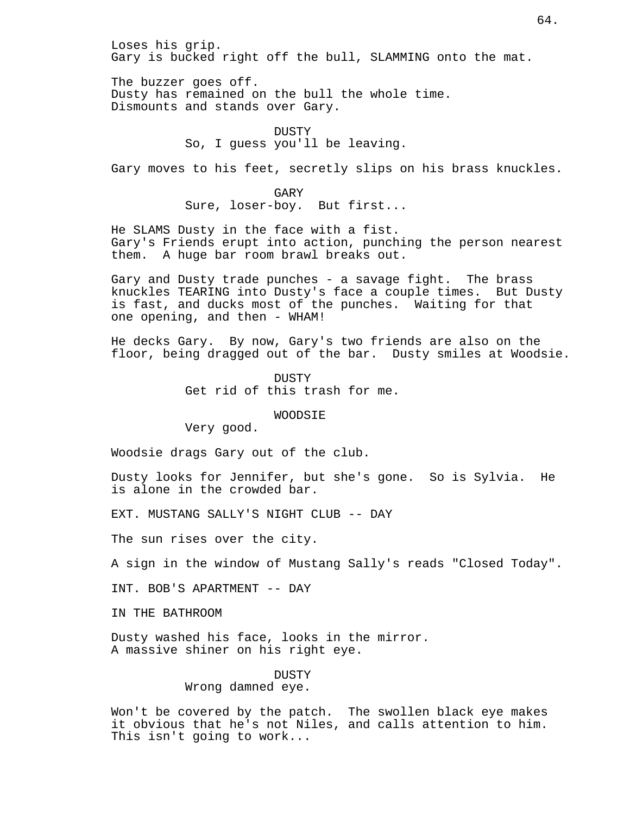Loses his grip. Gary is bucked right off the bull, SLAMMING onto the mat.

The buzzer goes off. Dusty has remained on the bull the whole time. Dismounts and stands over Gary.

> DUSTY So, I guess you'll be leaving.

Gary moves to his feet, secretly slips on his brass knuckles.

GARY Sure, loser-boy. But first...

He SLAMS Dusty in the face with a fist. Gary's Friends erupt into action, punching the person nearest them. A huge bar room brawl breaks out.

Gary and Dusty trade punches - a savage fight. The brass knuckles TEARING into Dusty's face a couple times. But Dusty is fast, and ducks most of the punches. Waiting for that one opening, and then - WHAM!

He decks Gary. By now, Gary's two friends are also on the floor, being dragged out of the bar. Dusty smiles at Woodsie.

> DUSTY Get rid of this trash for me.

### WOODSIE

Very good.

Woodsie drags Gary out of the club.

Dusty looks for Jennifer, but she's gone. So is Sylvia. He is alone in the crowded bar.

EXT. MUSTANG SALLY'S NIGHT CLUB -- DAY

The sun rises over the city.

A sign in the window of Mustang Sally's reads "Closed Today".

INT. BOB'S APARTMENT -- DAY

IN THE BATHROOM

Dusty washed his face, looks in the mirror. A massive shiner on his right eye.

> DUSTY Wrong damned eye.

Won't be covered by the patch. The swollen black eye makes it obvious that he's not Niles, and calls attention to him. This isn't going to work...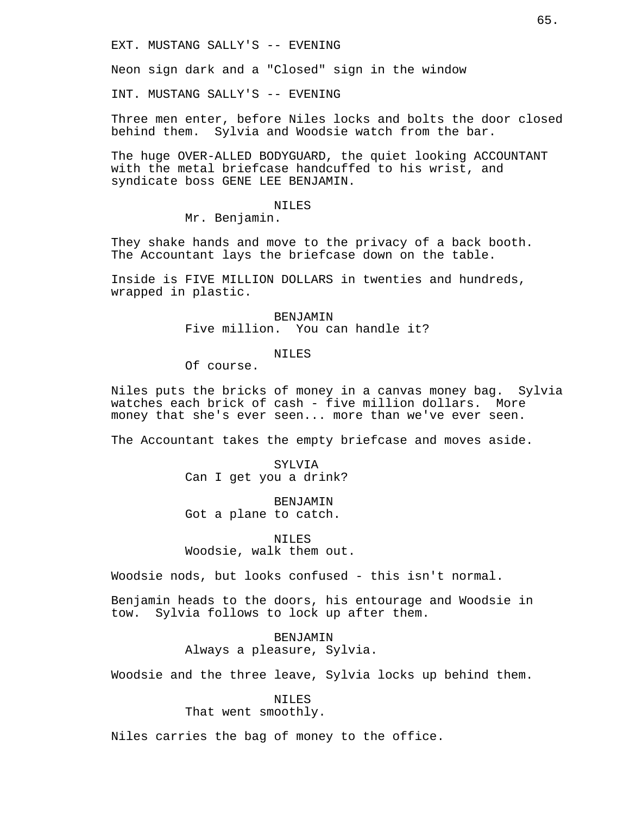EXT. MUSTANG SALLY'S -- EVENING

Neon sign dark and a "Closed" sign in the window

INT. MUSTANG SALLY'S -- EVENING

Three men enter, before Niles locks and bolts the door closed behind them. Sylvia and Woodsie watch from the bar.

The huge OVER-ALLED BODYGUARD, the quiet looking ACCOUNTANT with the metal briefcase handcuffed to his wrist, and syndicate boss GENE LEE BENJAMIN.

### NILES

Mr. Benjamin.

They shake hands and move to the privacy of a back booth. The Accountant lays the briefcase down on the table.

Inside is FIVE MILLION DOLLARS in twenties and hundreds, wrapped in plastic.

> BENJAMIN Five million. You can handle it?

## NILES

Of course.

Niles puts the bricks of money in a canvas money bag. Sylvia watches each brick of cash - five million dollars. More money that she's ever seen... more than we've ever seen.

The Accountant takes the empty briefcase and moves aside.

SYLVIA Can I get you a drink?

BENJAMIN Got a plane to catch.

NILES Woodsie, walk them out.

Woodsie nods, but looks confused - this isn't normal.

Benjamin heads to the doors, his entourage and Woodsie in tow. Sylvia follows to lock up after them.

> BENJAMIN Always a pleasure, Sylvia.

Woodsie and the three leave, Sylvia locks up behind them.

NILES

That went smoothly.

Niles carries the bag of money to the office.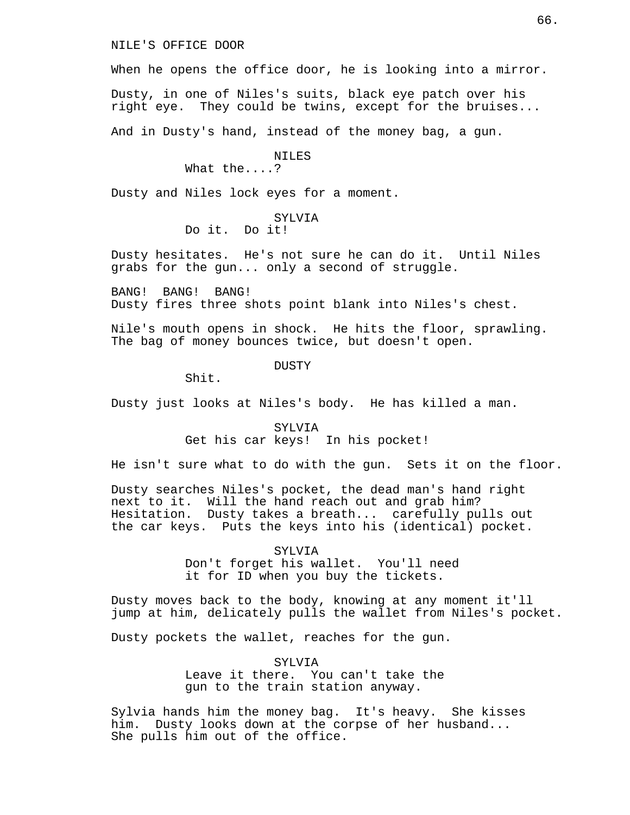NILE'S OFFICE DOOR

When he opens the office door, he is looking into a mirror.

Dusty, in one of Niles's suits, black eye patch over his right eye. They could be twins, except for the bruises...

And in Dusty's hand, instead of the money bag, a gun.

### NTLES

What the....?

Dusty and Niles lock eyes for a moment.

#### SYLV<sub>I</sub>A

Do it. Do it!

Dusty hesitates. He's not sure he can do it. Until Niles grabs for the gun... only a second of struggle.

BANG! BANG! BANG! Dusty fires three shots point blank into Niles's chest.

Nile's mouth opens in shock. He hits the floor, sprawling. The bag of money bounces twice, but doesn't open.

DUSTY

Shit.

Dusty just looks at Niles's body. He has killed a man.

# SYLVIA Get his car keys! In his pocket!

He isn't sure what to do with the gun. Sets it on the floor.

Dusty searches Niles's pocket, the dead man's hand right next to it. Will the hand reach out and grab him? Hesitation. Dusty takes a breath... carefully pulls out the car keys. Puts the keys into his (identical) pocket.

> SYLVIA Don't forget his wallet. You'll need it for ID when you buy the tickets.

Dusty moves back to the body, knowing at any moment it'll jump at him, delicately pulls the wallet from Niles's pocket.

Dusty pockets the wallet, reaches for the gun.

SYLVIA Leave it there. You can't take the gun to the train station anyway.

Sylvia hands him the money bag. It's heavy. She kisses him. Dusty looks down at the corpse of her husband... She pulls him out of the office.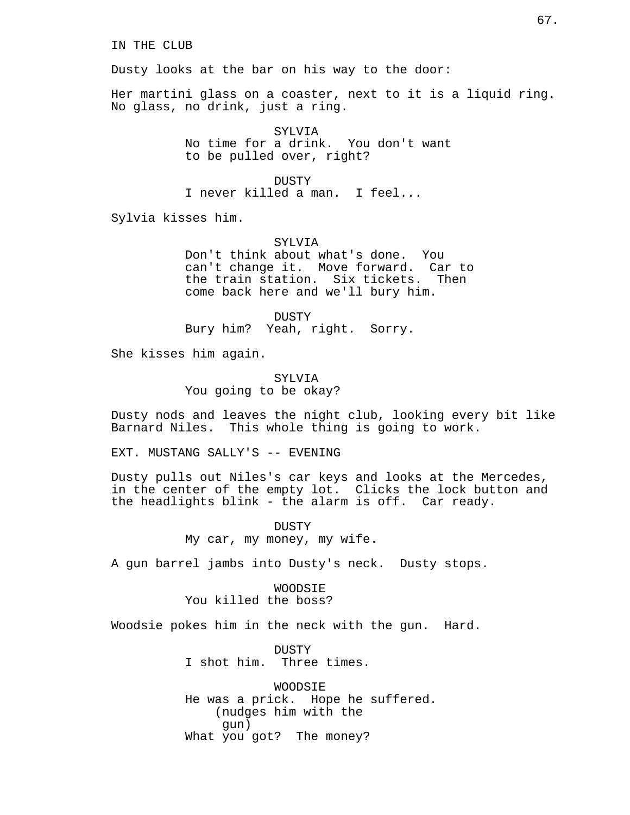Dusty looks at the bar on his way to the door:

Her martini glass on a coaster, next to it is a liquid ring. No glass, no drink, just a ring.

> SYLVIA No time for a drink. You don't want to be pulled over, right?

> > DUSTY

I never killed a man. I feel...

Sylvia kisses him.

SYLV<sub>I</sub>A Don't think about what's done. You can't change it. Move forward. Car to the train station. Six tickets. Then come back here and we'll bury him.

DUSTY Bury him? Yeah, right. Sorry.

She kisses him again.

SYLVIA You going to be okay?

Dusty nods and leaves the night club, looking every bit like Barnard Niles. This whole thing is going to work.

EXT. MUSTANG SALLY'S -- EVENING

Dusty pulls out Niles's car keys and looks at the Mercedes, in the center of the empty lot. Clicks the lock button and the headlights blink - the alarm is off. Car ready.

> DUSTY My car, my money, my wife.

A gun barrel jambs into Dusty's neck. Dusty stops.

WOODSIE You killed the boss?

Woodsie pokes him in the neck with the gun. Hard.

DUSTY I shot him. Three times.

WOODSIE He was a prick. Hope he suffered. (nudges him with the gun) What you got? The money?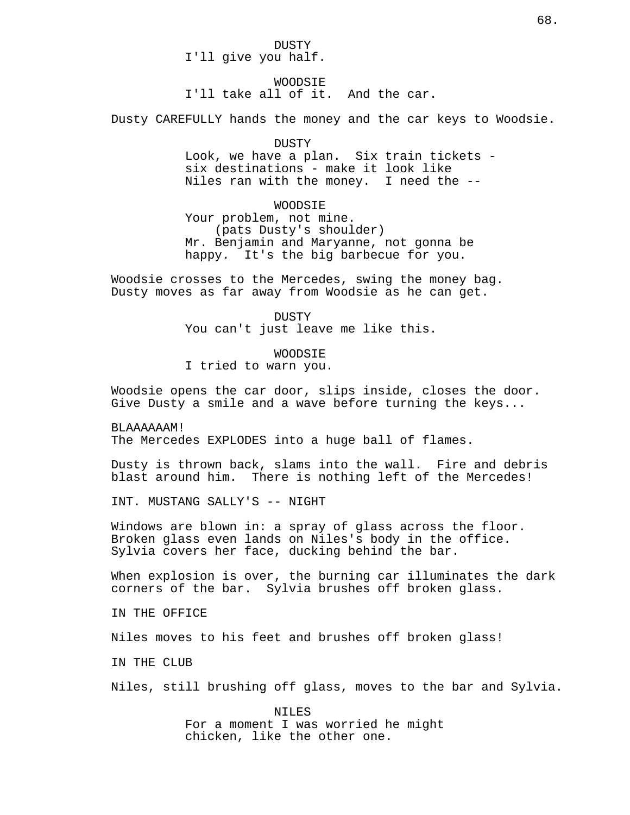DUSTY I'll give you half.

WOODSIE

I'll take all of it. And the car.

Dusty CAREFULLY hands the money and the car keys to Woodsie.

DUSTY

Look, we have a plan. Six train tickets six destinations - make it look like Niles ran with the money. I need the --

WOODSIE

Your problem, not mine. (pats Dusty's shoulder) Mr. Benjamin and Maryanne, not gonna be happy. It's the big barbecue for you.

Woodsie crosses to the Mercedes, swing the money bag. Dusty moves as far away from Woodsie as he can get.

> DUSTY You can't just leave me like this.

> > WOODSIE

I tried to warn you.

Woodsie opens the car door, slips inside, closes the door. Give Dusty a smile and a wave before turning the keys...

BLAAAAAAM!

The Mercedes EXPLODES into a huge ball of flames.

Dusty is thrown back, slams into the wall. Fire and debris blast around him. There is nothing left of the Mercedes!

INT. MUSTANG SALLY'S -- NIGHT

Windows are blown in: a spray of glass across the floor. Broken glass even lands on Niles's body in the office. Sylvia covers her face, ducking behind the bar.

When explosion is over, the burning car illuminates the dark corners of the bar. Sylvia brushes off broken glass.

IN THE OFFICE

Niles moves to his feet and brushes off broken glass!

IN THE CLUB

Niles, still brushing off glass, moves to the bar and Sylvia.

NILES For a moment I was worried he might chicken, like the other one.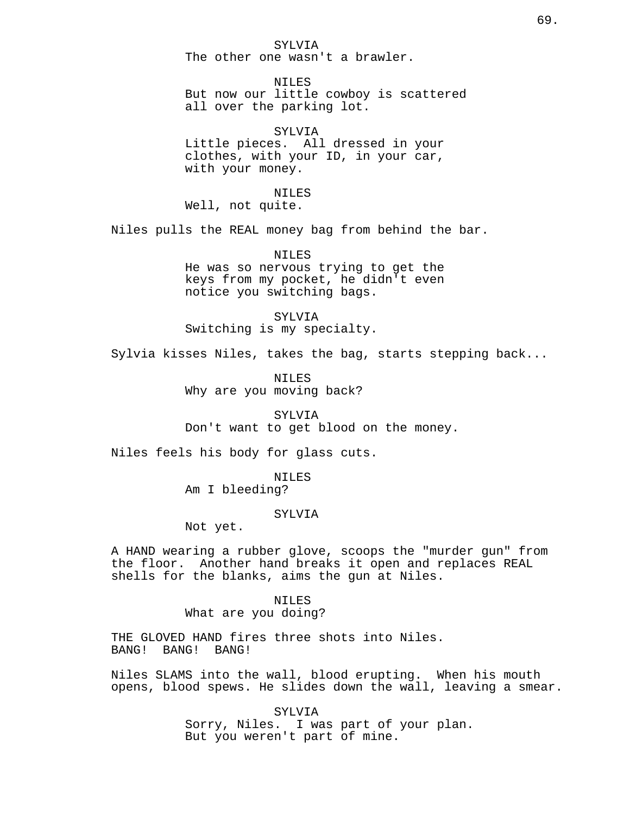SYLVIA The other one wasn't a brawler.

NTLES But now our little cowboy is scattered all over the parking lot.

SYLVIA Little pieces. All dressed in your clothes, with your ID, in your car, with your money.

NILES

Well, not quite.

Niles pulls the REAL money bag from behind the bar.

NILES He was so nervous trying to get the keys from my pocket, he didn't even notice you switching bags.

SYLVIA Switching is my specialty.

Sylvia kisses Niles, takes the bag, starts stepping back...

NILES Why are you moving back?

SYLV<sub>I</sub>A Don't want to get blood on the money.

Niles feels his body for glass cuts.

NILES Am I bleeding?

### SYLVIA

Not yet.

A HAND wearing a rubber glove, scoops the "murder gun" from the floor. Another hand breaks it open and replaces REAL shells for the blanks, aims the gun at Niles.

> NILES What are you doing?

THE GLOVED HAND fires three shots into Niles. BANG! BANG! BANG!

Niles SLAMS into the wall, blood erupting. When his mouth opens, blood spews. He slides down the wall, leaving a smear.

> SYLVIA Sorry, Niles. I was part of your plan. But you weren't part of mine.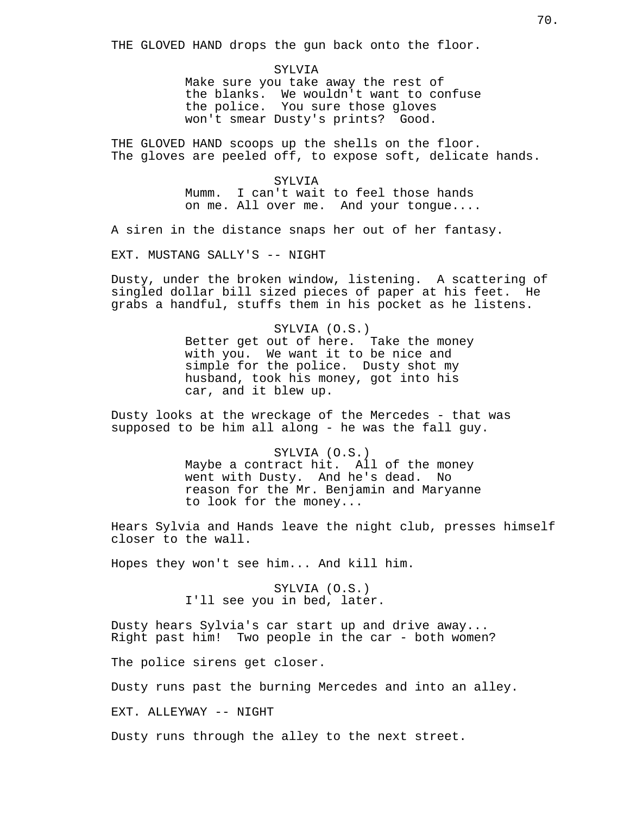THE GLOVED HAND drops the gun back onto the floor.

SYLVIA Make sure you take away the rest of the blanks. We wouldn't want to confuse the police. You sure those gloves won't smear Dusty's prints? Good.

THE GLOVED HAND scoops up the shells on the floor. The gloves are peeled off, to expose soft, delicate hands.

> SYLVIA Mumm. I can't wait to feel those hands on me. All over me. And your tongue....

A siren in the distance snaps her out of her fantasy.

EXT. MUSTANG SALLY'S -- NIGHT

Dusty, under the broken window, listening. A scattering of singled dollar bill sized pieces of paper at his feet. He grabs a handful, stuffs them in his pocket as he listens.

> SYLVIA (O.S.) Better get out of here. Take the money with you. We want it to be nice and simple for the police. Dusty shot my husband, took his money, got into his car, and it blew up.

Dusty looks at the wreckage of the Mercedes - that was supposed to be him all along - he was the fall guy.

> SYLVIA (O.S.) Maybe a contract hit. All of the money went with Dusty. And he's dead. No reason for the Mr. Benjamin and Maryanne to look for the money...

Hears Sylvia and Hands leave the night club, presses himself closer to the wall.

Hopes they won't see him... And kill him.

SYLVIA (O.S.) I'll see you in bed, later.

Dusty hears Sylvia's car start up and drive away... Right past him! Two people in the car - both women?

The police sirens get closer.

Dusty runs past the burning Mercedes and into an alley.

EXT. ALLEYWAY -- NIGHT

Dusty runs through the alley to the next street.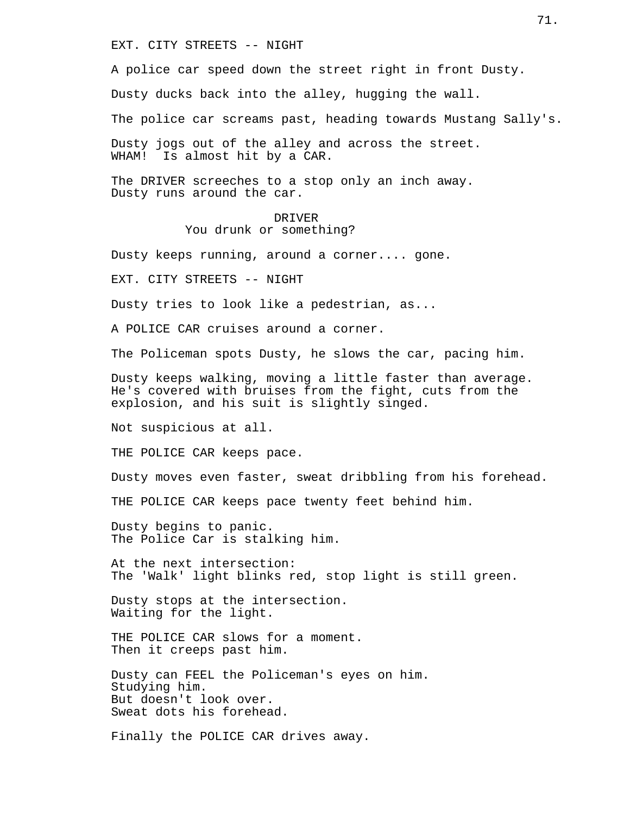EXT. CITY STREETS -- NIGHT

A police car speed down the street right in front Dusty.

Dusty ducks back into the alley, hugging the wall.

The police car screams past, heading towards Mustang Sally's.

Dusty jogs out of the alley and across the street. WHAM! Is almost hit by a CAR.

The DRIVER screeches to a stop only an inch away. Dusty runs around the car.

# DRIVER

# You drunk or something?

Dusty keeps running, around a corner.... gone.

EXT. CITY STREETS -- NIGHT

Dusty tries to look like a pedestrian, as...

A POLICE CAR cruises around a corner.

The Policeman spots Dusty, he slows the car, pacing him.

Dusty keeps walking, moving a little faster than average. He's covered with bruises from the fight, cuts from the explosion, and his suit is slightly singed.

Not suspicious at all.

THE POLICE CAR keeps pace.

Dusty moves even faster, sweat dribbling from his forehead.

THE POLICE CAR keeps pace twenty feet behind him.

Dusty begins to panic. The Police Car is stalking him.

At the next intersection: The 'Walk' light blinks red, stop light is still green.

Dusty stops at the intersection. Waiting for the light.

THE POLICE CAR slows for a moment. Then it creeps past him.

Dusty can FEEL the Policeman's eyes on him. Studying him. But doesn't look over. Sweat dots his forehead.

Finally the POLICE CAR drives away.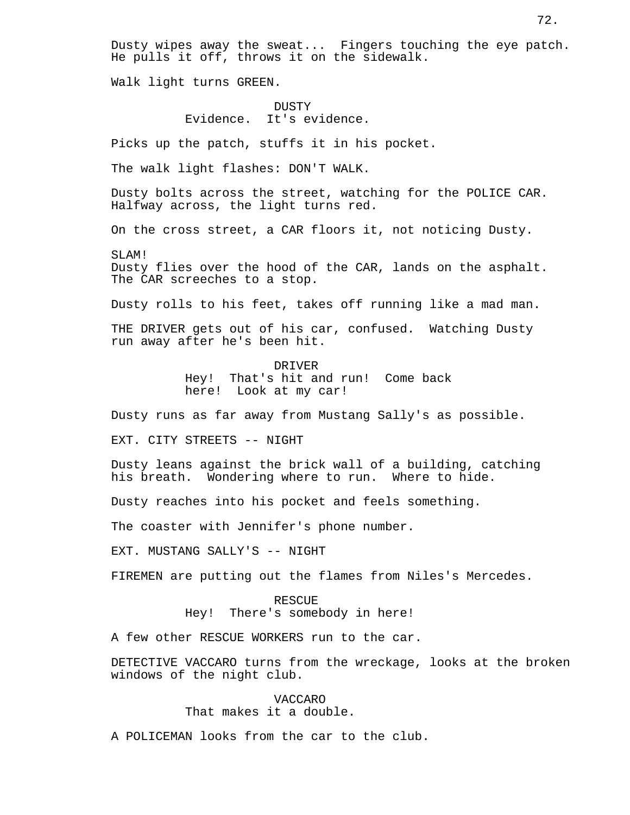Dusty wipes away the sweat... Fingers touching the eye patch. He pulls it off, throws it on the sidewalk.

Walk light turns GREEN.

# DUSTY Evidence. It's evidence.

Picks up the patch, stuffs it in his pocket.

The walk light flashes: DON'T WALK.

Dusty bolts across the street, watching for the POLICE CAR. Halfway across, the light turns red.

On the cross street, a CAR floors it, not noticing Dusty.

SLAM! Dusty flies over the hood of the CAR, lands on the asphalt. The CAR screeches to a stop.

Dusty rolls to his feet, takes off running like a mad man.

THE DRIVER gets out of his car, confused. Watching Dusty run away after he's been hit.

DRIVER

Hey! That's hit and run! Come back here! Look at my car!

Dusty runs as far away from Mustang Sally's as possible.

EXT. CITY STREETS -- NIGHT

Dusty leans against the brick wall of a building, catching his breath. Wondering where to run. Where to hide.

Dusty reaches into his pocket and feels something.

The coaster with Jennifer's phone number.

EXT. MUSTANG SALLY'S -- NIGHT

FIREMEN are putting out the flames from Niles's Mercedes.

RESCUE Hey! There's somebody in here!

A few other RESCUE WORKERS run to the car.

DETECTIVE VACCARO turns from the wreckage, looks at the broken windows of the night club.

> VACCARO That makes it a double.

A POLICEMAN looks from the car to the club.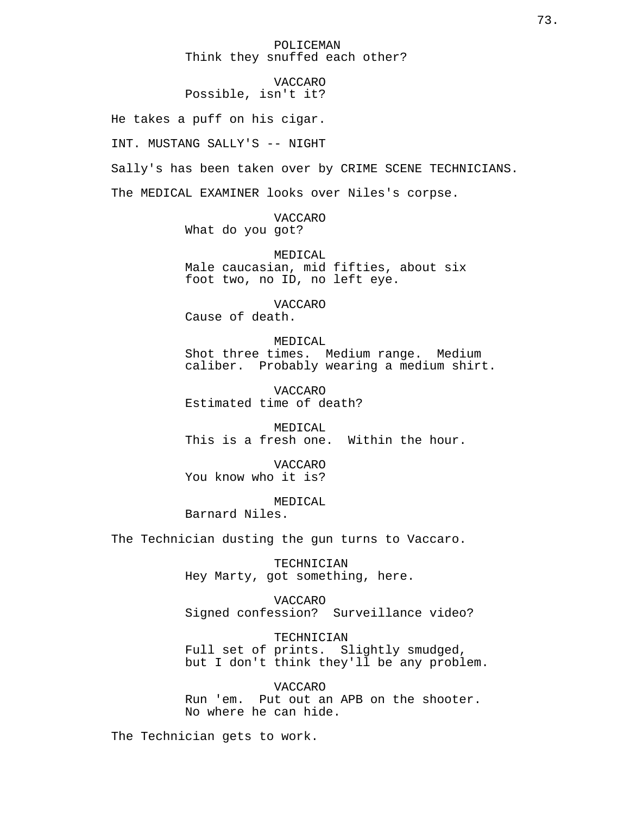# POLICEMAN Think they snuffed each other?

# VACCARO Possible, isn't it?

He takes a puff on his cigar.

INT. MUSTANG SALLY'S -- NIGHT

Sally's has been taken over by CRIME SCENE TECHNICIANS.

The MEDICAL EXAMINER looks over Niles's corpse.

VACCARO What do you got?

MEDICAL Male caucasian, mid fifties, about six foot two, no ID, no left eye.

VACCARO Cause of death.

MEDICAL Shot three times. Medium range. Medium caliber. Probably wearing a medium shirt.

VACCARO Estimated time of death?

MEDICAL This is a fresh one. Within the hour.

VACCARO You know who it is?

MEDICAL

Barnard Niles.

The Technician dusting the gun turns to Vaccaro.

TECHNICIAN Hey Marty, got something, here.

VACCARO Signed confession? Surveillance video?

TECHNICIAN Full set of prints. Slightly smudged, but I don't think they'll be any problem.

VACCARO Run 'em. Put out an APB on the shooter. No where he can hide.

The Technician gets to work.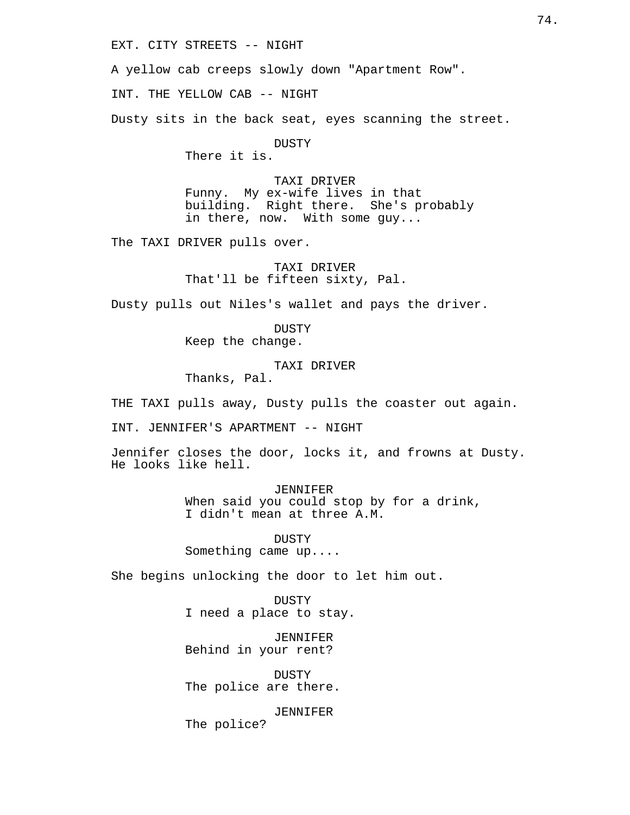EXT. CITY STREETS -- NIGHT

A yellow cab creeps slowly down "Apartment Row".

INT. THE YELLOW CAB -- NIGHT

Dusty sits in the back seat, eyes scanning the street.

DUSTY

There it is.

TAXI DRIVER Funny. My ex-wife lives in that building. Right there. She's probably in there, now. With some guy...

The TAXI DRIVER pulls over.

TAXI DRIVER That'll be fifteen sixty, Pal.

Dusty pulls out Niles's wallet and pays the driver.

DUSTY Keep the change.

TAXI DRIVER Thanks, Pal.

THE TAXI pulls away, Dusty pulls the coaster out again.

INT. JENNIFER'S APARTMENT -- NIGHT

Jennifer closes the door, locks it, and frowns at Dusty. He looks like hell.

> JENNIFER When said you could stop by for a drink, I didn't mean at three A.M.

DUSTY Something came up....

She begins unlocking the door to let him out.

DUSTY I need a place to stay.

JENNIFER Behind in your rent?

DUSTY The police are there.

JENNIFER The police?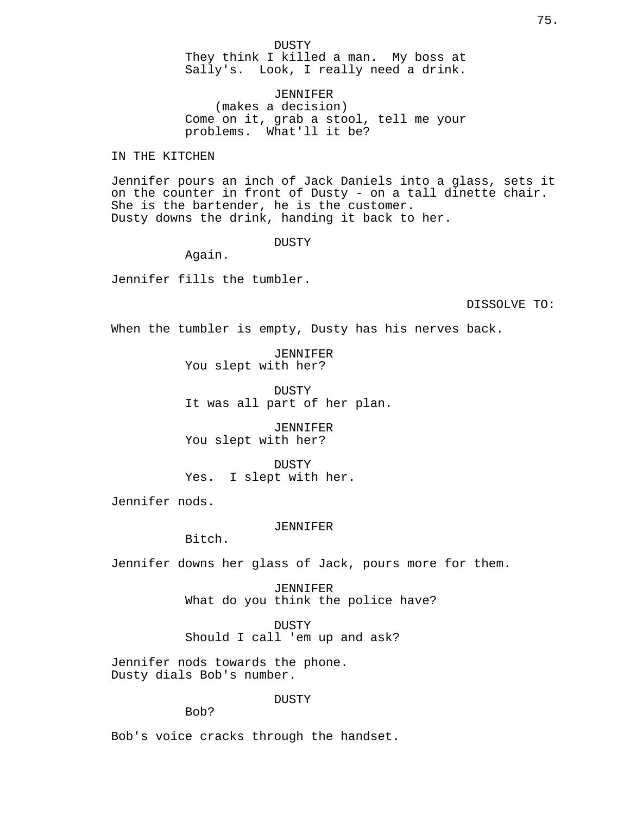DUSTY They think I killed a man. My boss at Sally's. Look, I really need a drink.

JENNIFER (makes a decision) Come on it, grab a stool, tell me your problems. What'll it be?

IN THE KITCHEN

Jennifer pours an inch of Jack Daniels into a glass, sets it on the counter in front of Dusty - on a tall dinette chair. She is the bartender, he is the customer. Dusty downs the drink, handing it back to her.

DUSTY

Again.

Jennifer fills the tumbler.

DISSOLVE TO:

When the tumbler is empty, Dusty has his nerves back.

JENNIFER You slept with her?

DUSTY It was all part of her plan.

JENNIFER You slept with her?

DUSTY Yes. I slept with her.

Jennifer nods.

#### JENNIFER

Bitch.

Jennifer downs her glass of Jack, pours more for them.

JENNIFER What do you think the police have?

DUSTY Should I call 'em up and ask?

Jennifer nods towards the phone. Dusty dials Bob's number.

DUSTY

Bob?

Bob's voice cracks through the handset.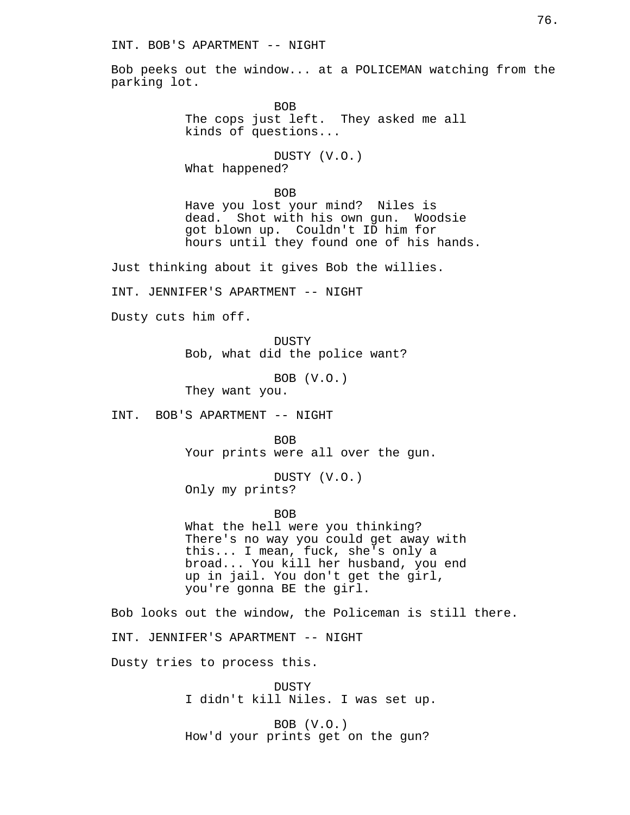Bob peeks out the window... at a POLICEMAN watching from the parking lot.

> BOB The cops just left. They asked me all kinds of questions...

DUSTY (V.O.) What happened?

BOB Have you lost your mind? Niles is dead. Shot with his own gun. Woodsie got blown up. Couldn't ID him for hours until they found one of his hands.

Just thinking about it gives Bob the willies.

INT. JENNIFER'S APARTMENT -- NIGHT

Dusty cuts him off.

DUSTY Bob, what did the police want?

BOB (V.O.) They want you.

INT. BOB'S APARTMENT -- NIGHT

BOB Your prints were all over the gun.

DUSTY (V.O.) Only my prints?

BOB

What the hell were you thinking? There's no way you could get away with this... I mean, fuck, she's only a broad... You kill her husband, you end up in jail. You don't get the girl, you're gonna BE the girl.

Bob looks out the window, the Policeman is still there. INT. JENNIFER'S APARTMENT -- NIGHT Dusty tries to process this.

> **DUSTY** I didn't kill Niles. I was set up.

BOB (V.O.) How'd your prints get on the gun?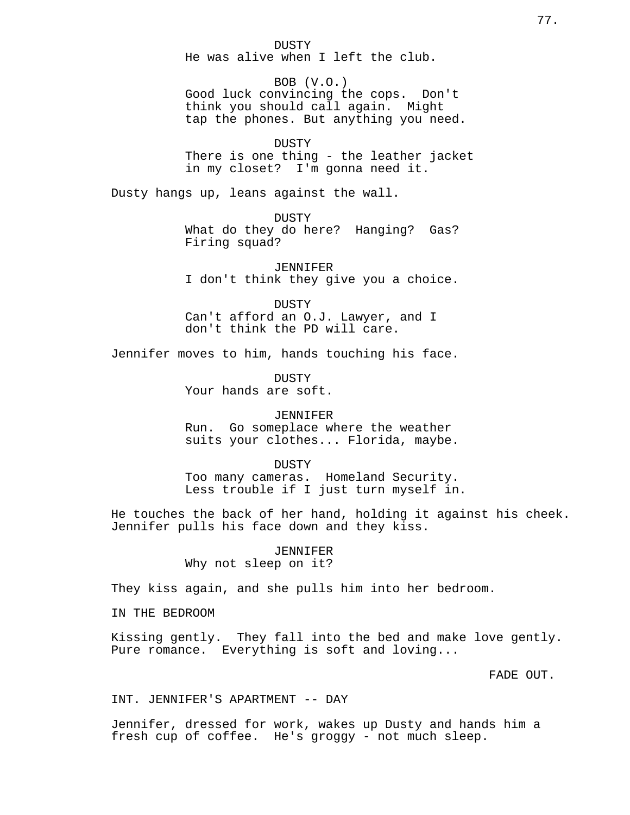DUSTY He was alive when I left the club.

BOB (V.O.) Good luck convincing the cops. Don't think you should call again. Might tap the phones. But anything you need.

DUSTY There is one thing - the leather jacket in my closet? I'm gonna need it.

Dusty hangs up, leans against the wall.

**DUSTY** What do they do here? Hanging? Gas? Firing squad?

JENNIFER I don't think they give you a choice.

DUSTY Can't afford an O.J. Lawyer, and I don't think the PD will care.

Jennifer moves to him, hands touching his face.

DUSTY Your hands are soft.

### JENNIFER

Run. Go someplace where the weather suits your clothes... Florida, maybe.

#### DUSTY

Too many cameras. Homeland Security. Less trouble if I just turn myself in.

He touches the back of her hand, holding it against his cheek. Jennifer pulls his face down and they kiss.

# JENNIFER

Why not sleep on it?

They kiss again, and she pulls him into her bedroom.

IN THE BEDROOM

Kissing gently. They fall into the bed and make love gently. Pure romance. Everything is soft and loving...

FADE OUT.

### INT. JENNIFER'S APARTMENT -- DAY

Jennifer, dressed for work, wakes up Dusty and hands him a fresh cup of coffee. He's groggy - not much sleep.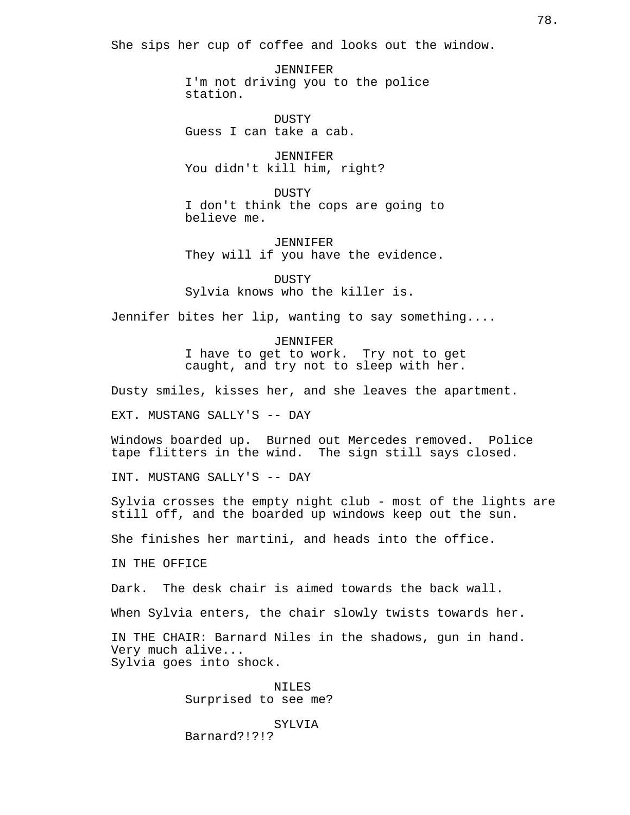She sips her cup of coffee and looks out the window.

JENNIFER I'm not driving you to the police station.

DUSTY Guess I can take a cab.

JENNIFER You didn't kill him, right?

DUSTY I don't think the cops are going to believe me.

JENNIFER They will if you have the evidence.

**DUSTY** Sylvia knows who the killer is.

Jennifer bites her lip, wanting to say something....

JENNIFER I have to get to work. Try not to get caught, and try not to sleep with her.

Dusty smiles, kisses her, and she leaves the apartment.

EXT. MUSTANG SALLY'S -- DAY

Windows boarded up. Burned out Mercedes removed. Police tape flitters in the wind. The sign still says closed.

INT. MUSTANG SALLY'S -- DAY

Sylvia crosses the empty night club - most of the lights are still off, and the boarded up windows keep out the sun.

She finishes her martini, and heads into the office.

IN THE OFFICE

Dark. The desk chair is aimed towards the back wall.

When Sylvia enters, the chair slowly twists towards her.

IN THE CHAIR: Barnard Niles in the shadows, gun in hand. Very much alive... Sylvia goes into shock.

> NILES Surprised to see me?

SYLVIA Barnard?!?!?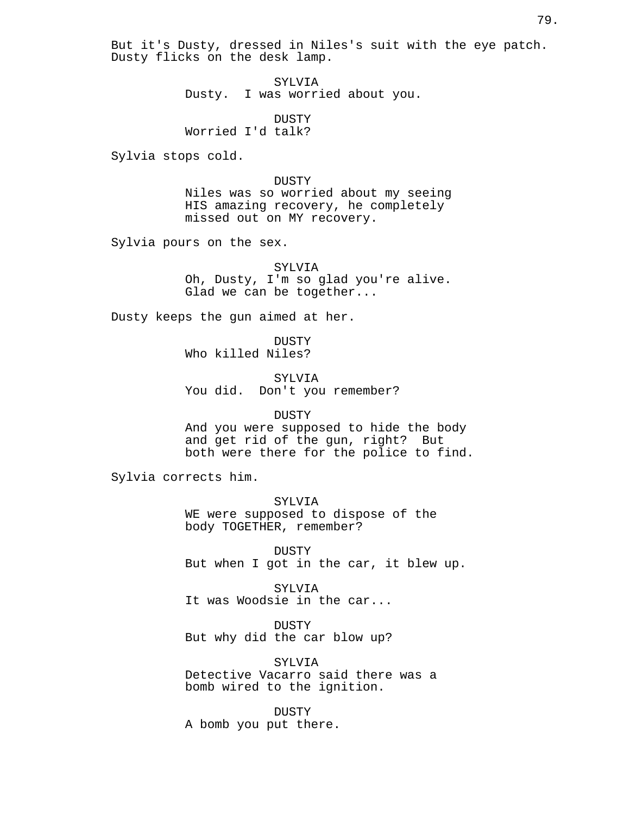But it's Dusty, dressed in Niles's suit with the eye patch. Dusty flicks on the desk lamp.

> SYLVIA Dusty. I was worried about you.

DUSTY Worried I'd talk?

Sylvia stops cold.

### DUSTY

Niles was so worried about my seeing HIS amazing recovery, he completely missed out on MY recovery.

Sylvia pours on the sex.

SYLVIA Oh, Dusty, I'm so glad you're alive. Glad we can be together...

Dusty keeps the gun aimed at her.

DUSTY Who killed Niles?

SYLVIA You did. Don't you remember?

### DUSTY

And you were supposed to hide the body and get rid of the gun, right? But both were there for the police to find.

Sylvia corrects him.

SYLVIA WE were supposed to dispose of the body TOGETHER, remember?

DUSTY But when I got in the car, it blew up.

SYLVIA It was Woodsie in the car...

DUSTY But why did the car blow up?

SYLVIA Detective Vacarro said there was a bomb wired to the ignition.

DUSTY A bomb you put there.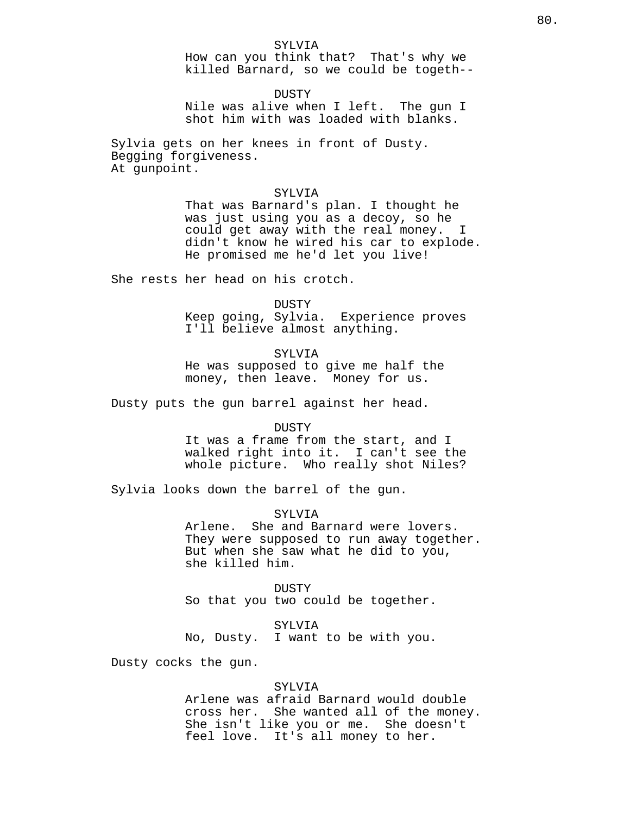How can you think that? That's why we killed Barnard, so we could be togeth--

DUSTY Nile was alive when I left. The gun I shot him with was loaded with blanks.

Sylvia gets on her knees in front of Dusty. Begging forgiveness. At gunpoint.

# SYLVIA

That was Barnard's plan. I thought he was just using you as a decoy, so he could get away with the real money. I didn't know he wired his car to explode. He promised me he'd let you live!

She rests her head on his crotch.

DUSTY Keep going, Sylvia. Experience proves I'll believe almost anything.

SYLV<sub>I</sub>A

He was supposed to give me half the money, then leave. Money for us.

Dusty puts the gun barrel against her head.

#### DUSTY

It was a frame from the start, and I walked right into it. I can't see the whole picture. Who really shot Niles?

Sylvia looks down the barrel of the gun.

SYLVIA

Arlene. She and Barnard were lovers. They were supposed to run away together. But when she saw what he did to you, she killed him.

DUSTY So that you two could be together.

SYLVIA

No, Dusty. I want to be with you.

Dusty cocks the gun.

### SYLVIA

Arlene was afraid Barnard would double cross her. She wanted all of the money. She isn't like you or me. She doesn't feel love. It's all money to her.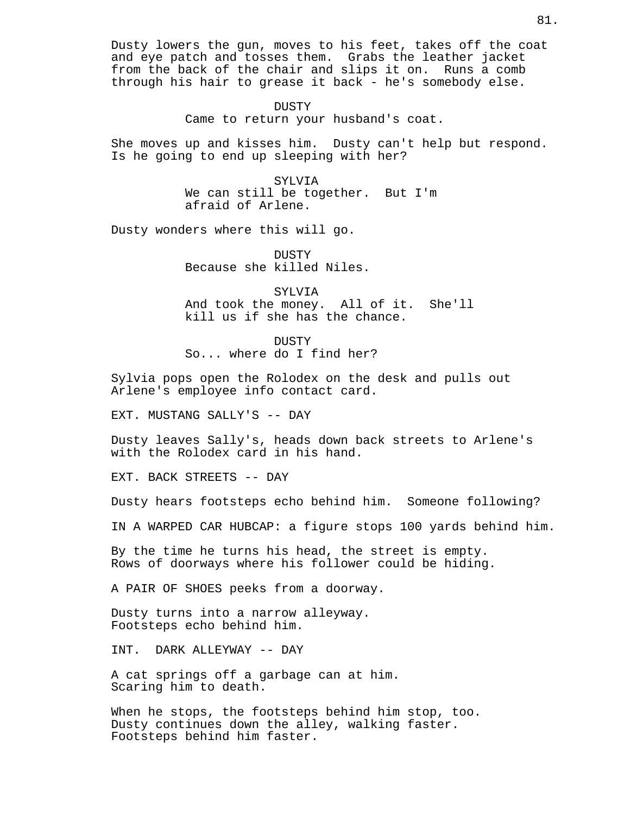Dusty lowers the gun, moves to his feet, takes off the coat and eye patch and tosses them. Grabs the leather jacket from the back of the chair and slips it on. Runs a comb through his hair to grease it back - he's somebody else.

> DUSTY Came to return your husband's coat.

She moves up and kisses him. Dusty can't help but respond. Is he going to end up sleeping with her?

> SYLVIA We can still be together. But I'm afraid of Arlene.

Dusty wonders where this will go.

DUSTY Because she killed Niles.

SYLVIA And took the money. All of it. She'll kill us if she has the chance.

**DUSTY** So... where do I find her?

Sylvia pops open the Rolodex on the desk and pulls out Arlene's employee info contact card.

EXT. MUSTANG SALLY'S -- DAY

Dusty leaves Sally's, heads down back streets to Arlene's with the Rolodex card in his hand.

EXT. BACK STREETS -- DAY

Dusty hears footsteps echo behind him. Someone following?

IN A WARPED CAR HUBCAP: a figure stops 100 yards behind him.

By the time he turns his head, the street is empty. Rows of doorways where his follower could be hiding.

A PAIR OF SHOES peeks from a doorway.

Dusty turns into a narrow alleyway. Footsteps echo behind him.

INT. DARK ALLEYWAY -- DAY

A cat springs off a garbage can at him. Scaring him to death.

When he stops, the footsteps behind him stop, too. Dusty continues down the alley, walking faster. Footsteps behind him faster.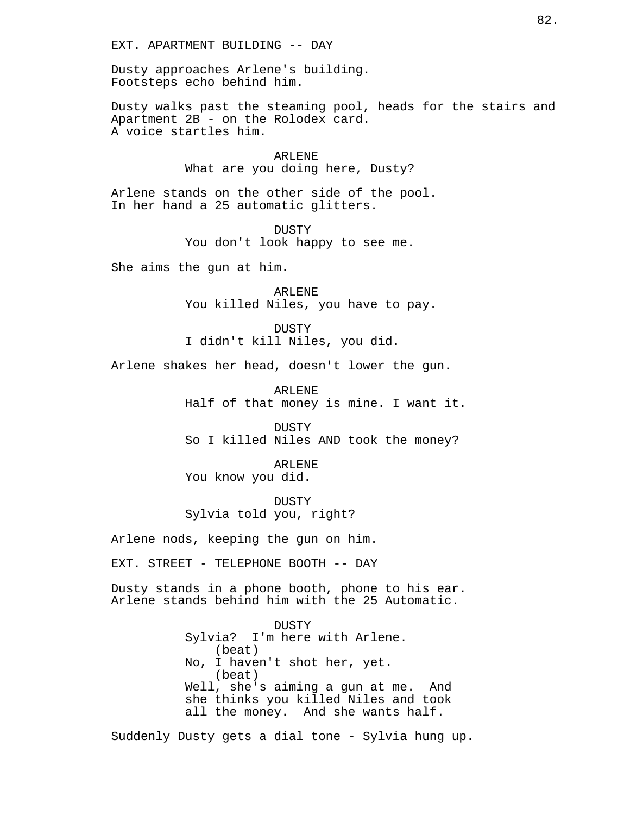Dusty approaches Arlene's building. Footsteps echo behind him.

Dusty walks past the steaming pool, heads for the stairs and Apartment 2B - on the Rolodex card. A voice startles him.

> ARLENE What are you doing here, Dusty?

Arlene stands on the other side of the pool. In her hand a 25 automatic glitters.

> DUSTY You don't look happy to see me.

She aims the gun at him.

ARLENE You killed Niles, you have to pay.

DUSTY I didn't kill Niles, you did.

Arlene shakes her head, doesn't lower the gun.

ARLENE Half of that money is mine. I want it.

DUSTY So I killed Niles AND took the money?

ARLENE You know you did.

DUSTY Sylvia told you, right?

Arlene nods, keeping the gun on him.

EXT. STREET - TELEPHONE BOOTH -- DAY

Dusty stands in a phone booth, phone to his ear. Arlene stands behind him with the 25 Automatic.

> **DUSTY** Sylvia? I'm here with Arlene. (beat) No, I haven't shot her, yet. (beat) Well, she's aiming a gun at me. And she thinks you killed Niles and took all the money. And she wants half.

Suddenly Dusty gets a dial tone - Sylvia hung up.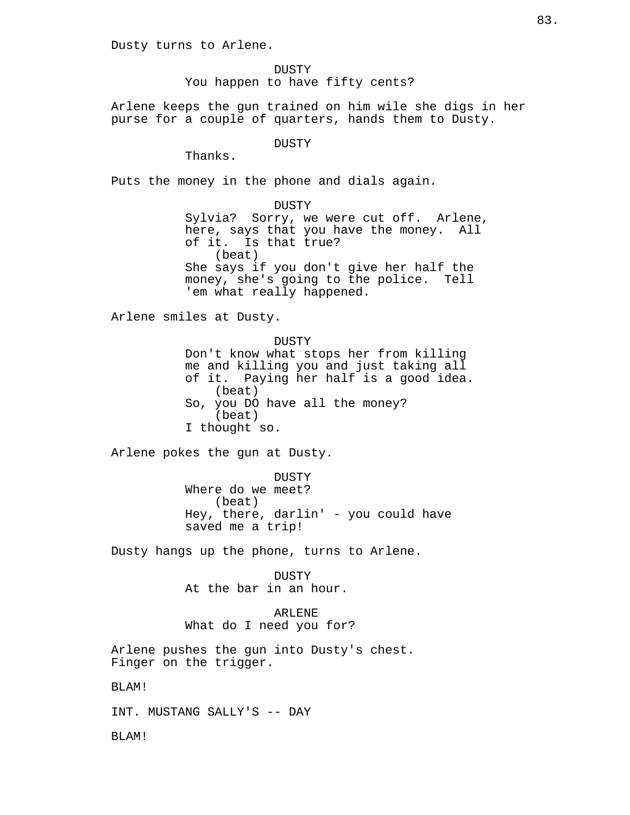Dusty turns to Arlene.

DUSTY You happen to have fifty cents?

Arlene keeps the gun trained on him wile she digs in her purse for a couple of quarters, hands them to Dusty.

### **DUSTY**

Thanks.

Puts the money in the phone and dials again.

DUSTY

Sylvia? Sorry, we were cut off. Arlene, here, says that you have the money. All of it. Is that true? (beat) She says if you don't give her half the money, she's going to the police. Tell 'em what really happened.

Arlene smiles at Dusty.

DUSTY Don't know what stops her from killing me and killing you and just taking all of it. Paying her half is a good idea. (beat) So, you DO have all the money? (beat) I thought so.

Arlene pokes the gun at Dusty.

DUSTY Where do we meet? (beat) Hey, there, darlin' - you could have saved me a trip!

Dusty hangs up the phone, turns to Arlene.

DUSTY At the bar in an hour.

ARLENE What do I need you for?

Arlene pushes the gun into Dusty's chest. Finger on the trigger.

BLAM!

INT. MUSTANG SALLY'S -- DAY

BLAM!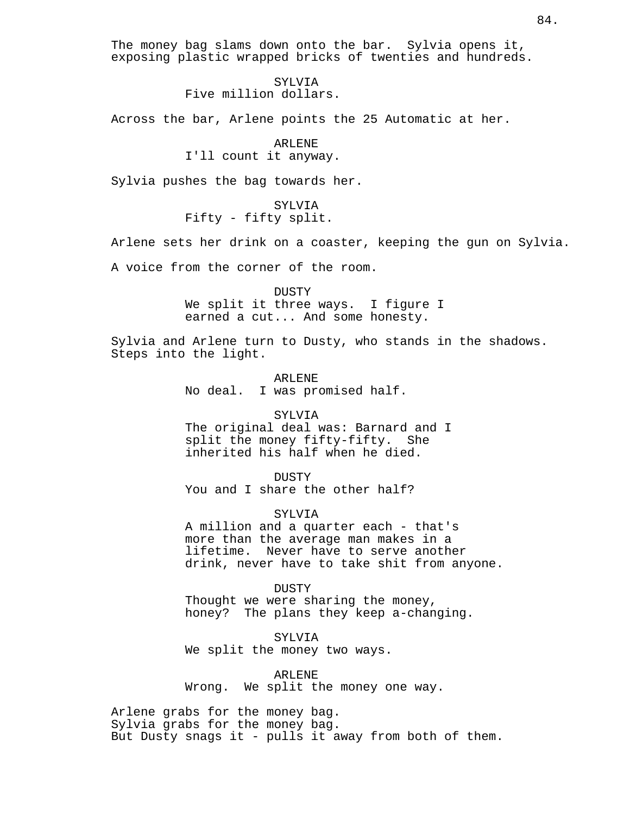The money bag slams down onto the bar. Sylvia opens it, exposing plastic wrapped bricks of twenties and hundreds.

> SYLVIA Five million dollars.

Across the bar, Arlene points the 25 Automatic at her.

ARLENE I'll count it anyway.

Sylvia pushes the bag towards her.

SYLVIA Fifty - fifty split.

Arlene sets her drink on a coaster, keeping the gun on Sylvia.

A voice from the corner of the room.

DUSTY We split it three ways. I figure I earned a cut... And some honesty.

Sylvia and Arlene turn to Dusty, who stands in the shadows. Steps into the light.

> ARLENE No deal. I was promised half.

### SYLVIA

The original deal was: Barnard and I split the money fifty-fifty. She inherited his half when he died.

DUSTY You and I share the other half?

SYLVIA A million and a quarter each - that's more than the average man makes in a lifetime. Never have to serve another drink, never have to take shit from anyone.

DUSTY

Thought we were sharing the money, honey? The plans they keep a-changing.

SYLVIA We split the money two ways.

ARLENE Wrong. We split the money one way.

Arlene grabs for the money bag. Sylvia grabs for the money bag. But Dusty snags it - pulls it away from both of them.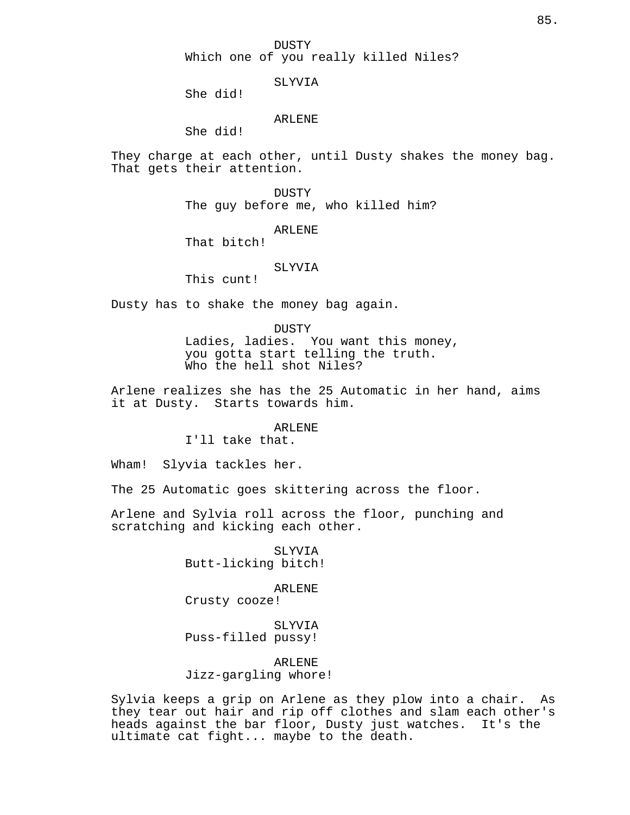SLYVIA

She did!

## ARLENE

She did!

They charge at each other, until Dusty shakes the money bag. That gets their attention.

> DUSTY The guy before me, who killed him?

> > ARLENE

That bitch!

### SLYVIA

This cunt!

Dusty has to shake the money bag again.

DUSTY Ladies, ladies. You want this money, you gotta start telling the truth. Who the hell shot Niles?

Arlene realizes she has the 25 Automatic in her hand, aims it at Dusty. Starts towards him.

#### ARLENE

I'll take that.

Wham! Slyvia tackles her.

The 25 Automatic goes skittering across the floor.

Arlene and Sylvia roll across the floor, punching and scratching and kicking each other.

> SLYVIA Butt-licking bitch!

ARLENE Crusty cooze!

SLYVIA Puss-filled pussy!

ARLENE Jizz-gargling whore!

Sylvia keeps a grip on Arlene as they plow into a chair. As they tear out hair and rip off clothes and slam each other's heads against the bar floor, Dusty just watches. It's the ultimate cat fight... maybe to the death.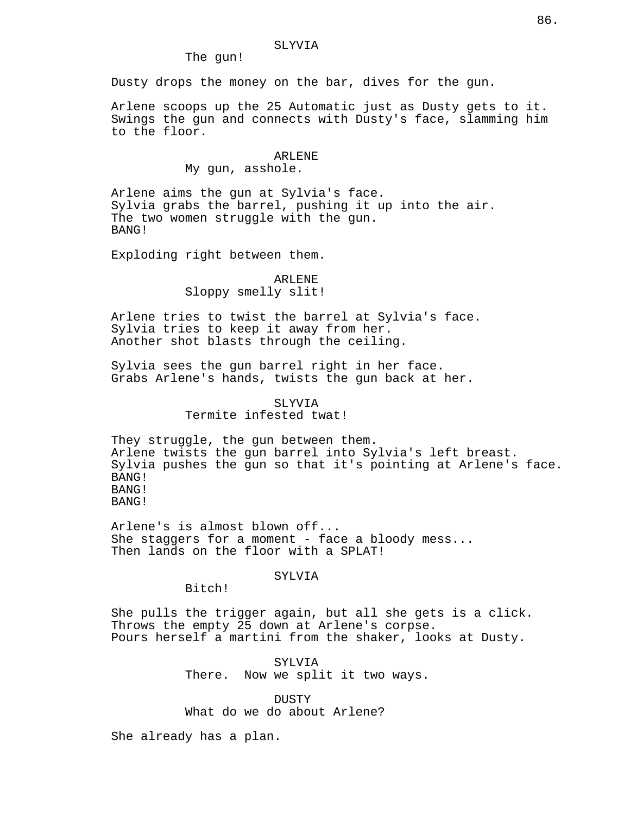The gun!

Dusty drops the money on the bar, dives for the gun.

Arlene scoops up the 25 Automatic just as Dusty gets to it. Swings the gun and connects with Dusty's face, slamming him to the floor.

#### ARLENE

My gun, asshole.

Arlene aims the gun at Sylvia's face. Sylvia grabs the barrel, pushing it up into the air. The two women struggle with the gun. BANG!

Exploding right between them.

# ARLENE Sloppy smelly slit!

Arlene tries to twist the barrel at Sylvia's face. Sylvia tries to keep it away from her. Another shot blasts through the ceiling.

Sylvia sees the gun barrel right in her face. Grabs Arlene's hands, twists the gun back at her.

> SLYVIA Termite infested twat!

They struggle, the gun between them. Arlene twists the gun barrel into Sylvia's left breast. Sylvia pushes the gun so that it's pointing at Arlene's face. BANG! BANG! BANG!

Arlene's is almost blown off... She staggers for a moment - face a bloody mess... Then lands on the floor with a SPLAT!

# SYLVIA

Bitch!

She pulls the trigger again, but all she gets is a click. Throws the empty 25 down at Arlene's corpse. Pours herself a martini from the shaker, looks at Dusty.

> SYLVIA There. Now we split it two ways.

**DUSTY** What do we do about Arlene?

She already has a plan.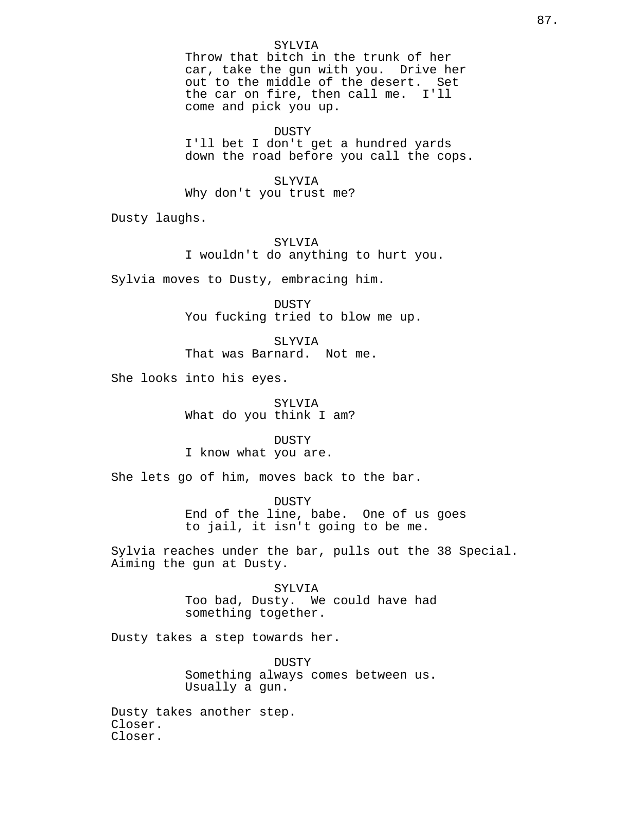### SYLVIA

Throw that bitch in the trunk of her car, take the gun with you. Drive her out to the middle of the desert. Set the car on fire, then call me. I'll come and pick you up.

DUSTY I'll bet I don't get a hundred yards down the road before you call the cops.

SLYVIA Why don't you trust me?

Dusty laughs.

SYLVIA I wouldn't do anything to hurt you.

Sylvia moves to Dusty, embracing him.

DUSTY You fucking tried to blow me up.

SLYVIA That was Barnard. Not me.

She looks into his eyes.

SYLVIA What do you think I am?

DUSTY I know what you are.

She lets go of him, moves back to the bar.

DUSTY End of the line, babe. One of us goes to jail, it isn't going to be me.

Sylvia reaches under the bar, pulls out the 38 Special. Aiming the gun at Dusty.

> SYLVIA Too bad, Dusty. We could have had something together.

Dusty takes a step towards her.

DUSTY Something always comes between us. Usually a gun.

Dusty takes another step. Closer. Closer.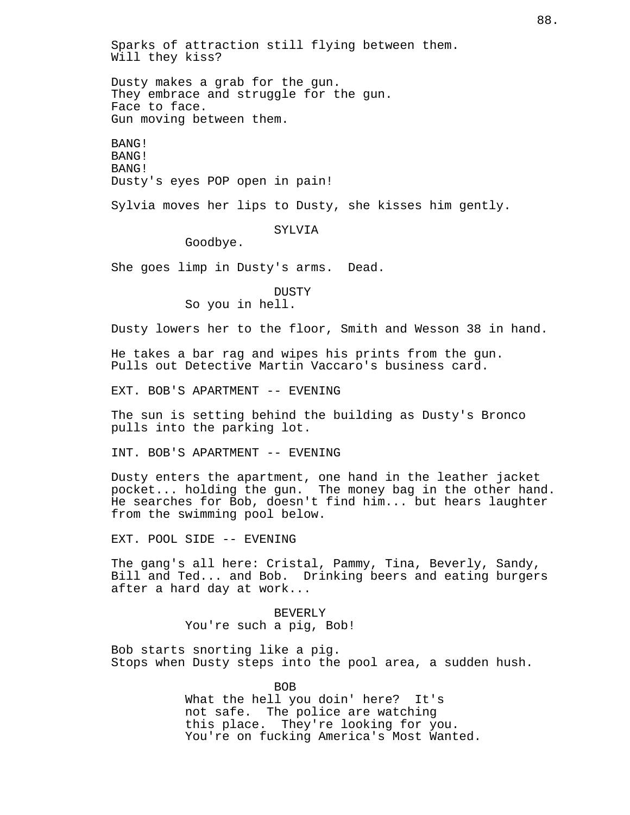Sparks of attraction still flying between them. Will they kiss?

Dusty makes a grab for the gun. They embrace and struggle for the gun. Face to face. Gun moving between them.

BANG! BANG! BANG! Dusty's eyes POP open in pain!

Sylvia moves her lips to Dusty, she kisses him gently.

SYLVIA

Goodbye.

She goes limp in Dusty's arms. Dead.

DUSTY So you in hell.

Dusty lowers her to the floor, Smith and Wesson 38 in hand.

He takes a bar rag and wipes his prints from the gun. Pulls out Detective Martin Vaccaro's business card.

EXT. BOB'S APARTMENT -- EVENING

The sun is setting behind the building as Dusty's Bronco pulls into the parking lot.

INT. BOB'S APARTMENT -- EVENING

Dusty enters the apartment, one hand in the leather jacket pocket... holding the gun. The money bag in the other hand. He searches for Bob, doesn't find him... but hears laughter from the swimming pool below.

EXT. POOL SIDE -- EVENING

The gang's all here: Cristal, Pammy, Tina, Beverly, Sandy, Bill and Ted... and Bob. Drinking beers and eating burgers after a hard day at work...

> BEVERLY You're such a pig, Bob!

Bob starts snorting like a pig. Stops when Dusty steps into the pool area, a sudden hush.

> BOB What the hell you doin' here? It's not safe. The police are watching this place. They're looking for you. You're on fucking America's Most Wanted.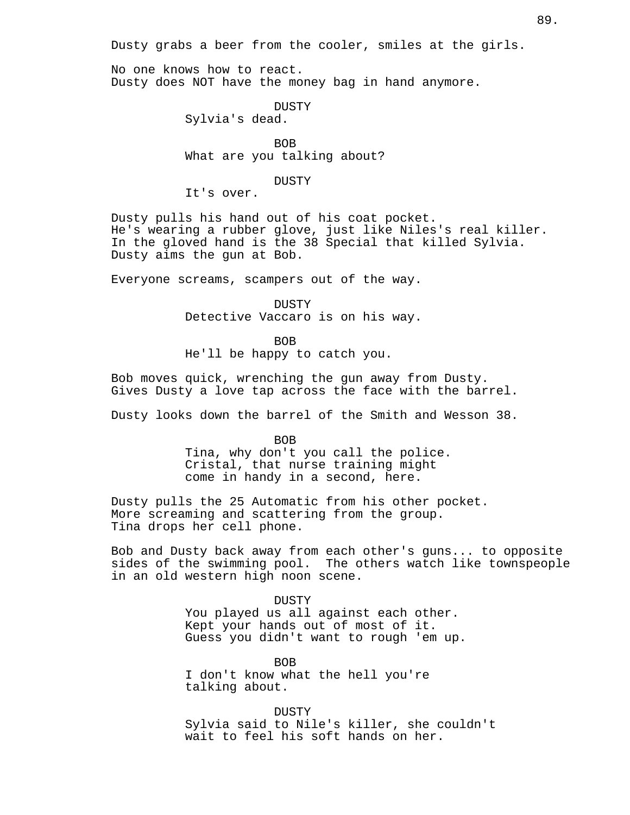Dusty grabs a beer from the cooler, smiles at the girls.

No one knows how to react. Dusty does NOT have the money bag in hand anymore.

DUSTY

Sylvia's dead.

BOB What are you talking about?

### DUSTY

It's over.

Dusty pulls his hand out of his coat pocket. He's wearing a rubber glove, just like Niles's real killer. In the gloved hand is the 38 Special that killed Sylvia. Dusty aims the gun at Bob.

Everyone screams, scampers out of the way.

DUSTY Detective Vaccaro is on his way.

BOB He'll be happy to catch you.

Bob moves quick, wrenching the gun away from Dusty. Gives Dusty a love tap across the face with the barrel.

Dusty looks down the barrel of the Smith and Wesson 38.

BOB

Tina, why don't you call the police. Cristal, that nurse training might come in handy in a second, here.

Dusty pulls the 25 Automatic from his other pocket. More screaming and scattering from the group. Tina drops her cell phone.

Bob and Dusty back away from each other's guns... to opposite sides of the swimming pool. The others watch like townspeople in an old western high noon scene.

> DUSTY You played us all against each other. Kept your hands out of most of it. Guess you didn't want to rough 'em up.

BOB I don't know what the hell you're talking about.

DUSTY Sylvia said to Nile's killer, she couldn't wait to feel his soft hands on her.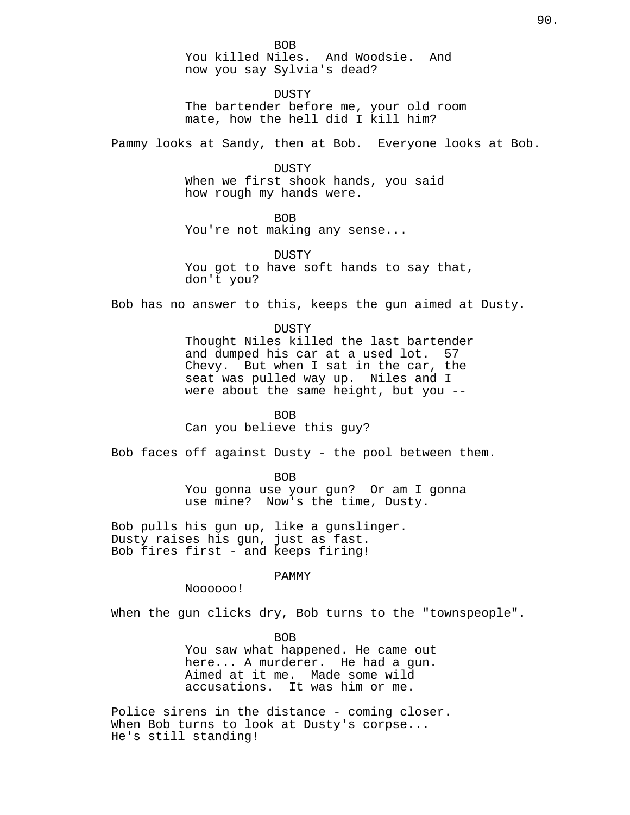You killed Niles. And Woodsie. And now you say Sylvia's dead?

DUSTY The bartender before me, your old room mate, how the hell did I kill him?

Pammy looks at Sandy, then at Bob. Everyone looks at Bob.

DUSTY When we first shook hands, you said how rough my hands were.

**BOB** 

You're not making any sense...

DUSTY You got to have soft hands to say that, don't you?

Bob has no answer to this, keeps the gun aimed at Dusty.

DUSTY Thought Niles killed the last bartender and dumped his car at a used lot. 57 Chevy. But when I sat in the car, the seat was pulled way up. Niles and I were about the same height, but you --

BOB

Can you believe this guy?

Bob faces off against Dusty - the pool between them.

BOB You gonna use your gun? Or am I gonna use mine? Now's the time, Dusty.

Bob pulls his gun up, like a gunslinger. Dusty raises his gun, just as fast. Bob fires first - and keeps firing!

PAMMY

Noooooo!

When the gun clicks dry, Bob turns to the "townspeople".

BOB You saw what happened. He came out here... A murderer. He had a gun. Aimed at it me. Made some wild accusations. It was him or me.

Police sirens in the distance - coming closer. When Bob turns to look at Dusty's corpse... He's still standing!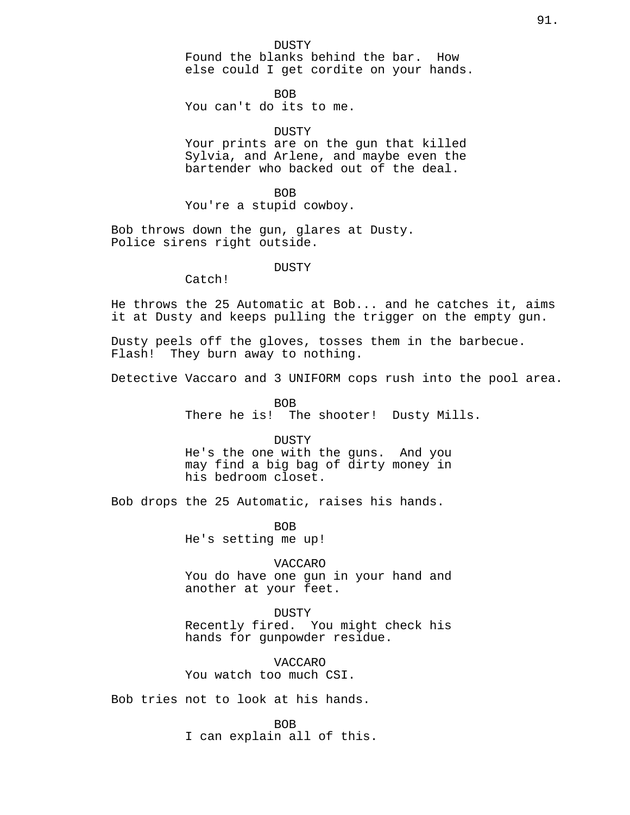DUSTY Found the blanks behind the bar. How else could I get cordite on your hands.

BOB You can't do its to me.

### DUSTY

Your prints are on the gun that killed Sylvia, and Arlene, and maybe even the bartender who backed out of the deal.

BOB You're a stupid cowboy.

Bob throws down the gun, glares at Dusty. Police sirens right outside.

### DUSTY

Catch!

He throws the 25 Automatic at Bob... and he catches it, aims it at Dusty and keeps pulling the trigger on the empty gun.

Dusty peels off the gloves, tosses them in the barbecue. Flash! They burn away to nothing.

Detective Vaccaro and 3 UNIFORM cops rush into the pool area.

BOB There he is! The shooter! Dusty Mills.

DUSTY He's the one with the guns. And you may find a big bag of dirty money in his bedroom closet.

Bob drops the 25 Automatic, raises his hands.

BOB He's setting me up!

VACCARO You do have one gun in your hand and another at your feet.

DUSTY Recently fired. You might check his hands for gunpowder residue.

VACCARO You watch too much CSI.

Bob tries not to look at his hands.

BOB I can explain all of this.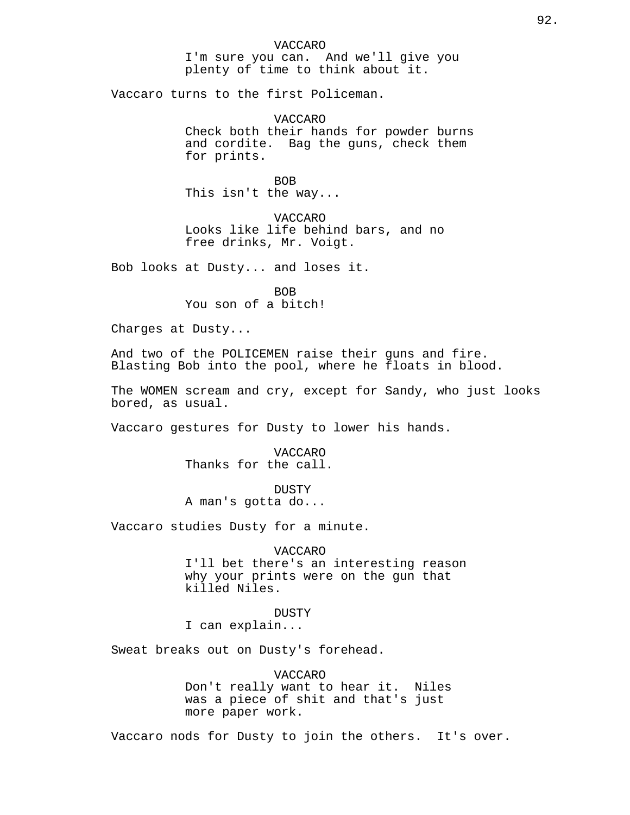I'm sure you can. And we'll give you plenty of time to think about it.

Vaccaro turns to the first Policeman.

VACCARO Check both their hands for powder burns and cordite. Bag the guns, check them for prints.

BOB This isn't the way...

VACCARO Looks like life behind bars, and no free drinks, Mr. Voigt.

Bob looks at Dusty... and loses it.

BOB You son of a bitch!

Charges at Dusty...

And two of the POLICEMEN raise their guns and fire. Blasting Bob into the pool, where he floats in blood.

The WOMEN scream and cry, except for Sandy, who just looks bored, as usual.

Vaccaro gestures for Dusty to lower his hands.

VACCARO Thanks for the call.

**DUSTY** A man's gotta do...

Vaccaro studies Dusty for a minute.

#### VACCARO

I'll bet there's an interesting reason why your prints were on the gun that killed Niles.

DUSTY I can explain...

Sweat breaks out on Dusty's forehead.

VACCARO Don't really want to hear it. Niles was a piece of shit and that's just more paper work.

Vaccaro nods for Dusty to join the others. It's over.